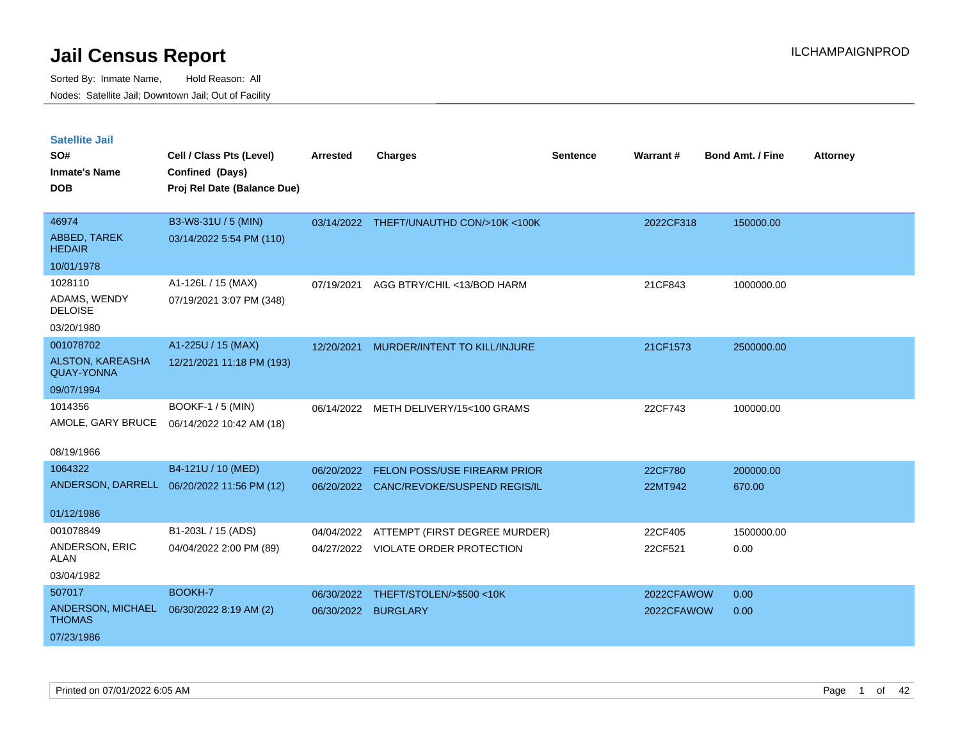| <b>Satellite Jail</b> |  |  |
|-----------------------|--|--|
|-----------------------|--|--|

| SO#<br><b>Inmate's Name</b>           | Cell / Class Pts (Level)<br>Confined (Days) | Arrested   | <b>Charges</b>                          | <b>Sentence</b> | Warrant#   | <b>Bond Amt. / Fine</b> | <b>Attorney</b> |
|---------------------------------------|---------------------------------------------|------------|-----------------------------------------|-----------------|------------|-------------------------|-----------------|
| <b>DOB</b>                            | Proj Rel Date (Balance Due)                 |            |                                         |                 |            |                         |                 |
| 46974                                 | B3-W8-31U / 5 (MIN)                         |            | 03/14/2022 THEFT/UNAUTHD CON/>10K <100K |                 | 2022CF318  | 150000.00               |                 |
| ABBED, TAREK<br><b>HEDAIR</b>         | 03/14/2022 5:54 PM (110)                    |            |                                         |                 |            |                         |                 |
| 10/01/1978                            |                                             |            |                                         |                 |            |                         |                 |
| 1028110                               | A1-126L / 15 (MAX)                          | 07/19/2021 | AGG BTRY/CHIL <13/BOD HARM              |                 | 21CF843    | 1000000.00              |                 |
| ADAMS, WENDY<br><b>DELOISE</b>        | 07/19/2021 3:07 PM (348)                    |            |                                         |                 |            |                         |                 |
| 03/20/1980                            |                                             |            |                                         |                 |            |                         |                 |
| 001078702                             | A1-225U / 15 (MAX)                          | 12/20/2021 | MURDER/INTENT TO KILL/INJURE            |                 | 21CF1573   | 2500000.00              |                 |
| ALSTON, KAREASHA<br><b>QUAY-YONNA</b> | 12/21/2021 11:18 PM (193)                   |            |                                         |                 |            |                         |                 |
| 09/07/1994                            |                                             |            |                                         |                 |            |                         |                 |
| 1014356                               | <b>BOOKF-1 / 5 (MIN)</b>                    | 06/14/2022 | METH DELIVERY/15<100 GRAMS              |                 | 22CF743    | 100000.00               |                 |
| AMOLE, GARY BRUCE                     | 06/14/2022 10:42 AM (18)                    |            |                                         |                 |            |                         |                 |
| 08/19/1966                            |                                             |            |                                         |                 |            |                         |                 |
| 1064322                               | B4-121U / 10 (MED)                          | 06/20/2022 | <b>FELON POSS/USE FIREARM PRIOR</b>     |                 | 22CF780    | 200000.00               |                 |
|                                       | ANDERSON, DARRELL 06/20/2022 11:56 PM (12)  |            | 06/20/2022 CANC/REVOKE/SUSPEND REGIS/IL |                 | 22MT942    | 670.00                  |                 |
| 01/12/1986                            |                                             |            |                                         |                 |            |                         |                 |
| 001078849                             | B1-203L / 15 (ADS)                          | 04/04/2022 | ATTEMPT (FIRST DEGREE MURDER)           |                 | 22CF405    | 1500000.00              |                 |
| ANDERSON, ERIC<br><b>ALAN</b>         | 04/04/2022 2:00 PM (89)                     |            | 04/27/2022 VIOLATE ORDER PROTECTION     |                 | 22CF521    | 0.00                    |                 |
| 03/04/1982                            |                                             |            |                                         |                 |            |                         |                 |
| 507017                                | BOOKH-7                                     |            | 06/30/2022 THEFT/STOLEN/>\$500 <10K     |                 | 2022CFAWOW | 0.00                    |                 |
| ANDERSON, MICHAEL<br><b>THOMAS</b>    | 06/30/2022 8:19 AM (2)                      | 06/30/2022 | <b>BURGLARY</b>                         |                 | 2022CFAWOW | 0.00                    |                 |
| 07/23/1986                            |                                             |            |                                         |                 |            |                         |                 |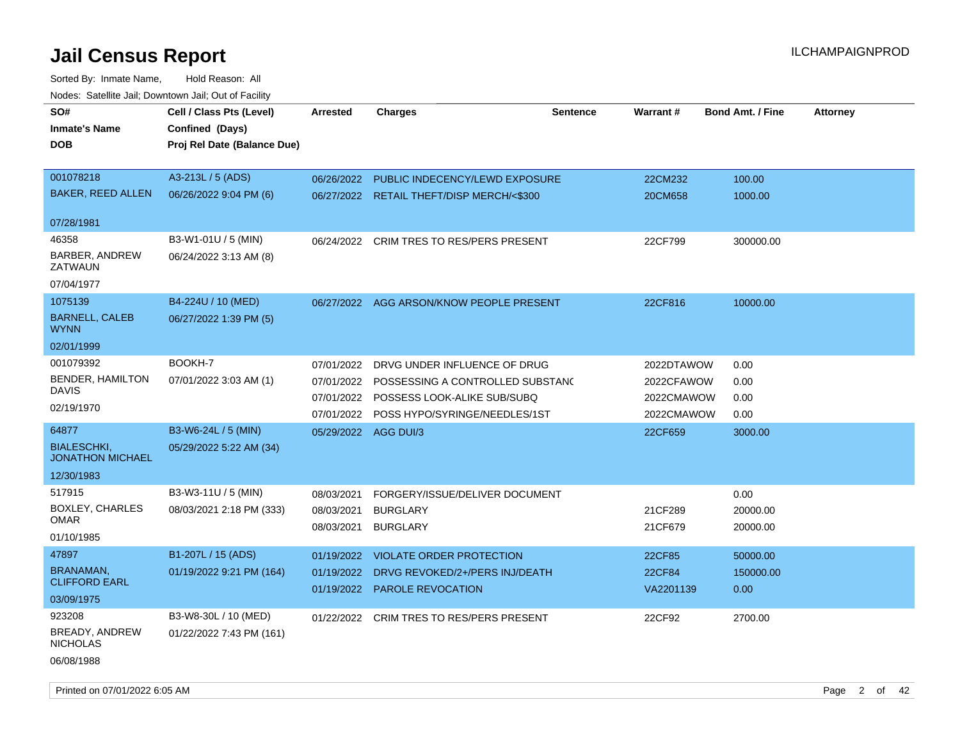| SO#                                           | Cell / Class Pts (Level)                         | Arrested             | <b>Charges</b>                            | <b>Sentence</b> | Warrant#   | <b>Bond Amt. / Fine</b> | <b>Attorney</b> |
|-----------------------------------------------|--------------------------------------------------|----------------------|-------------------------------------------|-----------------|------------|-------------------------|-----------------|
| <b>Inmate's Name</b>                          | Confined (Days)                                  |                      |                                           |                 |            |                         |                 |
| DOB                                           | Proj Rel Date (Balance Due)                      |                      |                                           |                 |            |                         |                 |
|                                               |                                                  |                      |                                           |                 |            |                         |                 |
| 001078218                                     | A3-213L / 5 (ADS)                                | 06/26/2022           | PUBLIC INDECENCY/LEWD EXPOSURE            |                 | 22CM232    | 100.00                  |                 |
| <b>BAKER, REED ALLEN</b>                      | 06/26/2022 9:04 PM (6)                           |                      | 06/27/2022 RETAIL THEFT/DISP MERCH/<\$300 |                 | 20CM658    | 1000.00                 |                 |
| 07/28/1981                                    |                                                  |                      |                                           |                 |            |                         |                 |
| 46358                                         | B3-W1-01U / 5 (MIN)                              |                      | 06/24/2022 CRIM TRES TO RES/PERS PRESENT  |                 | 22CF799    | 300000.00               |                 |
| BARBER, ANDREW<br>ZATWAUN                     | 06/24/2022 3:13 AM (8)                           |                      |                                           |                 |            |                         |                 |
| 07/04/1977                                    |                                                  |                      |                                           |                 |            |                         |                 |
| 1075139                                       | B4-224U / 10 (MED)                               | 06/27/2022           | AGG ARSON/KNOW PEOPLE PRESENT             |                 | 22CF816    | 10000.00                |                 |
| <b>BARNELL, CALEB</b><br>WYNN.                | 06/27/2022 1:39 PM (5)                           |                      |                                           |                 |            |                         |                 |
| 02/01/1999                                    |                                                  |                      |                                           |                 |            |                         |                 |
| 001079392                                     | BOOKH-7                                          | 07/01/2022           | DRVG UNDER INFLUENCE OF DRUG              |                 | 2022DTAWOW | 0.00                    |                 |
| <b>BENDER, HAMILTON</b>                       | 07/01/2022 3:03 AM (1)                           | 07/01/2022           | POSSESSING A CONTROLLED SUBSTANC          |                 | 2022CFAWOW | 0.00                    |                 |
| DAVIS                                         |                                                  |                      | 07/01/2022 POSSESS LOOK-ALIKE SUB/SUBQ    |                 | 2022CMAWOW | 0.00                    |                 |
| 02/19/1970                                    |                                                  |                      | 07/01/2022 POSS HYPO/SYRINGE/NEEDLES/1ST  |                 | 2022CMAWOW | 0.00                    |                 |
| 64877                                         | B3-W6-24L / 5 (MIN)                              | 05/29/2022 AGG DUI/3 |                                           |                 | 22CF659    | 3000.00                 |                 |
| <b>BIALESCHKI,</b><br><b>JONATHON MICHAEL</b> | 05/29/2022 5:22 AM (34)                          |                      |                                           |                 |            |                         |                 |
| 12/30/1983                                    |                                                  |                      |                                           |                 |            |                         |                 |
| 517915                                        | B3-W3-11U / 5 (MIN)                              | 08/03/2021           | FORGERY/ISSUE/DELIVER DOCUMENT            |                 |            | 0.00                    |                 |
| <b>BOXLEY, CHARLES</b>                        | 08/03/2021 2:18 PM (333)                         | 08/03/2021           | <b>BURGLARY</b>                           |                 | 21CF289    | 20000.00                |                 |
| OMAR                                          |                                                  | 08/03/2021           | <b>BURGLARY</b>                           |                 | 21CF679    | 20000.00                |                 |
| 01/10/1985                                    |                                                  |                      |                                           |                 |            |                         |                 |
| 47897                                         | B1-207L / 15 (ADS)                               | 01/19/2022           | <b>VIOLATE ORDER PROTECTION</b>           |                 | 22CF85     | 50000.00                |                 |
| BRANAMAN,<br><b>CLIFFORD EARL</b>             | 01/19/2022 9:21 PM (164)                         | 01/19/2022           | DRVG REVOKED/2+/PERS INJ/DEATH            |                 | 22CF84     | 150000.00               |                 |
| 03/09/1975                                    |                                                  | 01/19/2022           | <b>PAROLE REVOCATION</b>                  |                 | VA2201139  | 0.00                    |                 |
|                                               |                                                  |                      |                                           |                 |            |                         |                 |
| 923208<br>BREADY, ANDREW                      | B3-W8-30L / 10 (MED)<br>01/22/2022 7:43 PM (161) |                      | 01/22/2022 CRIM TRES TO RES/PERS PRESENT  |                 | 22CF92     | 2700.00                 |                 |
| <b>NICHOLAS</b>                               |                                                  |                      |                                           |                 |            |                         |                 |
| 06/08/1988                                    |                                                  |                      |                                           |                 |            |                         |                 |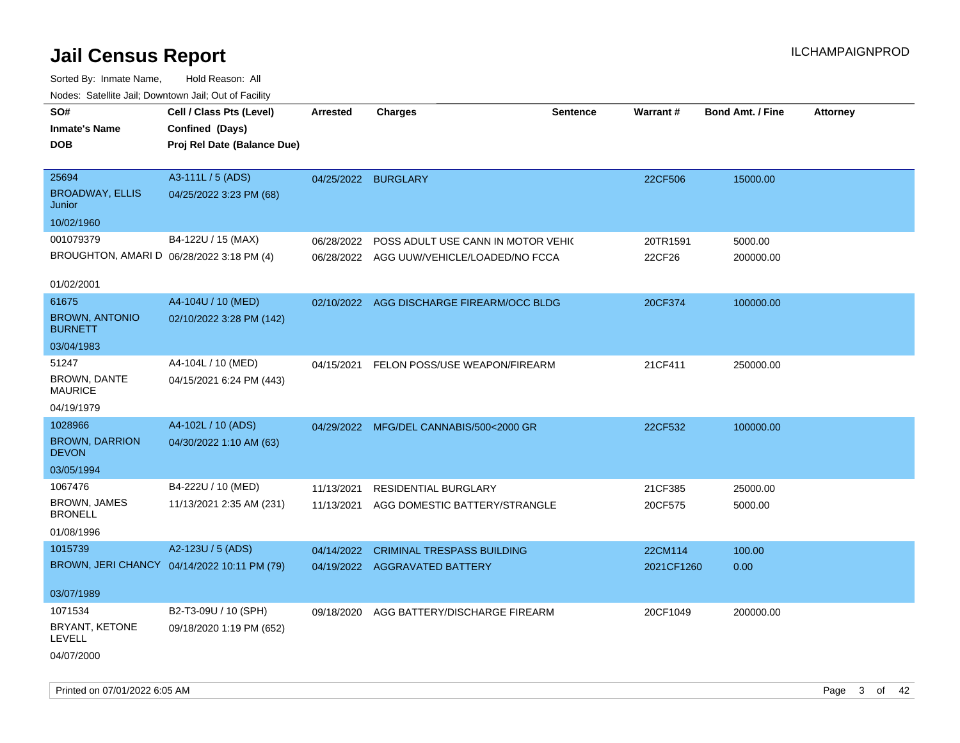| SO#                                       | Cell / Class Pts (Level)                    | <b>Arrested</b>     | <b>Charges</b>                            | <b>Sentence</b> | Warrant#   | <b>Bond Amt. / Fine</b> | <b>Attorney</b> |
|-------------------------------------------|---------------------------------------------|---------------------|-------------------------------------------|-----------------|------------|-------------------------|-----------------|
| <b>Inmate's Name</b>                      | Confined (Days)                             |                     |                                           |                 |            |                         |                 |
| <b>DOB</b>                                | Proj Rel Date (Balance Due)                 |                     |                                           |                 |            |                         |                 |
|                                           |                                             |                     |                                           |                 |            |                         |                 |
| 25694                                     | A3-111L / 5 (ADS)                           | 04/25/2022 BURGLARY |                                           |                 | 22CF506    | 15000.00                |                 |
| <b>BROADWAY, ELLIS</b><br>Junior          | 04/25/2022 3:23 PM (68)                     |                     |                                           |                 |            |                         |                 |
| 10/02/1960                                |                                             |                     |                                           |                 |            |                         |                 |
| 001079379                                 | B4-122U / 15 (MAX)                          | 06/28/2022          | POSS ADULT USE CANN IN MOTOR VEHIC        |                 | 20TR1591   | 5000.00                 |                 |
| BROUGHTON, AMARI D 06/28/2022 3:18 PM (4) |                                             |                     | 06/28/2022 AGG UUW/VEHICLE/LOADED/NO FCCA |                 | 22CF26     | 200000.00               |                 |
|                                           |                                             |                     |                                           |                 |            |                         |                 |
| 01/02/2001                                |                                             |                     |                                           |                 |            |                         |                 |
| 61675                                     | A4-104U / 10 (MED)                          |                     | 02/10/2022 AGG DISCHARGE FIREARM/OCC BLDG |                 | 20CF374    | 100000.00               |                 |
| <b>BROWN, ANTONIO</b><br><b>BURNETT</b>   | 02/10/2022 3:28 PM (142)                    |                     |                                           |                 |            |                         |                 |
| 03/04/1983                                |                                             |                     |                                           |                 |            |                         |                 |
| 51247                                     | A4-104L / 10 (MED)                          | 04/15/2021          | FELON POSS/USE WEAPON/FIREARM             |                 | 21CF411    | 250000.00               |                 |
| BROWN, DANTE<br><b>MAURICE</b>            | 04/15/2021 6:24 PM (443)                    |                     |                                           |                 |            |                         |                 |
| 04/19/1979                                |                                             |                     |                                           |                 |            |                         |                 |
| 1028966                                   | A4-102L / 10 (ADS)                          |                     | 04/29/2022 MFG/DEL CANNABIS/500<2000 GR   |                 | 22CF532    | 100000.00               |                 |
| <b>BROWN, DARRION</b><br><b>DEVON</b>     | 04/30/2022 1:10 AM (63)                     |                     |                                           |                 |            |                         |                 |
| 03/05/1994                                |                                             |                     |                                           |                 |            |                         |                 |
| 1067476                                   | B4-222U / 10 (MED)                          | 11/13/2021          | <b>RESIDENTIAL BURGLARY</b>               |                 | 21CF385    | 25000.00                |                 |
| <b>BROWN, JAMES</b><br><b>BRONELL</b>     | 11/13/2021 2:35 AM (231)                    | 11/13/2021          | AGG DOMESTIC BATTERY/STRANGLE             |                 | 20CF575    | 5000.00                 |                 |
| 01/08/1996                                |                                             |                     |                                           |                 |            |                         |                 |
| 1015739                                   | A2-123U / 5 (ADS)                           | 04/14/2022          | <b>CRIMINAL TRESPASS BUILDING</b>         |                 | 22CM114    | 100.00                  |                 |
|                                           | BROWN, JERI CHANCY 04/14/2022 10:11 PM (79) |                     | 04/19/2022 AGGRAVATED BATTERY             |                 | 2021CF1260 | 0.00                    |                 |
|                                           |                                             |                     |                                           |                 |            |                         |                 |
| 03/07/1989                                |                                             |                     |                                           |                 |            |                         |                 |
| 1071534                                   | B2-T3-09U / 10 (SPH)                        | 09/18/2020          | AGG BATTERY/DISCHARGE FIREARM             |                 | 20CF1049   | 200000.00               |                 |
| BRYANT, KETONE<br><b>LEVELL</b>           | 09/18/2020 1:19 PM (652)                    |                     |                                           |                 |            |                         |                 |
| 04/07/2000                                |                                             |                     |                                           |                 |            |                         |                 |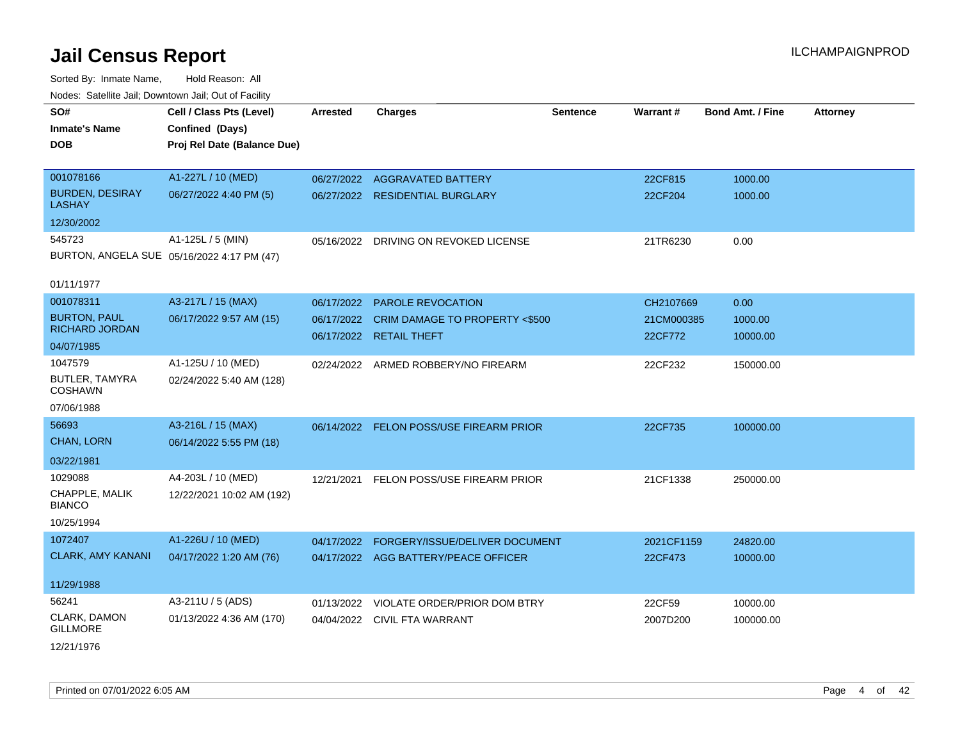Sorted By: Inmate Name, Hold Reason: All Nodes: Satellite Jail; Downtown Jail; Out of Facility

| ivoues. Salellite Jali, Downtown Jali, Out of Facility |                                            |                 |                                         |                 |            |                         |                 |
|--------------------------------------------------------|--------------------------------------------|-----------------|-----------------------------------------|-----------------|------------|-------------------------|-----------------|
| SO#                                                    | Cell / Class Pts (Level)                   | <b>Arrested</b> | <b>Charges</b>                          | <b>Sentence</b> | Warrant#   | <b>Bond Amt. / Fine</b> | <b>Attorney</b> |
| <b>Inmate's Name</b>                                   | Confined (Days)                            |                 |                                         |                 |            |                         |                 |
| <b>DOB</b>                                             | Proj Rel Date (Balance Due)                |                 |                                         |                 |            |                         |                 |
|                                                        |                                            |                 |                                         |                 |            |                         |                 |
| 001078166                                              | A1-227L / 10 (MED)                         | 06/27/2022      | <b>AGGRAVATED BATTERY</b>               |                 | 22CF815    | 1000.00                 |                 |
| <b>BURDEN, DESIRAY</b><br><b>LASHAY</b>                | 06/27/2022 4:40 PM (5)                     |                 | 06/27/2022 RESIDENTIAL BURGLARY         |                 | 22CF204    | 1000.00                 |                 |
| 12/30/2002                                             |                                            |                 |                                         |                 |            |                         |                 |
| 545723                                                 | A1-125L / 5 (MIN)                          |                 | 05/16/2022 DRIVING ON REVOKED LICENSE   |                 | 21TR6230   | 0.00                    |                 |
|                                                        | BURTON, ANGELA SUE 05/16/2022 4:17 PM (47) |                 |                                         |                 |            |                         |                 |
| 01/11/1977                                             |                                            |                 |                                         |                 |            |                         |                 |
| 001078311                                              | A3-217L / 15 (MAX)                         | 06/17/2022      | <b>PAROLE REVOCATION</b>                |                 | CH2107669  | 0.00                    |                 |
| <b>BURTON, PAUL</b>                                    | 06/17/2022 9:57 AM (15)                    | 06/17/2022      | CRIM DAMAGE TO PROPERTY <\$500          |                 | 21CM000385 | 1000.00                 |                 |
| <b>RICHARD JORDAN</b>                                  |                                            |                 | 06/17/2022 RETAIL THEFT                 |                 | 22CF772    | 10000.00                |                 |
| 04/07/1985                                             |                                            |                 |                                         |                 |            |                         |                 |
| 1047579                                                | A1-125U / 10 (MED)                         | 02/24/2022      | ARMED ROBBERY/NO FIREARM                |                 | 22CF232    | 150000.00               |                 |
| BUTLER, TAMYRA<br><b>COSHAWN</b>                       | 02/24/2022 5:40 AM (128)                   |                 |                                         |                 |            |                         |                 |
| 07/06/1988                                             |                                            |                 |                                         |                 |            |                         |                 |
| 56693                                                  | A3-216L / 15 (MAX)                         |                 | 06/14/2022 FELON POSS/USE FIREARM PRIOR |                 | 22CF735    | 100000.00               |                 |
| <b>CHAN, LORN</b>                                      | 06/14/2022 5:55 PM (18)                    |                 |                                         |                 |            |                         |                 |
| 03/22/1981                                             |                                            |                 |                                         |                 |            |                         |                 |
| 1029088                                                | A4-203L / 10 (MED)                         | 12/21/2021      | FELON POSS/USE FIREARM PRIOR            |                 | 21CF1338   | 250000.00               |                 |
| CHAPPLE, MALIK<br><b>BIANCO</b>                        | 12/22/2021 10:02 AM (192)                  |                 |                                         |                 |            |                         |                 |
| 10/25/1994                                             |                                            |                 |                                         |                 |            |                         |                 |
| 1072407                                                | A1-226U / 10 (MED)                         | 04/17/2022      | FORGERY/ISSUE/DELIVER DOCUMENT          |                 | 2021CF1159 | 24820.00                |                 |
| <b>CLARK, AMY KANANI</b>                               | 04/17/2022 1:20 AM (76)                    |                 | 04/17/2022 AGG BATTERY/PEACE OFFICER    |                 | 22CF473    | 10000.00                |                 |
|                                                        |                                            |                 |                                         |                 |            |                         |                 |
| 11/29/1988                                             |                                            |                 |                                         |                 |            |                         |                 |
| 56241                                                  | A3-211U / 5 (ADS)                          | 01/13/2022      | VIOLATE ORDER/PRIOR DOM BTRY            |                 | 22CF59     | 10000.00                |                 |
| CLARK, DAMON<br><b>GILLMORE</b>                        | 01/13/2022 4:36 AM (170)                   |                 | 04/04/2022 CIVIL FTA WARRANT            |                 | 2007D200   | 100000.00               |                 |
| 12/21/1976                                             |                                            |                 |                                         |                 |            |                         |                 |

Printed on 07/01/2022 6:05 AM Page 4 of 42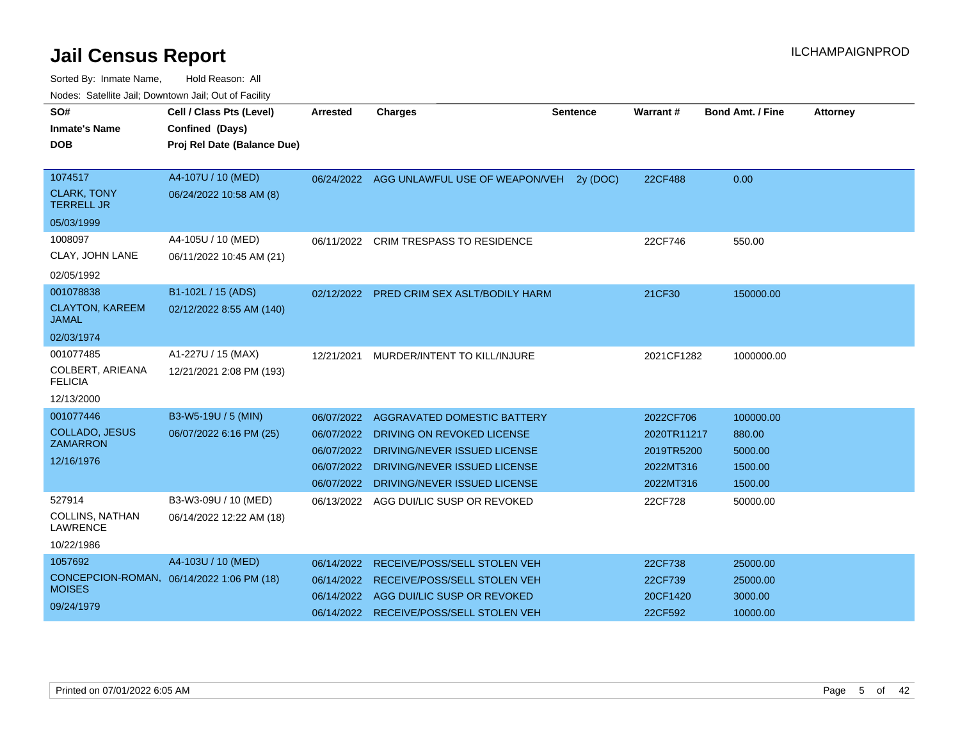| SO#                                       | Cell / Class Pts (Level)                  | <b>Arrested</b> | <b>Charges</b>                            | <b>Sentence</b> | Warrant#    | <b>Bond Amt. / Fine</b> | <b>Attorney</b> |
|-------------------------------------------|-------------------------------------------|-----------------|-------------------------------------------|-----------------|-------------|-------------------------|-----------------|
| <b>Inmate's Name</b><br><b>DOB</b>        | Confined (Days)                           |                 |                                           |                 |             |                         |                 |
|                                           | Proj Rel Date (Balance Due)               |                 |                                           |                 |             |                         |                 |
| 1074517                                   | A4-107U / 10 (MED)                        |                 | 06/24/2022 AGG UNLAWFUL USE OF WEAPON/VEH | 2v(DOC)         | 22CF488     | 0.00                    |                 |
| <b>CLARK, TONY</b><br><b>TERRELL JR</b>   | 06/24/2022 10:58 AM (8)                   |                 |                                           |                 |             |                         |                 |
| 05/03/1999                                |                                           |                 |                                           |                 |             |                         |                 |
| 1008097                                   | A4-105U / 10 (MED)                        |                 | 06/11/2022 CRIM TRESPASS TO RESIDENCE     |                 | 22CF746     | 550.00                  |                 |
| CLAY, JOHN LANE                           | 06/11/2022 10:45 AM (21)                  |                 |                                           |                 |             |                         |                 |
| 02/05/1992                                |                                           |                 |                                           |                 |             |                         |                 |
| 001078838                                 | B1-102L / 15 (ADS)                        |                 | 02/12/2022 PRED CRIM SEX ASLT/BODILY HARM |                 | 21CF30      | 150000.00               |                 |
| <b>CLAYTON, KAREEM</b><br><b>JAMAL</b>    | 02/12/2022 8:55 AM (140)                  |                 |                                           |                 |             |                         |                 |
| 02/03/1974                                |                                           |                 |                                           |                 |             |                         |                 |
| 001077485                                 | A1-227U / 15 (MAX)                        | 12/21/2021      | MURDER/INTENT TO KILL/INJURE              |                 | 2021CF1282  | 1000000.00              |                 |
| COLBERT, ARIEANA<br><b>FELICIA</b>        | 12/21/2021 2:08 PM (193)                  |                 |                                           |                 |             |                         |                 |
| 12/13/2000                                |                                           |                 |                                           |                 |             |                         |                 |
| 001077446                                 | B3-W5-19U / 5 (MIN)                       | 06/07/2022      | AGGRAVATED DOMESTIC BATTERY               |                 | 2022CF706   | 100000.00               |                 |
| <b>COLLADO, JESUS</b>                     | 06/07/2022 6:16 PM (25)                   | 06/07/2022      | DRIVING ON REVOKED LICENSE                |                 | 2020TR11217 | 880.00                  |                 |
| <b>ZAMARRON</b>                           |                                           | 06/07/2022      | DRIVING/NEVER ISSUED LICENSE              |                 | 2019TR5200  | 5000.00                 |                 |
| 12/16/1976                                |                                           | 06/07/2022      | DRIVING/NEVER ISSUED LICENSE              |                 | 2022MT316   | 1500.00                 |                 |
|                                           |                                           | 06/07/2022      | DRIVING/NEVER ISSUED LICENSE              |                 | 2022MT316   | 1500.00                 |                 |
| 527914                                    | B3-W3-09U / 10 (MED)                      | 06/13/2022      | AGG DUI/LIC SUSP OR REVOKED               |                 | 22CF728     | 50000.00                |                 |
| <b>COLLINS, NATHAN</b><br><b>LAWRENCE</b> | 06/14/2022 12:22 AM (18)                  |                 |                                           |                 |             |                         |                 |
| 10/22/1986                                |                                           |                 |                                           |                 |             |                         |                 |
| 1057692                                   | A4-103U / 10 (MED)                        | 06/14/2022      | RECEIVE/POSS/SELL STOLEN VEH              |                 | 22CF738     | 25000.00                |                 |
|                                           | CONCEPCION-ROMAN, 06/14/2022 1:06 PM (18) | 06/14/2022      | <b>RECEIVE/POSS/SELL STOLEN VEH</b>       |                 | 22CF739     | 25000.00                |                 |
| <b>MOISES</b>                             |                                           | 06/14/2022      | AGG DUI/LIC SUSP OR REVOKED               |                 | 20CF1420    | 3000.00                 |                 |
| 09/24/1979                                |                                           |                 | 06/14/2022 RECEIVE/POSS/SELL STOLEN VEH   |                 | 22CF592     | 10000.00                |                 |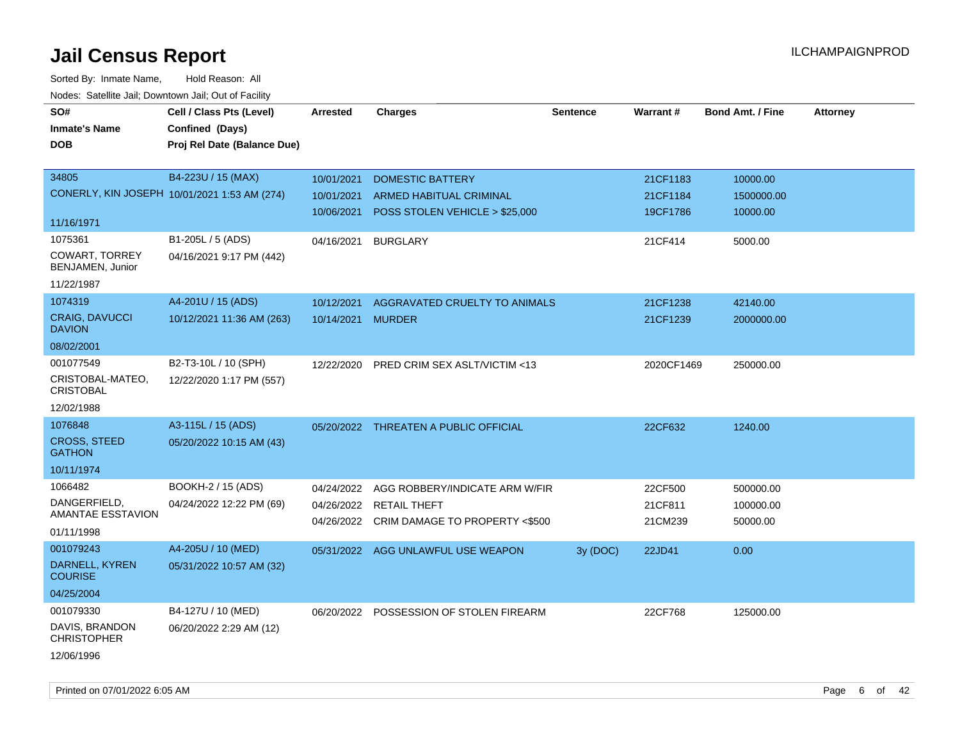| SO#<br><b>Inmate's Name</b>          | Cell / Class Pts (Level)<br>Confined (Days)  | <b>Arrested</b>   | <b>Charges</b>                            | <b>Sentence</b> | Warrant#   | <b>Bond Amt. / Fine</b> | <b>Attorney</b> |
|--------------------------------------|----------------------------------------------|-------------------|-------------------------------------------|-----------------|------------|-------------------------|-----------------|
| <b>DOB</b>                           | Proj Rel Date (Balance Due)                  |                   |                                           |                 |            |                         |                 |
| 34805                                | B4-223U / 15 (MAX)                           | 10/01/2021        | <b>DOMESTIC BATTERY</b>                   |                 | 21CF1183   | 10000.00                |                 |
|                                      | CONERLY, KIN JOSEPH 10/01/2021 1:53 AM (274) | 10/01/2021        | <b>ARMED HABITUAL CRIMINAL</b>            |                 | 21CF1184   | 1500000.00              |                 |
|                                      |                                              | 10/06/2021        | POSS STOLEN VEHICLE > \$25,000            |                 | 19CF1786   | 10000.00                |                 |
| 11/16/1971                           |                                              |                   |                                           |                 |            |                         |                 |
| 1075361                              | B1-205L / 5 (ADS)                            | 04/16/2021        | <b>BURGLARY</b>                           |                 | 21CF414    | 5000.00                 |                 |
| COWART, TORREY<br>BENJAMEN, Junior   | 04/16/2021 9:17 PM (442)                     |                   |                                           |                 |            |                         |                 |
| 11/22/1987                           |                                              |                   |                                           |                 |            |                         |                 |
| 1074319                              | A4-201U / 15 (ADS)                           | 10/12/2021        | AGGRAVATED CRUELTY TO ANIMALS             |                 | 21CF1238   | 42140.00                |                 |
| CRAIG, DAVUCCI<br><b>DAVION</b>      | 10/12/2021 11:36 AM (263)                    | 10/14/2021 MURDER |                                           |                 | 21CF1239   | 2000000.00              |                 |
| 08/02/2001                           |                                              |                   |                                           |                 |            |                         |                 |
| 001077549                            | B2-T3-10L / 10 (SPH)                         | 12/22/2020        | PRED CRIM SEX ASLT/VICTIM <13             |                 | 2020CF1469 | 250000.00               |                 |
| CRISTOBAL-MATEO,<br><b>CRISTOBAL</b> | 12/22/2020 1:17 PM (557)                     |                   |                                           |                 |            |                         |                 |
| 12/02/1988                           |                                              |                   |                                           |                 |            |                         |                 |
| 1076848                              | A3-115L / 15 (ADS)                           |                   | 05/20/2022 THREATEN A PUBLIC OFFICIAL     |                 | 22CF632    | 1240.00                 |                 |
| <b>CROSS, STEED</b><br><b>GATHON</b> | 05/20/2022 10:15 AM (43)                     |                   |                                           |                 |            |                         |                 |
| 10/11/1974                           |                                              |                   |                                           |                 |            |                         |                 |
| 1066482                              | BOOKH-2 / 15 (ADS)                           | 04/24/2022        | AGG ROBBERY/INDICATE ARM W/FIR            |                 | 22CF500    | 500000.00               |                 |
| DANGERFIELD,                         | 04/24/2022 12:22 PM (69)                     |                   | 04/26/2022 RETAIL THEFT                   |                 | 21CF811    | 100000.00               |                 |
| AMANTAE ESSTAVION                    |                                              |                   | 04/26/2022 CRIM DAMAGE TO PROPERTY <\$500 |                 | 21CM239    | 50000.00                |                 |
| 01/11/1998                           |                                              |                   |                                           |                 |            |                         |                 |
| 001079243                            | A4-205U / 10 (MED)                           |                   | 05/31/2022 AGG UNLAWFUL USE WEAPON        | 3y(DOC)         | 22JD41     | 0.00                    |                 |
| DARNELL, KYREN<br><b>COURISE</b>     | 05/31/2022 10:57 AM (32)                     |                   |                                           |                 |            |                         |                 |
| 04/25/2004                           |                                              |                   |                                           |                 |            |                         |                 |
| 001079330                            | B4-127U / 10 (MED)                           |                   | 06/20/2022 POSSESSION OF STOLEN FIREARM   |                 | 22CF768    | 125000.00               |                 |
| DAVIS, BRANDON<br><b>CHRISTOPHER</b> | 06/20/2022 2:29 AM (12)                      |                   |                                           |                 |            |                         |                 |
| 12/06/1996                           |                                              |                   |                                           |                 |            |                         |                 |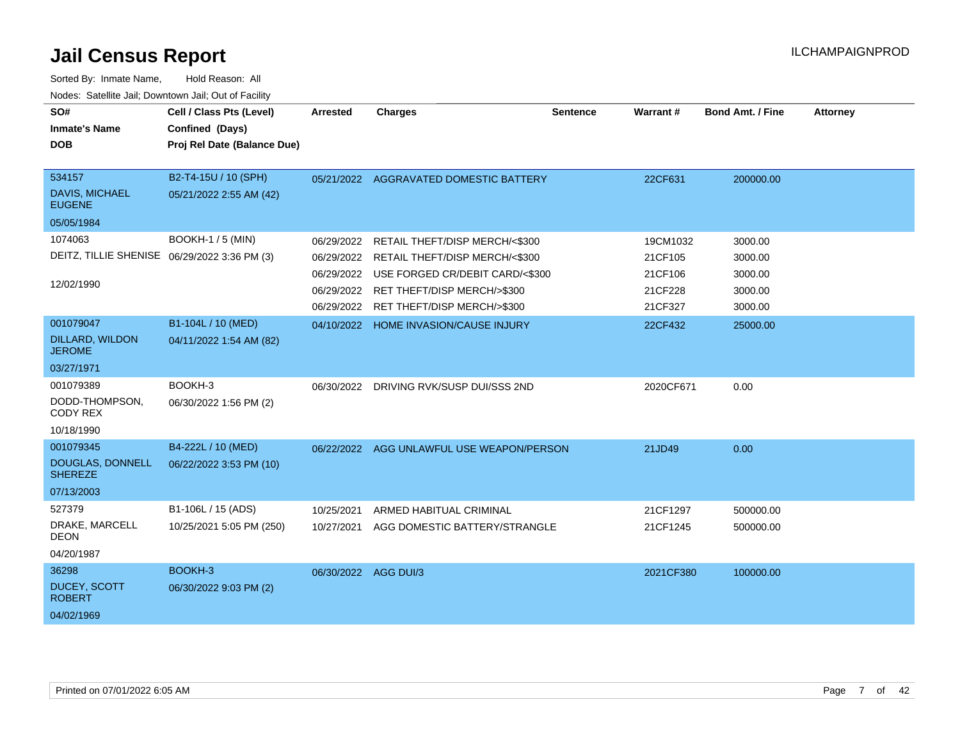| SO#<br><b>Inmate's Name</b><br><b>DOB</b>       | Cell / Class Pts (Level)<br>Confined (Days)<br>Proj Rel Date (Balance Due) | <b>Arrested</b>          | <b>Charges</b>                                           | <b>Sentence</b> | <b>Warrant#</b>      | <b>Bond Amt. / Fine</b> | <b>Attorney</b> |
|-------------------------------------------------|----------------------------------------------------------------------------|--------------------------|----------------------------------------------------------|-----------------|----------------------|-------------------------|-----------------|
| 534157<br>DAVIS, MICHAEL<br><b>EUGENE</b>       | B2-T4-15U / 10 (SPH)<br>05/21/2022 2:55 AM (42)                            |                          | 05/21/2022 AGGRAVATED DOMESTIC BATTERY                   |                 | 22CF631              | 200000.00               |                 |
| 05/05/1984                                      |                                                                            |                          |                                                          |                 |                      |                         |                 |
| 1074063                                         | <b>BOOKH-1 / 5 (MIN)</b>                                                   | 06/29/2022               | RETAIL THEFT/DISP MERCH/<\$300                           |                 | 19CM1032             | 3000.00                 |                 |
| DEITZ, TILLIE SHENISE 06/29/2022 3:36 PM (3)    |                                                                            | 06/29/2022               | RETAIL THEFT/DISP MERCH/<\$300                           |                 | 21CF105              | 3000.00                 |                 |
|                                                 |                                                                            | 06/29/2022               | USE FORGED CR/DEBIT CARD/<\$300                          |                 | 21CF106              | 3000.00                 |                 |
| 12/02/1990                                      |                                                                            | 06/29/2022               | RET THEFT/DISP MERCH/>\$300                              |                 | 21CF228              | 3000.00                 |                 |
|                                                 |                                                                            | 06/29/2022               | RET THEFT/DISP MERCH/>\$300                              |                 | 21CF327              | 3000.00                 |                 |
| 001079047                                       | B1-104L / 10 (MED)                                                         |                          | 04/10/2022 HOME INVASION/CAUSE INJURY                    |                 | 22CF432              | 25000.00                |                 |
| <b>DILLARD, WILDON</b><br><b>JEROME</b>         | 04/11/2022 1:54 AM (82)                                                    |                          |                                                          |                 |                      |                         |                 |
| 03/27/1971                                      |                                                                            |                          |                                                          |                 |                      |                         |                 |
| 001079389<br>DODD-THOMPSON,<br>CODY REX         | BOOKH-3<br>06/30/2022 1:56 PM (2)                                          | 06/30/2022               | DRIVING RVK/SUSP DUI/SSS 2ND                             |                 | 2020CF671            | 0.00                    |                 |
| 10/18/1990                                      |                                                                            |                          |                                                          |                 |                      |                         |                 |
| 001079345<br>DOUGLAS, DONNELL<br><b>SHEREZE</b> | B4-222L / 10 (MED)<br>06/22/2022 3:53 PM (10)                              |                          | 06/22/2022 AGG UNLAWFUL USE WEAPON/PERSON                |                 | 21JD49               | 0.00                    |                 |
| 07/13/2003                                      |                                                                            |                          |                                                          |                 |                      |                         |                 |
| 527379<br>DRAKE, MARCELL<br><b>DEON</b>         | B1-106L / 15 (ADS)<br>10/25/2021 5:05 PM (250)                             | 10/25/2021<br>10/27/2021 | ARMED HABITUAL CRIMINAL<br>AGG DOMESTIC BATTERY/STRANGLE |                 | 21CF1297<br>21CF1245 | 500000.00<br>500000.00  |                 |
| 04/20/1987                                      |                                                                            |                          |                                                          |                 |                      |                         |                 |
| 36298                                           | BOOKH-3                                                                    | 06/30/2022 AGG DUI/3     |                                                          |                 | 2021CF380            | 100000.00               |                 |
| DUCEY, SCOTT<br><b>ROBERT</b>                   | 06/30/2022 9:03 PM (2)                                                     |                          |                                                          |                 |                      |                         |                 |
| 04/02/1969                                      |                                                                            |                          |                                                          |                 |                      |                         |                 |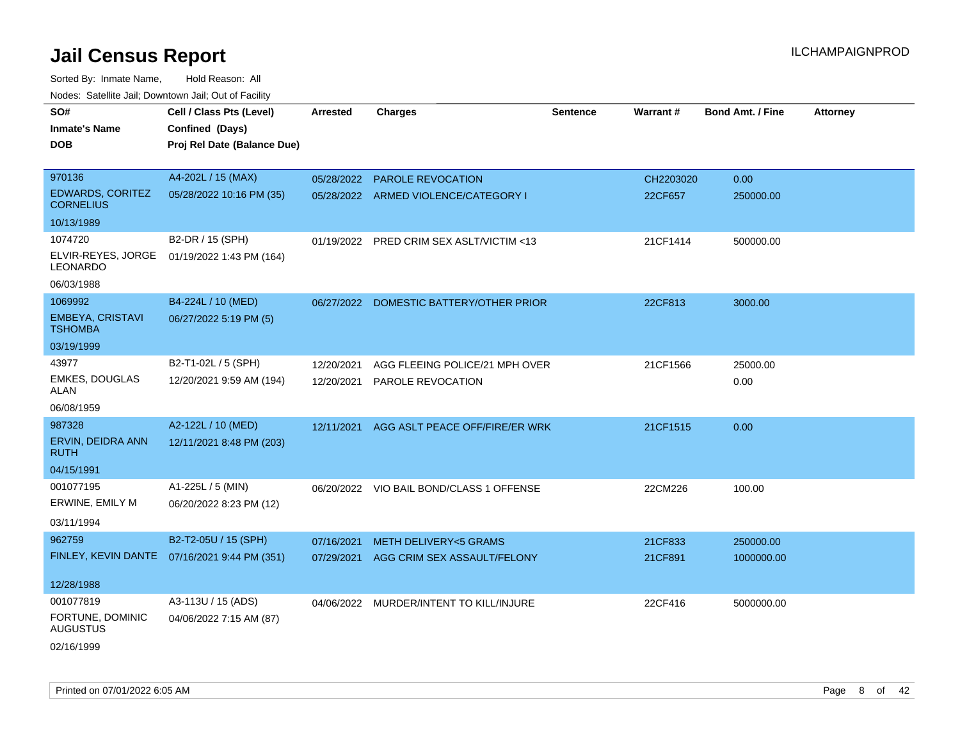| roacs. Catellite Jall, Downtown Jall, Out of Facility |                                                                            |                 |                                          |                 |                 |                         |                 |
|-------------------------------------------------------|----------------------------------------------------------------------------|-----------------|------------------------------------------|-----------------|-----------------|-------------------------|-----------------|
| SO#<br><b>Inmate's Name</b><br><b>DOB</b>             | Cell / Class Pts (Level)<br>Confined (Days)<br>Proj Rel Date (Balance Due) | <b>Arrested</b> | <b>Charges</b>                           | <b>Sentence</b> | <b>Warrant#</b> | <b>Bond Amt. / Fine</b> | <b>Attorney</b> |
|                                                       |                                                                            |                 |                                          |                 |                 |                         |                 |
| 970136                                                | A4-202L / 15 (MAX)                                                         | 05/28/2022      | <b>PAROLE REVOCATION</b>                 |                 | CH2203020       | 0.00                    |                 |
| EDWARDS, CORITEZ<br><b>CORNELIUS</b>                  | 05/28/2022 10:16 PM (35)                                                   |                 | 05/28/2022 ARMED VIOLENCE/CATEGORY I     |                 | 22CF657         | 250000.00               |                 |
| 10/13/1989                                            |                                                                            |                 |                                          |                 |                 |                         |                 |
| 1074720                                               | B2-DR / 15 (SPH)                                                           |                 | 01/19/2022 PRED CRIM SEX ASLT/VICTIM <13 |                 | 21CF1414        | 500000.00               |                 |
| ELVIR-REYES, JORGE<br>LEONARDO                        | 01/19/2022 1:43 PM (164)                                                   |                 |                                          |                 |                 |                         |                 |
| 06/03/1988                                            |                                                                            |                 |                                          |                 |                 |                         |                 |
| 1069992                                               | B4-224L / 10 (MED)                                                         |                 | 06/27/2022 DOMESTIC BATTERY/OTHER PRIOR  |                 | 22CF813         | 3000.00                 |                 |
| <b>EMBEYA, CRISTAVI</b><br><b>TSHOMBA</b>             | 06/27/2022 5:19 PM (5)                                                     |                 |                                          |                 |                 |                         |                 |
| 03/19/1999                                            |                                                                            |                 |                                          |                 |                 |                         |                 |
| 43977                                                 | B2-T1-02L / 5 (SPH)                                                        | 12/20/2021      | AGG FLEEING POLICE/21 MPH OVER           |                 | 21CF1566        | 25000.00                |                 |
| <b>EMKES, DOUGLAS</b><br>ALAN                         | 12/20/2021 9:59 AM (194)                                                   | 12/20/2021      | PAROLE REVOCATION                        |                 |                 | 0.00                    |                 |
| 06/08/1959                                            |                                                                            |                 |                                          |                 |                 |                         |                 |
| 987328                                                | A2-122L / 10 (MED)                                                         | 12/11/2021      | AGG ASLT PEACE OFF/FIRE/ER WRK           |                 | 21CF1515        | 0.00                    |                 |
| ERVIN, DEIDRA ANN<br><b>RUTH</b>                      | 12/11/2021 8:48 PM (203)                                                   |                 |                                          |                 |                 |                         |                 |
| 04/15/1991                                            |                                                                            |                 |                                          |                 |                 |                         |                 |
| 001077195                                             | A1-225L / 5 (MIN)                                                          |                 | 06/20/2022 VIO BAIL BOND/CLASS 1 OFFENSE |                 | 22CM226         | 100.00                  |                 |
| ERWINE, EMILY M                                       | 06/20/2022 8:23 PM (12)                                                    |                 |                                          |                 |                 |                         |                 |
| 03/11/1994                                            |                                                                            |                 |                                          |                 |                 |                         |                 |
| 962759                                                | B2-T2-05U / 15 (SPH)                                                       | 07/16/2021      | <b>METH DELIVERY&lt;5 GRAMS</b>          |                 | 21CF833         | 250000.00               |                 |
|                                                       | FINLEY, KEVIN DANTE 07/16/2021 9:44 PM (351)                               |                 | 07/29/2021 AGG CRIM SEX ASSAULT/FELONY   |                 | 21CF891         | 1000000.00              |                 |
|                                                       |                                                                            |                 |                                          |                 |                 |                         |                 |
| 12/28/1988                                            |                                                                            |                 |                                          |                 |                 |                         |                 |
| 001077819                                             | A3-113U / 15 (ADS)                                                         |                 | 04/06/2022 MURDER/INTENT TO KILL/INJURE  |                 | 22CF416         | 5000000.00              |                 |
| FORTUNE, DOMINIC<br><b>AUGUSTUS</b>                   | 04/06/2022 7:15 AM (87)                                                    |                 |                                          |                 |                 |                         |                 |
| 02/16/1999                                            |                                                                            |                 |                                          |                 |                 |                         |                 |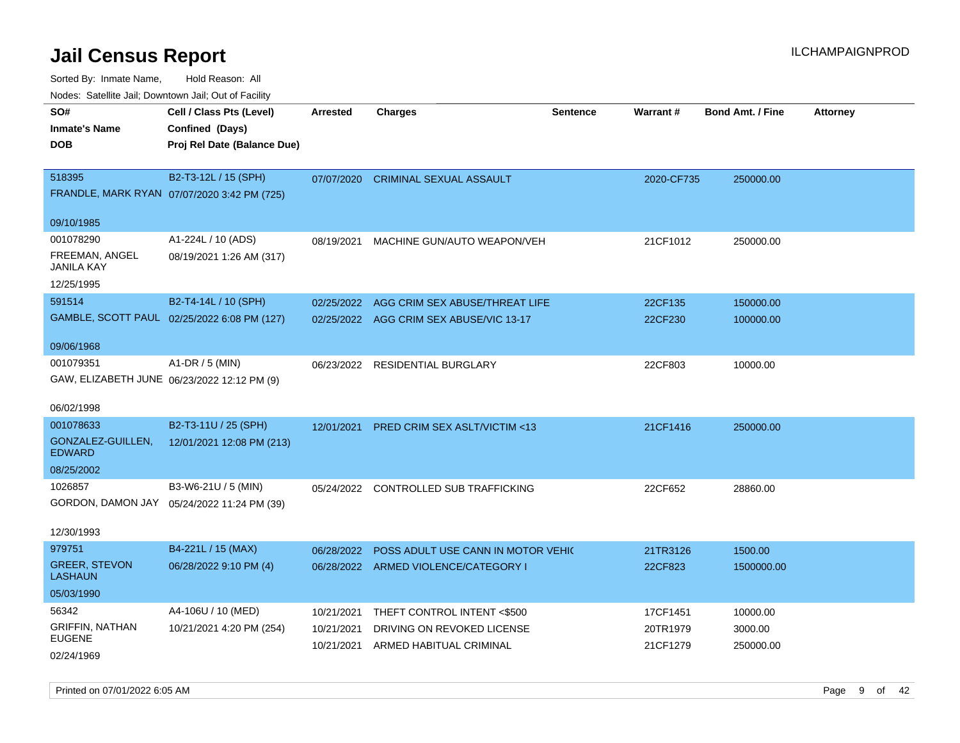| roaco. Odichile Jan, Downtown Jan, Out of Facility |                                             |                 |                                         |                 |            |                         |                 |
|----------------------------------------------------|---------------------------------------------|-----------------|-----------------------------------------|-----------------|------------|-------------------------|-----------------|
| SO#                                                | Cell / Class Pts (Level)                    | <b>Arrested</b> | <b>Charges</b>                          | <b>Sentence</b> | Warrant#   | <b>Bond Amt. / Fine</b> | <b>Attorney</b> |
| <b>Inmate's Name</b>                               | Confined (Days)                             |                 |                                         |                 |            |                         |                 |
| <b>DOB</b>                                         | Proj Rel Date (Balance Due)                 |                 |                                         |                 |            |                         |                 |
|                                                    |                                             |                 |                                         |                 |            |                         |                 |
| 518395                                             | B2-T3-12L / 15 (SPH)                        | 07/07/2020      | <b>CRIMINAL SEXUAL ASSAULT</b>          |                 | 2020-CF735 | 250000.00               |                 |
|                                                    | FRANDLE, MARK RYAN 07/07/2020 3:42 PM (725) |                 |                                         |                 |            |                         |                 |
|                                                    |                                             |                 |                                         |                 |            |                         |                 |
| 09/10/1985                                         |                                             |                 |                                         |                 |            |                         |                 |
| 001078290                                          | A1-224L / 10 (ADS)                          | 08/19/2021      | MACHINE GUN/AUTO WEAPON/VEH             |                 | 21CF1012   | 250000.00               |                 |
| FREEMAN, ANGEL                                     | 08/19/2021 1:26 AM (317)                    |                 |                                         |                 |            |                         |                 |
| <b>JANILA KAY</b>                                  |                                             |                 |                                         |                 |            |                         |                 |
| 12/25/1995                                         |                                             |                 |                                         |                 |            |                         |                 |
| 591514                                             | B2-T4-14L / 10 (SPH)                        | 02/25/2022      | AGG CRIM SEX ABUSE/THREAT LIFE          |                 | 22CF135    | 150000.00               |                 |
|                                                    | GAMBLE, SCOTT PAUL 02/25/2022 6:08 PM (127) |                 | 02/25/2022 AGG CRIM SEX ABUSE/VIC 13-17 |                 | 22CF230    | 100000.00               |                 |
|                                                    |                                             |                 |                                         |                 |            |                         |                 |
| 09/06/1968                                         |                                             |                 |                                         |                 |            |                         |                 |
| 001079351                                          | A1-DR / 5 (MIN)                             |                 | 06/23/2022 RESIDENTIAL BURGLARY         |                 | 22CF803    | 10000.00                |                 |
|                                                    | GAW, ELIZABETH JUNE 06/23/2022 12:12 PM (9) |                 |                                         |                 |            |                         |                 |
| 06/02/1998                                         |                                             |                 |                                         |                 |            |                         |                 |
| 001078633                                          | B2-T3-11U / 25 (SPH)                        | 12/01/2021      | <b>PRED CRIM SEX ASLT/VICTIM &lt;13</b> |                 | 21CF1416   | 250000.00               |                 |
| GONZALEZ-GUILLEN,                                  | 12/01/2021 12:08 PM (213)                   |                 |                                         |                 |            |                         |                 |
| <b>EDWARD</b>                                      |                                             |                 |                                         |                 |            |                         |                 |
| 08/25/2002                                         |                                             |                 |                                         |                 |            |                         |                 |
| 1026857                                            | B3-W6-21U / 5 (MIN)                         |                 | 05/24/2022 CONTROLLED SUB TRAFFICKING   |                 | 22CF652    | 28860.00                |                 |
|                                                    | GORDON, DAMON JAY 05/24/2022 11:24 PM (39)  |                 |                                         |                 |            |                         |                 |
|                                                    |                                             |                 |                                         |                 |            |                         |                 |
| 12/30/1993                                         |                                             |                 |                                         |                 |            |                         |                 |
| 979751                                             | B4-221L / 15 (MAX)                          | 06/28/2022      | POSS ADULT USE CANN IN MOTOR VEHIC      |                 | 21TR3126   | 1500.00                 |                 |
| <b>GREER, STEVON</b>                               | 06/28/2022 9:10 PM (4)                      | 06/28/2022      | ARMED VIOLENCE/CATEGORY I               |                 | 22CF823    | 1500000.00              |                 |
| <b>LASHAUN</b>                                     |                                             |                 |                                         |                 |            |                         |                 |
| 05/03/1990                                         |                                             |                 |                                         |                 |            |                         |                 |
| 56342                                              | A4-106U / 10 (MED)                          | 10/21/2021      | THEFT CONTROL INTENT <\$500             |                 | 17CF1451   | 10000.00                |                 |
| <b>GRIFFIN, NATHAN</b>                             | 10/21/2021 4:20 PM (254)                    | 10/21/2021      | DRIVING ON REVOKED LICENSE              |                 | 20TR1979   | 3000.00                 |                 |
| <b>EUGENE</b>                                      |                                             | 10/21/2021      | ARMED HABITUAL CRIMINAL                 |                 | 21CF1279   | 250000.00               |                 |
| 02/24/1969                                         |                                             |                 |                                         |                 |            |                         |                 |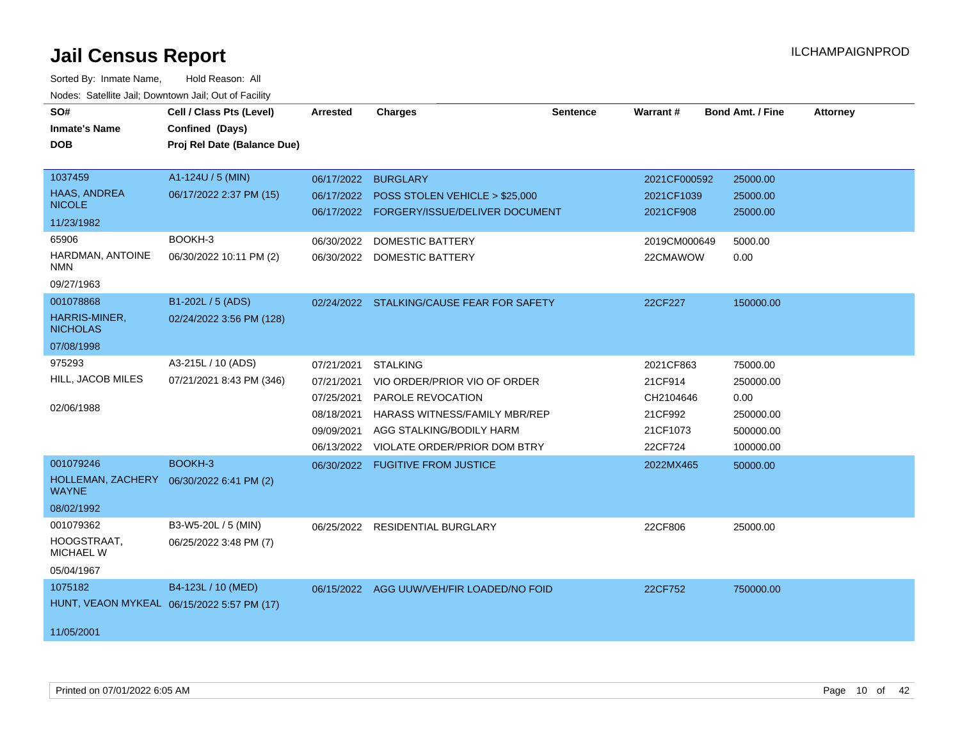| SO#<br><b>Inmate's Name</b><br><b>DOB</b><br>1037459<br>HAAS, ANDREA | Cell / Class Pts (Level)<br>Confined (Days)<br>Proj Rel Date (Balance Due)<br>A1-124U / 5 (MIN)<br>06/17/2022 2:37 PM (15) | Arrested<br>06/17/2022                                             | <b>Charges</b><br><b>BURGLARY</b><br>06/17/2022 POSS STOLEN VEHICLE > \$25,000                                                                                                             | <b>Sentence</b> | Warrant#<br>2021CF000592<br>2021CF1039                              | <b>Bond Amt. / Fine</b><br>25000.00<br>25000.00                      | <b>Attorney</b> |
|----------------------------------------------------------------------|----------------------------------------------------------------------------------------------------------------------------|--------------------------------------------------------------------|--------------------------------------------------------------------------------------------------------------------------------------------------------------------------------------------|-----------------|---------------------------------------------------------------------|----------------------------------------------------------------------|-----------------|
| <b>NICOLE</b><br>11/23/1982                                          |                                                                                                                            |                                                                    | 06/17/2022 FORGERY/ISSUE/DELIVER DOCUMENT                                                                                                                                                  |                 | 2021CF908                                                           | 25000.00                                                             |                 |
| 65906<br>HARDMAN, ANTOINE<br><b>NMN</b><br>09/27/1963                | BOOKH-3<br>06/30/2022 10:11 PM (2)                                                                                         |                                                                    | 06/30/2022 DOMESTIC BATTERY<br>06/30/2022 DOMESTIC BATTERY                                                                                                                                 |                 | 2019CM000649<br>22CMAWOW                                            | 5000.00<br>0.00                                                      |                 |
| 001078868<br>HARRIS-MINER,<br><b>NICHOLAS</b><br>07/08/1998          | B1-202L / 5 (ADS)<br>02/24/2022 3:56 PM (128)                                                                              |                                                                    | 02/24/2022 STALKING/CAUSE FEAR FOR SAFETY                                                                                                                                                  |                 | 22CF227                                                             | 150000.00                                                            |                 |
| 975293<br>HILL, JACOB MILES<br>02/06/1988                            | A3-215L / 10 (ADS)<br>07/21/2021 8:43 PM (346)                                                                             | 07/21/2021<br>07/21/2021<br>07/25/2021<br>08/18/2021<br>09/09/2021 | <b>STALKING</b><br>VIO ORDER/PRIOR VIO OF ORDER<br><b>PAROLE REVOCATION</b><br><b>HARASS WITNESS/FAMILY MBR/REP</b><br>AGG STALKING/BODILY HARM<br>06/13/2022 VIOLATE ORDER/PRIOR DOM BTRY |                 | 2021CF863<br>21CF914<br>CH2104646<br>21CF992<br>21CF1073<br>22CF724 | 75000.00<br>250000.00<br>0.00<br>250000.00<br>500000.00<br>100000.00 |                 |
| 001079246<br>HOLLEMAN, ZACHERY<br><b>WAYNE</b><br>08/02/1992         | BOOKH-3<br>06/30/2022 6:41 PM (2)                                                                                          |                                                                    | 06/30/2022 FUGITIVE FROM JUSTICE                                                                                                                                                           |                 | 2022MX465                                                           | 50000.00                                                             |                 |
| 001079362<br>HOOGSTRAAT,<br><b>MICHAEL W</b><br>05/04/1967           | B3-W5-20L / 5 (MIN)<br>06/25/2022 3:48 PM (7)                                                                              |                                                                    | 06/25/2022 RESIDENTIAL BURGLARY                                                                                                                                                            |                 | 22CF806                                                             | 25000.00                                                             |                 |
| 1075182<br>HUNT, VEAON MYKEAL 06/15/2022 5:57 PM (17)<br>11/05/2001  | B4-123L / 10 (MED)                                                                                                         |                                                                    | 06/15/2022 AGG UUW/VEH/FIR LOADED/NO FOID                                                                                                                                                  |                 | 22CF752                                                             | 750000.00                                                            |                 |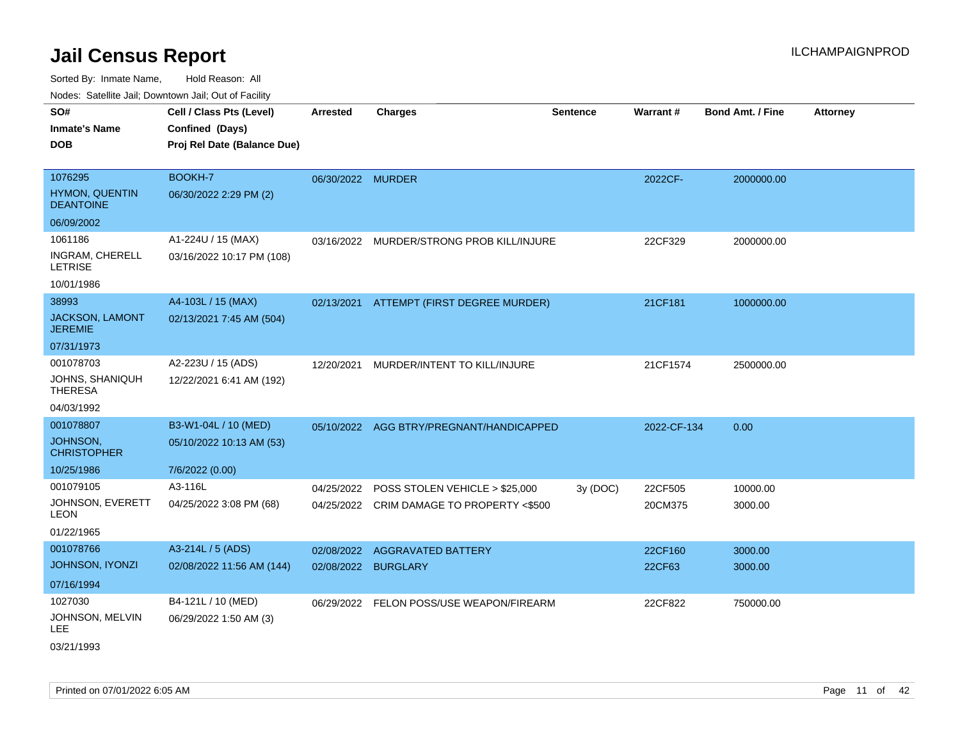| <b>Noute:</b> Catoline Jan, Downtown Jan, Out of Fability |                                             |                   |                                           |                 |                 |                         |                 |
|-----------------------------------------------------------|---------------------------------------------|-------------------|-------------------------------------------|-----------------|-----------------|-------------------------|-----------------|
| SO#<br><b>Inmate's Name</b>                               | Cell / Class Pts (Level)<br>Confined (Days) | <b>Arrested</b>   | <b>Charges</b>                            | <b>Sentence</b> | <b>Warrant#</b> | <b>Bond Amt. / Fine</b> | <b>Attorney</b> |
| <b>DOB</b>                                                | Proj Rel Date (Balance Due)                 |                   |                                           |                 |                 |                         |                 |
| 1076295                                                   | BOOKH-7                                     | 06/30/2022 MURDER |                                           |                 | 2022CF-         | 2000000.00              |                 |
| HYMON, QUENTIN<br><b>DEANTOINE</b>                        | 06/30/2022 2:29 PM (2)                      |                   |                                           |                 |                 |                         |                 |
| 06/09/2002                                                |                                             |                   |                                           |                 |                 |                         |                 |
| 1061186                                                   | A1-224U / 15 (MAX)                          |                   | 03/16/2022 MURDER/STRONG PROB KILL/INJURE |                 | 22CF329         | 2000000.00              |                 |
| INGRAM, CHERELL<br><b>LETRISE</b>                         | 03/16/2022 10:17 PM (108)                   |                   |                                           |                 |                 |                         |                 |
| 10/01/1986                                                |                                             |                   |                                           |                 |                 |                         |                 |
| 38993                                                     | A4-103L / 15 (MAX)                          |                   | 02/13/2021 ATTEMPT (FIRST DEGREE MURDER)  |                 | 21CF181         | 1000000.00              |                 |
| JACKSON, LAMONT<br><b>JEREMIE</b>                         | 02/13/2021 7:45 AM (504)                    |                   |                                           |                 |                 |                         |                 |
| 07/31/1973                                                |                                             |                   |                                           |                 |                 |                         |                 |
| 001078703                                                 | A2-223U / 15 (ADS)                          | 12/20/2021        | MURDER/INTENT TO KILL/INJURE              |                 | 21CF1574        | 2500000.00              |                 |
| JOHNS, SHANIQUH<br><b>THERESA</b>                         | 12/22/2021 6:41 AM (192)                    |                   |                                           |                 |                 |                         |                 |
| 04/03/1992                                                |                                             |                   |                                           |                 |                 |                         |                 |
| 001078807                                                 | B3-W1-04L / 10 (MED)                        |                   | 05/10/2022 AGG BTRY/PREGNANT/HANDICAPPED  |                 | 2022-CF-134     | 0.00                    |                 |
| JOHNSON,<br><b>CHRISTOPHER</b>                            | 05/10/2022 10:13 AM (53)                    |                   |                                           |                 |                 |                         |                 |
| 10/25/1986                                                | 7/6/2022 (0.00)                             |                   |                                           |                 |                 |                         |                 |
| 001079105                                                 | A3-116L                                     | 04/25/2022        | POSS STOLEN VEHICLE > \$25,000            | 3y (DOC)        | 22CF505         | 10000.00                |                 |
| JOHNSON, EVERETT<br>LEON                                  | 04/25/2022 3:08 PM (68)                     |                   | 04/25/2022 CRIM DAMAGE TO PROPERTY <\$500 |                 | 20CM375         | 3000.00                 |                 |
| 01/22/1965                                                |                                             |                   |                                           |                 |                 |                         |                 |
| 001078766                                                 | A3-214L / 5 (ADS)                           | 02/08/2022        | AGGRAVATED BATTERY                        |                 | 22CF160         | 3000.00                 |                 |
| JOHNSON, IYONZI                                           | 02/08/2022 11:56 AM (144)                   |                   | 02/08/2022 BURGLARY                       |                 | 22CF63          | 3000.00                 |                 |
| 07/16/1994                                                |                                             |                   |                                           |                 |                 |                         |                 |
| 1027030                                                   | B4-121L / 10 (MED)                          |                   | 06/29/2022 FELON POSS/USE WEAPON/FIREARM  |                 | 22CF822         | 750000.00               |                 |
| JOHNSON, MELVIN<br>LEE.                                   | 06/29/2022 1:50 AM (3)                      |                   |                                           |                 |                 |                         |                 |
| 03/21/1993                                                |                                             |                   |                                           |                 |                 |                         |                 |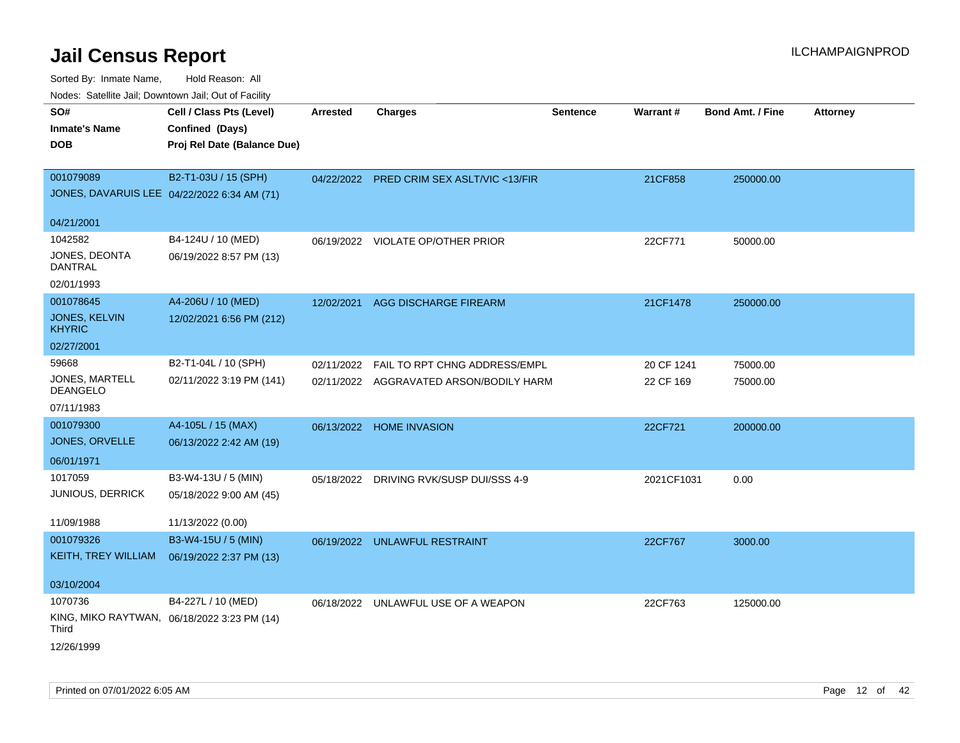Sorted By: Inmate Name, Hold Reason: All

Nodes: Satellite Jail; Downtown Jail; Out of Facility

| SO#                                         | Cell / Class Pts (Level)                    | <b>Arrested</b> | <b>Charges</b>                            | <b>Sentence</b> | Warrant#   | <b>Bond Amt. / Fine</b> | Attorney |
|---------------------------------------------|---------------------------------------------|-----------------|-------------------------------------------|-----------------|------------|-------------------------|----------|
| <b>Inmate's Name</b>                        | Confined (Days)                             |                 |                                           |                 |            |                         |          |
| <b>DOB</b>                                  | Proj Rel Date (Balance Due)                 |                 |                                           |                 |            |                         |          |
|                                             |                                             |                 |                                           |                 |            |                         |          |
| 001079089                                   | B2-T1-03U / 15 (SPH)                        |                 | 04/22/2022 PRED CRIM SEX ASLT/VIC <13/FIR |                 | 21CF858    | 250000.00               |          |
| JONES, DAVARUIS LEE 04/22/2022 6:34 AM (71) |                                             |                 |                                           |                 |            |                         |          |
|                                             |                                             |                 |                                           |                 |            |                         |          |
| 04/21/2001                                  |                                             |                 |                                           |                 |            |                         |          |
| 1042582                                     | B4-124U / 10 (MED)                          |                 | 06/19/2022 VIOLATE OP/OTHER PRIOR         |                 | 22CF771    | 50000.00                |          |
| JONES, DEONTA                               | 06/19/2022 8:57 PM (13)                     |                 |                                           |                 |            |                         |          |
| <b>DANTRAL</b>                              |                                             |                 |                                           |                 |            |                         |          |
| 02/01/1993                                  |                                             |                 |                                           |                 |            |                         |          |
| 001078645                                   | A4-206U / 10 (MED)                          | 12/02/2021      | <b>AGG DISCHARGE FIREARM</b>              |                 | 21CF1478   | 250000.00               |          |
| JONES, KELVIN                               | 12/02/2021 6:56 PM (212)                    |                 |                                           |                 |            |                         |          |
| <b>KHYRIC</b>                               |                                             |                 |                                           |                 |            |                         |          |
| 02/27/2001                                  |                                             |                 |                                           |                 |            |                         |          |
| 59668                                       | B2-T1-04L / 10 (SPH)                        | 02/11/2022      | FAIL TO RPT CHNG ADDRESS/EMPL             |                 | 20 CF 1241 | 75000.00                |          |
| JONES, MARTELL                              | 02/11/2022 3:19 PM (141)                    |                 | 02/11/2022 AGGRAVATED ARSON/BODILY HARM   |                 | 22 CF 169  | 75000.00                |          |
| DEANGELO                                    |                                             |                 |                                           |                 |            |                         |          |
| 07/11/1983                                  |                                             |                 |                                           |                 |            |                         |          |
| 001079300                                   | A4-105L / 15 (MAX)                          | 06/13/2022      | <b>HOME INVASION</b>                      |                 | 22CF721    | 200000.00               |          |
| JONES, ORVELLE                              | 06/13/2022 2:42 AM (19)                     |                 |                                           |                 |            |                         |          |
| 06/01/1971                                  |                                             |                 |                                           |                 |            |                         |          |
| 1017059                                     | B3-W4-13U / 5 (MIN)                         | 05/18/2022      | DRIVING RVK/SUSP DUI/SSS 4-9              |                 | 2021CF1031 | 0.00                    |          |
| JUNIOUS, DERRICK                            | 05/18/2022 9:00 AM (45)                     |                 |                                           |                 |            |                         |          |
|                                             |                                             |                 |                                           |                 |            |                         |          |
| 11/09/1988                                  | 11/13/2022 (0.00)                           |                 |                                           |                 |            |                         |          |
| 001079326                                   | B3-W4-15U / 5 (MIN)                         |                 | 06/19/2022 UNLAWFUL RESTRAINT             |                 | 22CF767    | 3000.00                 |          |
| <b>KEITH, TREY WILLIAM</b>                  | 06/19/2022 2:37 PM (13)                     |                 |                                           |                 |            |                         |          |
|                                             |                                             |                 |                                           |                 |            |                         |          |
| 03/10/2004                                  |                                             |                 |                                           |                 |            |                         |          |
| 1070736                                     | B4-227L / 10 (MED)                          |                 | 06/18/2022 UNLAWFUL USE OF A WEAPON       |                 | 22CF763    | 125000.00               |          |
|                                             | KING, MIKO RAYTWAN, 06/18/2022 3:23 PM (14) |                 |                                           |                 |            |                         |          |
| Third                                       |                                             |                 |                                           |                 |            |                         |          |
| 12/26/1999                                  |                                             |                 |                                           |                 |            |                         |          |
|                                             |                                             |                 |                                           |                 |            |                         |          |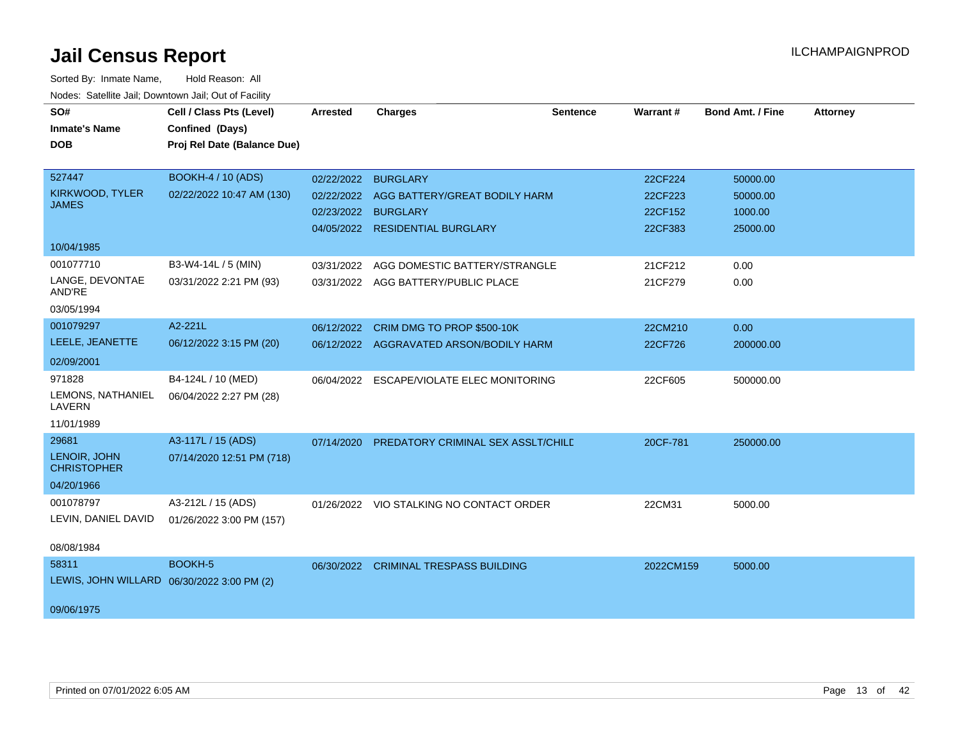| SO#                                        | Cell / Class Pts (Level)    | <b>Arrested</b> | <b>Charges</b>                           | <b>Sentence</b> | Warrant#  | <b>Bond Amt. / Fine</b> | <b>Attorney</b> |
|--------------------------------------------|-----------------------------|-----------------|------------------------------------------|-----------------|-----------|-------------------------|-----------------|
| <b>Inmate's Name</b>                       | Confined (Days)             |                 |                                          |                 |           |                         |                 |
| <b>DOB</b>                                 | Proj Rel Date (Balance Due) |                 |                                          |                 |           |                         |                 |
|                                            |                             |                 |                                          |                 |           |                         |                 |
| 527447                                     | <b>BOOKH-4 / 10 (ADS)</b>   | 02/22/2022      | <b>BURGLARY</b>                          |                 | 22CF224   | 50000.00                |                 |
| KIRKWOOD, TYLER                            | 02/22/2022 10:47 AM (130)   |                 | 02/22/2022 AGG BATTERY/GREAT BODILY HARM |                 | 22CF223   | 50000.00                |                 |
| <b>JAMES</b>                               |                             |                 | 02/23/2022 BURGLARY                      |                 | 22CF152   | 1000.00                 |                 |
|                                            |                             |                 | 04/05/2022 RESIDENTIAL BURGLARY          |                 | 22CF383   | 25000.00                |                 |
| 10/04/1985                                 |                             |                 |                                          |                 |           |                         |                 |
| 001077710                                  | B3-W4-14L / 5 (MIN)         | 03/31/2022      | AGG DOMESTIC BATTERY/STRANGLE            |                 | 21CF212   | 0.00                    |                 |
| LANGE, DEVONTAE<br>AND'RE                  | 03/31/2022 2:21 PM (93)     |                 | 03/31/2022 AGG BATTERY/PUBLIC PLACE      |                 | 21CF279   | 0.00                    |                 |
| 03/05/1994                                 |                             |                 |                                          |                 |           |                         |                 |
| 001079297                                  | A2-221L                     |                 | 06/12/2022 CRIM DMG TO PROP \$500-10K    |                 | 22CM210   | 0.00                    |                 |
| LEELE, JEANETTE                            | 06/12/2022 3:15 PM (20)     |                 | 06/12/2022 AGGRAVATED ARSON/BODILY HARM  |                 | 22CF726   | 200000.00               |                 |
| 02/09/2001                                 |                             |                 |                                          |                 |           |                         |                 |
| 971828                                     | B4-124L / 10 (MED)          | 06/04/2022      | ESCAPE/VIOLATE ELEC MONITORING           |                 | 22CF605   | 500000.00               |                 |
| LEMONS, NATHANIEL<br>LAVERN                | 06/04/2022 2:27 PM (28)     |                 |                                          |                 |           |                         |                 |
| 11/01/1989                                 |                             |                 |                                          |                 |           |                         |                 |
| 29681                                      | A3-117L / 15 (ADS)          | 07/14/2020      | PREDATORY CRIMINAL SEX ASSLT/CHILD       |                 | 20CF-781  | 250000.00               |                 |
| LENOIR, JOHN<br><b>CHRISTOPHER</b>         | 07/14/2020 12:51 PM (718)   |                 |                                          |                 |           |                         |                 |
| 04/20/1966                                 |                             |                 |                                          |                 |           |                         |                 |
| 001078797                                  | A3-212L / 15 (ADS)          |                 | 01/26/2022 VIO STALKING NO CONTACT ORDER |                 | 22CM31    | 5000.00                 |                 |
| LEVIN, DANIEL DAVID                        | 01/26/2022 3:00 PM (157)    |                 |                                          |                 |           |                         |                 |
| 08/08/1984                                 |                             |                 |                                          |                 |           |                         |                 |
| 58311                                      | BOOKH-5                     |                 | 06/30/2022 CRIMINAL TRESPASS BUILDING    |                 | 2022CM159 | 5000.00                 |                 |
| LEWIS, JOHN WILLARD 06/30/2022 3:00 PM (2) |                             |                 |                                          |                 |           |                         |                 |
|                                            |                             |                 |                                          |                 |           |                         |                 |
| 09/06/1975                                 |                             |                 |                                          |                 |           |                         |                 |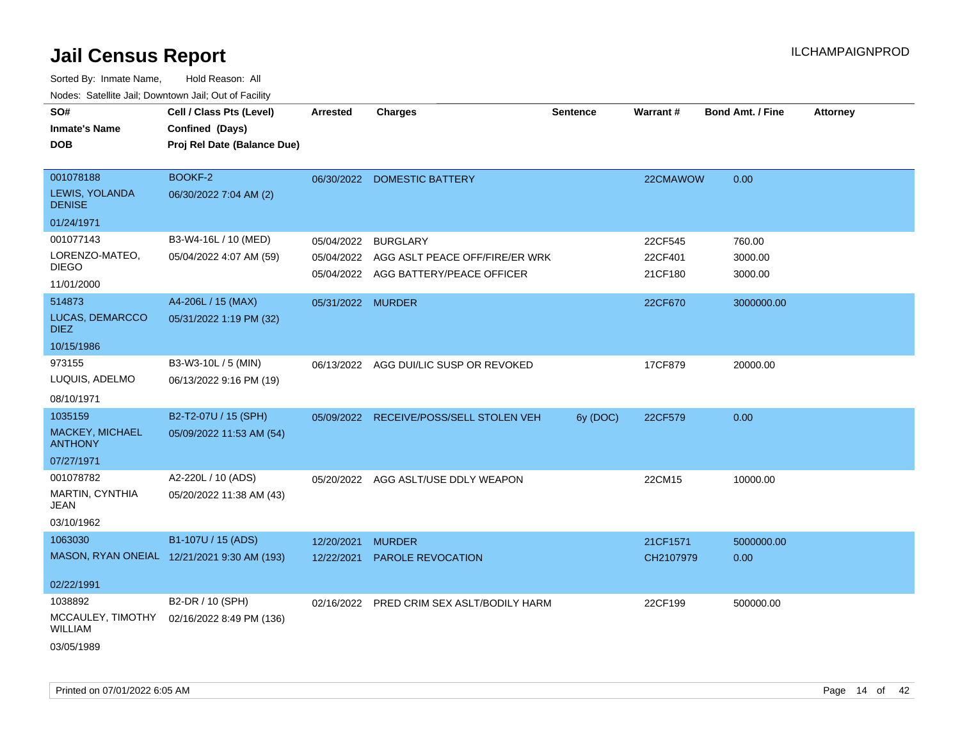| ivuutos. Saltiilit Jall, Duwilluwii Jall, Oul of Facility |                                             |                   |                                                                        |          |                    |                         |                 |
|-----------------------------------------------------------|---------------------------------------------|-------------------|------------------------------------------------------------------------|----------|--------------------|-------------------------|-----------------|
| SO#                                                       | Cell / Class Pts (Level)                    | <b>Arrested</b>   | <b>Charges</b>                                                         | Sentence | <b>Warrant#</b>    | <b>Bond Amt. / Fine</b> | <b>Attorney</b> |
| <b>Inmate's Name</b>                                      | Confined (Days)                             |                   |                                                                        |          |                    |                         |                 |
| <b>DOB</b>                                                | Proj Rel Date (Balance Due)                 |                   |                                                                        |          |                    |                         |                 |
|                                                           |                                             |                   |                                                                        |          |                    |                         |                 |
| 001078188                                                 | BOOKF-2                                     | 06/30/2022        | <b>DOMESTIC BATTERY</b>                                                |          | 22CMAWOW           | 0.00                    |                 |
| LEWIS, YOLANDA<br><b>DENISE</b>                           | 06/30/2022 7:04 AM (2)                      |                   |                                                                        |          |                    |                         |                 |
| 01/24/1971                                                |                                             |                   |                                                                        |          |                    |                         |                 |
| 001077143                                                 | B3-W4-16L / 10 (MED)                        | 05/04/2022        | <b>BURGLARY</b>                                                        |          | 22CF545            | 760.00                  |                 |
| LORENZO-MATEO,<br><b>DIEGO</b>                            | 05/04/2022 4:07 AM (59)                     | 05/04/2022        | AGG ASLT PEACE OFF/FIRE/ER WRK<br>05/04/2022 AGG BATTERY/PEACE OFFICER |          | 22CF401<br>21CF180 | 3000.00                 |                 |
| 11/01/2000                                                |                                             |                   |                                                                        |          |                    | 3000.00                 |                 |
| 514873                                                    | A4-206L / 15 (MAX)                          | 05/31/2022 MURDER |                                                                        |          | 22CF670            | 3000000.00              |                 |
| LUCAS, DEMARCCO<br><b>DIEZ</b>                            | 05/31/2022 1:19 PM (32)                     |                   |                                                                        |          |                    |                         |                 |
| 10/15/1986                                                |                                             |                   |                                                                        |          |                    |                         |                 |
| 973155                                                    | B3-W3-10L / 5 (MIN)                         |                   | 06/13/2022 AGG DUI/LIC SUSP OR REVOKED                                 |          | 17CF879            | 20000.00                |                 |
| LUQUIS, ADELMO                                            | 06/13/2022 9:16 PM (19)                     |                   |                                                                        |          |                    |                         |                 |
| 08/10/1971                                                |                                             |                   |                                                                        |          |                    |                         |                 |
| 1035159                                                   | B2-T2-07U / 15 (SPH)                        | 05/09/2022        | RECEIVE/POSS/SELL STOLEN VEH                                           | 6y (DOC) | 22CF579            | 0.00                    |                 |
| MACKEY, MICHAEL<br><b>ANTHONY</b>                         | 05/09/2022 11:53 AM (54)                    |                   |                                                                        |          |                    |                         |                 |
| 07/27/1971                                                |                                             |                   |                                                                        |          |                    |                         |                 |
| 001078782                                                 | A2-220L / 10 (ADS)                          |                   | 05/20/2022 AGG ASLT/USE DDLY WEAPON                                    |          | 22CM15             | 10000.00                |                 |
| MARTIN, CYNTHIA<br><b>JEAN</b>                            | 05/20/2022 11:38 AM (43)                    |                   |                                                                        |          |                    |                         |                 |
| 03/10/1962                                                |                                             |                   |                                                                        |          |                    |                         |                 |
| 1063030                                                   | B1-107U / 15 (ADS)                          | 12/20/2021        | <b>MURDER</b>                                                          |          | 21CF1571           | 5000000.00              |                 |
|                                                           | MASON, RYAN ONEIAL 12/21/2021 9:30 AM (193) | 12/22/2021        | PAROLE REVOCATION                                                      |          | CH2107979          | 0.00                    |                 |
| 02/22/1991                                                |                                             |                   |                                                                        |          |                    |                         |                 |
| 1038892                                                   | B2-DR / 10 (SPH)                            |                   | 02/16/2022 PRED CRIM SEX ASLT/BODILY HARM                              |          | 22CF199            | 500000.00               |                 |
| MCCAULEY, TIMOTHY<br><b>WILLIAM</b>                       | 02/16/2022 8:49 PM (136)                    |                   |                                                                        |          |                    |                         |                 |
| 03/05/1989                                                |                                             |                   |                                                                        |          |                    |                         |                 |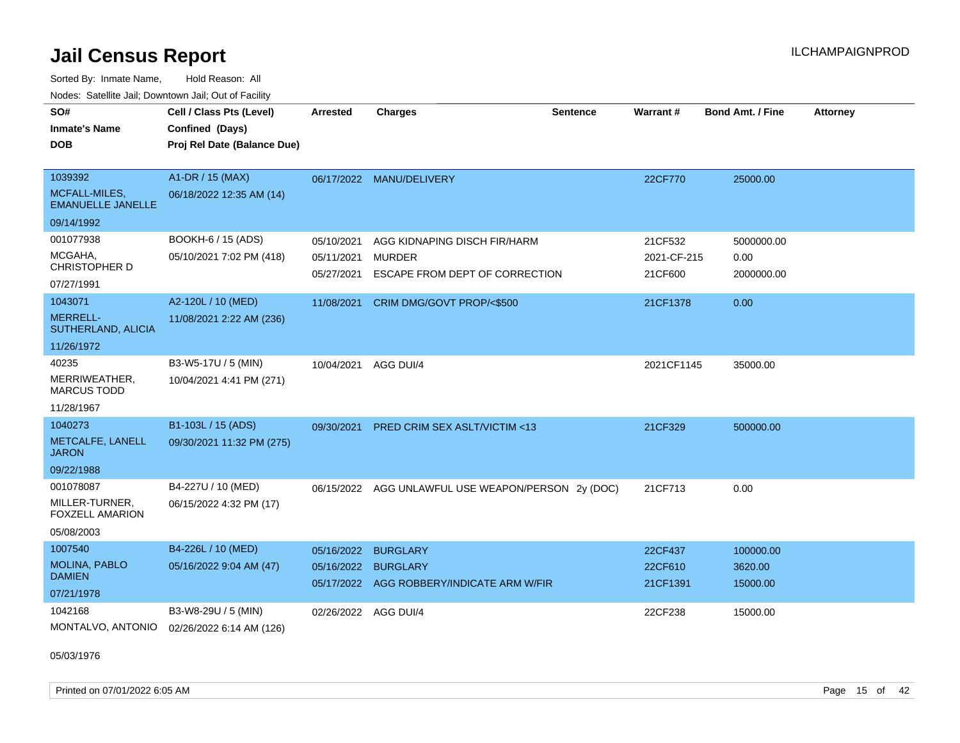Sorted By: Inmate Name, Hold Reason: All Nodes: Satellite Jail; Downtown Jail; Out of Facility

| SO#<br><b>Inmate's Name</b>               | Cell / Class Pts (Level)<br>Confined (Days) | <b>Arrested</b>      | <b>Charges</b>                                     | <b>Sentence</b> | <b>Warrant#</b> | <b>Bond Amt. / Fine</b> | <b>Attorney</b> |
|-------------------------------------------|---------------------------------------------|----------------------|----------------------------------------------------|-----------------|-----------------|-------------------------|-----------------|
| <b>DOB</b>                                | Proj Rel Date (Balance Due)                 |                      |                                                    |                 |                 |                         |                 |
|                                           |                                             |                      |                                                    |                 |                 |                         |                 |
| 1039392                                   | A1-DR / 15 (MAX)                            |                      | 06/17/2022 MANU/DELIVERY                           |                 | 22CF770         | 25000.00                |                 |
| MCFALL-MILES,<br><b>EMANUELLE JANELLE</b> | 06/18/2022 12:35 AM (14)                    |                      |                                                    |                 |                 |                         |                 |
| 09/14/1992                                |                                             |                      |                                                    |                 |                 |                         |                 |
| 001077938                                 | BOOKH-6 / 15 (ADS)                          | 05/10/2021           | AGG KIDNAPING DISCH FIR/HARM                       |                 | 21CF532         | 5000000.00              |                 |
| MCGAHA,                                   | 05/10/2021 7:02 PM (418)                    | 05/11/2021           | <b>MURDER</b>                                      |                 | 2021-CF-215     | 0.00                    |                 |
| CHRISTOPHER D                             |                                             | 05/27/2021           | ESCAPE FROM DEPT OF CORRECTION                     |                 | 21CF600         | 2000000.00              |                 |
| 07/27/1991                                |                                             |                      |                                                    |                 |                 |                         |                 |
| 1043071                                   | A2-120L / 10 (MED)                          | 11/08/2021           | CRIM DMG/GOVT PROP/<\$500                          |                 | 21CF1378        | 0.00                    |                 |
| <b>MERRELL-</b><br>SUTHERLAND, ALICIA     | 11/08/2021 2:22 AM (236)                    |                      |                                                    |                 |                 |                         |                 |
| 11/26/1972                                |                                             |                      |                                                    |                 |                 |                         |                 |
| 40235                                     | B3-W5-17U / 5 (MIN)                         | 10/04/2021           | AGG DUI/4                                          |                 | 2021CF1145      | 35000.00                |                 |
| MERRIWEATHER,<br><b>MARCUS TODD</b>       | 10/04/2021 4:41 PM (271)                    |                      |                                                    |                 |                 |                         |                 |
| 11/28/1967                                |                                             |                      |                                                    |                 |                 |                         |                 |
| 1040273                                   | B1-103L / 15 (ADS)                          | 09/30/2021           | <b>PRED CRIM SEX ASLT/VICTIM &lt;13</b>            |                 | 21CF329         | 500000.00               |                 |
| METCALFE, LANELL<br><b>JARON</b>          | 09/30/2021 11:32 PM (275)                   |                      |                                                    |                 |                 |                         |                 |
| 09/22/1988                                |                                             |                      |                                                    |                 |                 |                         |                 |
| 001078087                                 | B4-227U / 10 (MED)                          |                      | 06/15/2022 AGG UNLAWFUL USE WEAPON/PERSON 2y (DOC) |                 | 21CF713         | 0.00                    |                 |
| MILLER-TURNER,<br>FOXZELL AMARION         | 06/15/2022 4:32 PM (17)                     |                      |                                                    |                 |                 |                         |                 |
| 05/08/2003                                |                                             |                      |                                                    |                 |                 |                         |                 |
| 1007540                                   | B4-226L / 10 (MED)                          | 05/16/2022           | <b>BURGLARY</b>                                    |                 | 22CF437         | 100000.00               |                 |
| MOLINA, PABLO                             | 05/16/2022 9:04 AM (47)                     | 05/16/2022 BURGLARY  |                                                    |                 | 22CF610         | 3620.00                 |                 |
| <b>DAMIEN</b>                             |                                             |                      | 05/17/2022 AGG ROBBERY/INDICATE ARM W/FIR          |                 | 21CF1391        | 15000.00                |                 |
| 07/21/1978                                |                                             |                      |                                                    |                 |                 |                         |                 |
| 1042168                                   | B3-W8-29U / 5 (MIN)                         | 02/26/2022 AGG DUI/4 |                                                    |                 | 22CF238         | 15000.00                |                 |
| MONTALVO, ANTONIO                         | 02/26/2022 6:14 AM (126)                    |                      |                                                    |                 |                 |                         |                 |

05/03/1976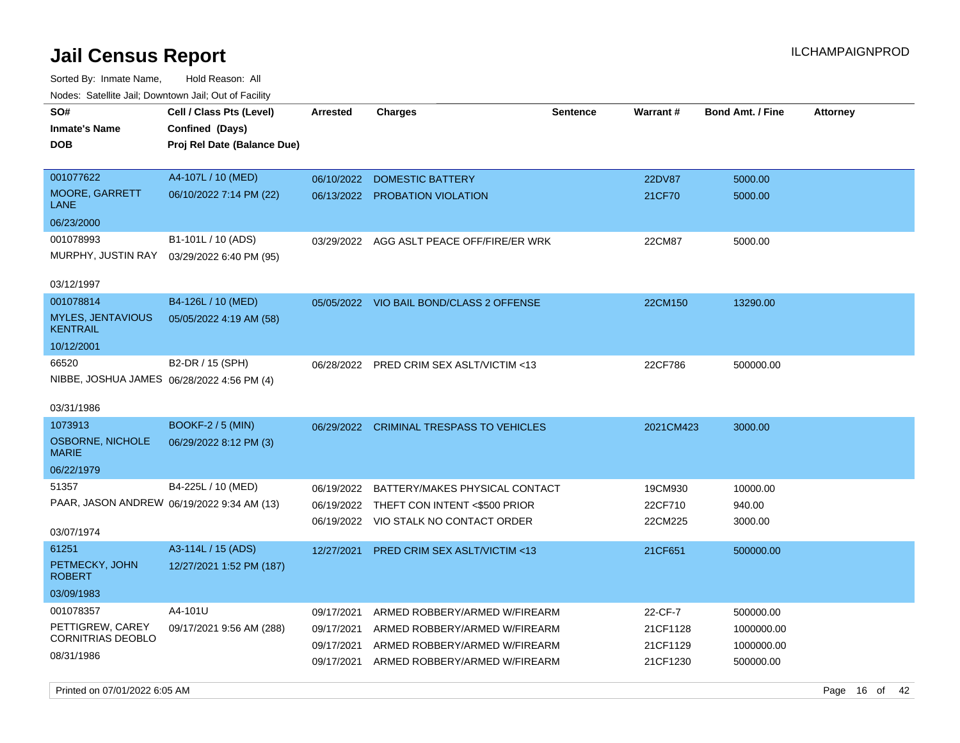| roaco. Catolino dall, Downtown dall, Out of Fability |                                                                            |            |                                           |                 |           |                         |                 |
|------------------------------------------------------|----------------------------------------------------------------------------|------------|-------------------------------------------|-----------------|-----------|-------------------------|-----------------|
| SO#<br><b>Inmate's Name</b><br><b>DOB</b>            | Cell / Class Pts (Level)<br>Confined (Days)<br>Proj Rel Date (Balance Due) | Arrested   | <b>Charges</b>                            | <b>Sentence</b> | Warrant#  | <b>Bond Amt. / Fine</b> | <b>Attorney</b> |
|                                                      |                                                                            |            |                                           |                 |           |                         |                 |
| 001077622                                            | A4-107L / 10 (MED)                                                         | 06/10/2022 | <b>DOMESTIC BATTERY</b>                   |                 | 22DV87    | 5000.00                 |                 |
| MOORE, GARRETT<br>LANE                               | 06/10/2022 7:14 PM (22)                                                    |            | 06/13/2022 PROBATION VIOLATION            |                 | 21CF70    | 5000.00                 |                 |
| 06/23/2000                                           |                                                                            |            |                                           |                 |           |                         |                 |
| 001078993                                            | B1-101L / 10 (ADS)                                                         |            | 03/29/2022 AGG ASLT PEACE OFF/FIRE/ER WRK |                 | 22CM87    | 5000.00                 |                 |
| MURPHY, JUSTIN RAY                                   | 03/29/2022 6:40 PM (95)                                                    |            |                                           |                 |           |                         |                 |
| 03/12/1997                                           |                                                                            |            |                                           |                 |           |                         |                 |
| 001078814                                            | B4-126L / 10 (MED)                                                         |            | 05/05/2022 VIO BAIL BOND/CLASS 2 OFFENSE  |                 | 22CM150   | 13290.00                |                 |
| <b>MYLES, JENTAVIOUS</b><br><b>KENTRAIL</b>          | 05/05/2022 4:19 AM (58)                                                    |            |                                           |                 |           |                         |                 |
| 10/12/2001                                           |                                                                            |            |                                           |                 |           |                         |                 |
| 66520                                                | B2-DR / 15 (SPH)                                                           |            | 06/28/2022 PRED CRIM SEX ASLT/VICTIM <13  |                 | 22CF786   | 500000.00               |                 |
| NIBBE, JOSHUA JAMES 06/28/2022 4:56 PM (4)           |                                                                            |            |                                           |                 |           |                         |                 |
| 03/31/1986                                           |                                                                            |            |                                           |                 |           |                         |                 |
| 1073913                                              | <b>BOOKF-2 / 5 (MIN)</b>                                                   |            | 06/29/2022 CRIMINAL TRESPASS TO VEHICLES  |                 | 2021CM423 | 3000.00                 |                 |
| OSBORNE, NICHOLE<br><b>MARIE</b>                     | 06/29/2022 8:12 PM (3)                                                     |            |                                           |                 |           |                         |                 |
| 06/22/1979                                           |                                                                            |            |                                           |                 |           |                         |                 |
| 51357                                                | B4-225L / 10 (MED)                                                         | 06/19/2022 | BATTERY/MAKES PHYSICAL CONTACT            |                 | 19CM930   | 10000.00                |                 |
| PAAR, JASON ANDREW 06/19/2022 9:34 AM (13)           |                                                                            |            | 06/19/2022 THEFT CON INTENT <\$500 PRIOR  |                 | 22CF710   | 940.00                  |                 |
|                                                      |                                                                            |            | 06/19/2022 VIO STALK NO CONTACT ORDER     |                 | 22CM225   | 3000.00                 |                 |
| 03/07/1974                                           |                                                                            |            |                                           |                 |           |                         |                 |
| 61251                                                | A3-114L / 15 (ADS)                                                         | 12/27/2021 | PRED CRIM SEX ASLT/VICTIM <13             |                 | 21CF651   | 500000.00               |                 |
| PETMECKY, JOHN<br><b>ROBERT</b>                      | 12/27/2021 1:52 PM (187)                                                   |            |                                           |                 |           |                         |                 |
| 03/09/1983                                           |                                                                            |            |                                           |                 |           |                         |                 |
| 001078357                                            | A4-101U                                                                    | 09/17/2021 | ARMED ROBBERY/ARMED W/FIREARM             |                 | 22-CF-7   | 500000.00               |                 |
| PETTIGREW, CAREY                                     | 09/17/2021 9:56 AM (288)                                                   | 09/17/2021 | ARMED ROBBERY/ARMED W/FIREARM             |                 | 21CF1128  | 1000000.00              |                 |
| <b>CORNITRIAS DEOBLO</b>                             |                                                                            | 09/17/2021 | ARMED ROBBERY/ARMED W/FIREARM             |                 | 21CF1129  | 1000000.00              |                 |
| 08/31/1986                                           |                                                                            | 09/17/2021 | ARMED ROBBERY/ARMED W/FIREARM             |                 | 21CF1230  | 500000.00               |                 |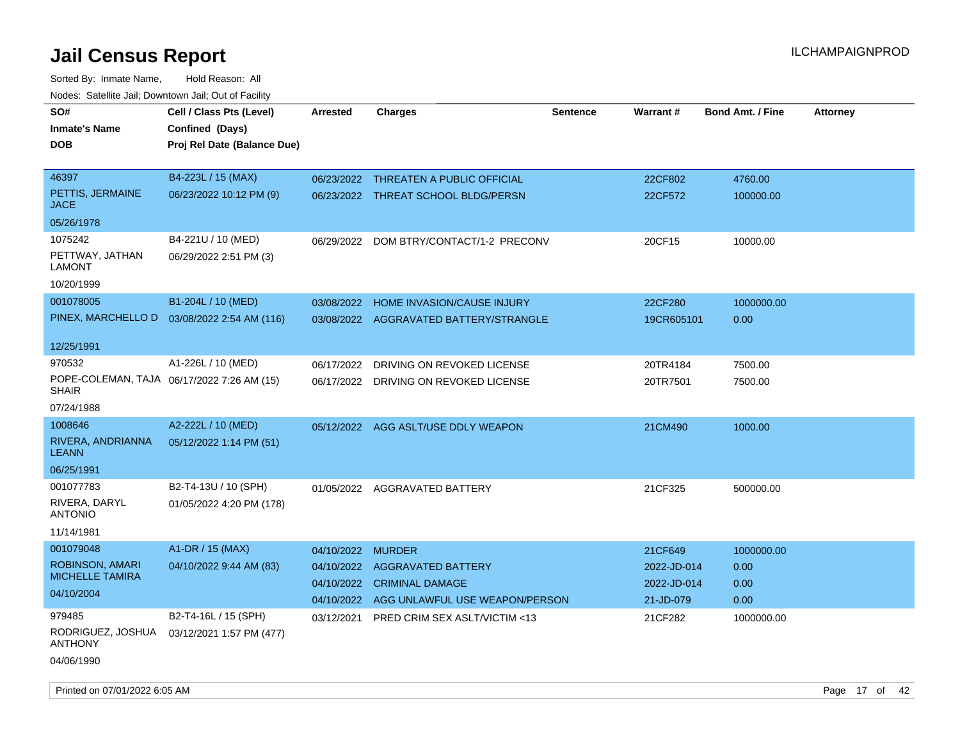| SO#<br><b>Inmate's Name</b><br>DOB                          | Cell / Class Pts (Level)<br>Confined (Days)<br>Proj Rel Date (Balance Due) | <b>Arrested</b>          | <b>Charges</b>                                                               | <b>Sentence</b> | <b>Warrant#</b>                         | <b>Bond Amt. / Fine</b> | <b>Attorney</b> |
|-------------------------------------------------------------|----------------------------------------------------------------------------|--------------------------|------------------------------------------------------------------------------|-----------------|-----------------------------------------|-------------------------|-----------------|
| 46397<br>PETTIS, JERMAINE<br>JACE                           | B4-223L / 15 (MAX)<br>06/23/2022 10:12 PM (9)                              |                          | 06/23/2022 THREATEN A PUBLIC OFFICIAL<br>06/23/2022 THREAT SCHOOL BLDG/PERSN |                 | 22CF802<br>22CF572                      | 4760.00<br>100000.00    |                 |
| 05/26/1978                                                  |                                                                            |                          |                                                                              |                 |                                         |                         |                 |
| 1075242<br>PETTWAY, JATHAN<br>LAMONT                        | B4-221U / 10 (MED)<br>06/29/2022 2:51 PM (3)                               |                          | 06/29/2022 DOM BTRY/CONTACT/1-2 PRECONV                                      |                 | 20CF15                                  | 10000.00                |                 |
| 10/20/1999                                                  |                                                                            |                          |                                                                              |                 |                                         |                         |                 |
| 001078005                                                   | B1-204L / 10 (MED)<br>PINEX, MARCHELLO D  03/08/2022 2:54 AM (116)         | 03/08/2022               | HOME INVASION/CAUSE INJURY<br>03/08/2022 AGGRAVATED BATTERY/STRANGLE         |                 | 22CF280<br>19CR605101                   | 1000000.00<br>0.00      |                 |
| 12/25/1991                                                  |                                                                            |                          |                                                                              |                 |                                         |                         |                 |
| 970532<br>SHAIR                                             | A1-226L / 10 (MED)<br>POPE-COLEMAN, TAJA 06/17/2022 7:26 AM (15)           | 06/17/2022               | DRIVING ON REVOKED LICENSE<br>06/17/2022 DRIVING ON REVOKED LICENSE          |                 | 20TR4184<br>20TR7501                    | 7500.00<br>7500.00      |                 |
| 07/24/1988                                                  |                                                                            |                          |                                                                              |                 |                                         |                         |                 |
| 1008646<br>RIVERA, ANDRIANNA<br><b>LEANN</b><br>06/25/1991  | A2-222L / 10 (MED)<br>05/12/2022 1:14 PM (51)                              |                          | 05/12/2022 AGG ASLT/USE DDLY WEAPON                                          |                 | 21CM490                                 | 1000.00                 |                 |
| 001077783<br>RIVERA, DARYL<br><b>ANTONIO</b><br>11/14/1981  | B2-T4-13U / 10 (SPH)<br>01/05/2022 4:20 PM (178)                           |                          | 01/05/2022 AGGRAVATED BATTERY                                                |                 | 21CF325                                 | 500000.00               |                 |
| 001079048                                                   | A1-DR / 15 (MAX)                                                           | 04/10/2022               | <b>MURDER</b>                                                                |                 | 21CF649                                 | 1000000.00              |                 |
| ROBINSON, AMARI<br><b>MICHELLE TAMIRA</b><br>04/10/2004     | 04/10/2022 9:44 AM (83)                                                    | 04/10/2022<br>04/10/2022 | <b>AGGRAVATED BATTERY</b><br><b>CRIMINAL DAMAGE</b>                          |                 | 2022-JD-014<br>2022-JD-014<br>21-JD-079 | 0.00<br>0.00            |                 |
| 979485<br>RODRIGUEZ, JOSHUA<br><b>ANTHONY</b><br>04/06/1990 | B2-T4-16L / 15 (SPH)<br>03/12/2021 1:57 PM (477)                           | 03/12/2021               | 04/10/2022 AGG UNLAWFUL USE WEAPON/PERSON<br>PRED CRIM SEX ASLT/VICTIM <13   |                 | 21CF282                                 | 0.00<br>1000000.00      |                 |
| Printed on 07/01/2022 6:05 AM                               |                                                                            |                          |                                                                              |                 |                                         |                         | Page 17 of 42   |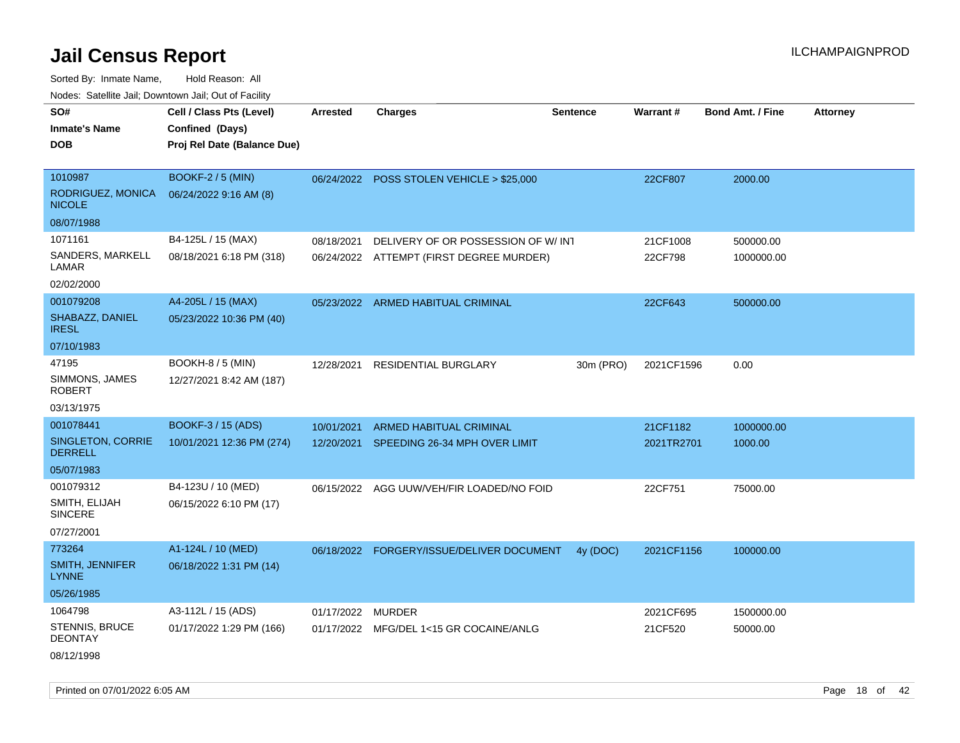Sorted By: Inmate Name, Hold Reason: All Nodes: Satellite Jail; Downtown Jail; Out of Facility

| roaco. Catolino cali, Domntonn cali, Out of Facility |                             |                   |                                           |                 |            |                         |                 |
|------------------------------------------------------|-----------------------------|-------------------|-------------------------------------------|-----------------|------------|-------------------------|-----------------|
| SO#                                                  | Cell / Class Pts (Level)    | Arrested          | <b>Charges</b>                            | <b>Sentence</b> | Warrant#   | <b>Bond Amt. / Fine</b> | <b>Attorney</b> |
| <b>Inmate's Name</b>                                 | Confined (Days)             |                   |                                           |                 |            |                         |                 |
| <b>DOB</b>                                           | Proj Rel Date (Balance Due) |                   |                                           |                 |            |                         |                 |
|                                                      |                             |                   |                                           |                 |            |                         |                 |
| 1010987                                              | <b>BOOKF-2 / 5 (MIN)</b>    |                   | 06/24/2022 POSS STOLEN VEHICLE > \$25,000 |                 | 22CF807    | 2000.00                 |                 |
| RODRIGUEZ, MONICA<br><b>NICOLE</b>                   | 06/24/2022 9:16 AM (8)      |                   |                                           |                 |            |                         |                 |
| 08/07/1988                                           |                             |                   |                                           |                 |            |                         |                 |
| 1071161                                              | B4-125L / 15 (MAX)          | 08/18/2021        | DELIVERY OF OR POSSESSION OF W/INT        |                 | 21CF1008   | 500000.00               |                 |
| SANDERS, MARKELL<br>LAMAR                            | 08/18/2021 6:18 PM (318)    |                   | 06/24/2022 ATTEMPT (FIRST DEGREE MURDER)  |                 | 22CF798    | 1000000.00              |                 |
| 02/02/2000                                           |                             |                   |                                           |                 |            |                         |                 |
| 001079208                                            | A4-205L / 15 (MAX)          |                   | 05/23/2022 ARMED HABITUAL CRIMINAL        |                 | 22CF643    | 500000.00               |                 |
| SHABAZZ, DANIEL<br><b>IRESL</b>                      | 05/23/2022 10:36 PM (40)    |                   |                                           |                 |            |                         |                 |
| 07/10/1983                                           |                             |                   |                                           |                 |            |                         |                 |
| 47195                                                | <b>BOOKH-8 / 5 (MIN)</b>    | 12/28/2021        | <b>RESIDENTIAL BURGLARY</b>               | 30m (PRO)       | 2021CF1596 | 0.00                    |                 |
| SIMMONS, JAMES<br><b>ROBERT</b>                      | 12/27/2021 8:42 AM (187)    |                   |                                           |                 |            |                         |                 |
| 03/13/1975                                           |                             |                   |                                           |                 |            |                         |                 |
| 001078441                                            | BOOKF-3 / 15 (ADS)          | 10/01/2021        | ARMED HABITUAL CRIMINAL                   |                 | 21CF1182   | 1000000.00              |                 |
| SINGLETON, CORRIE<br><b>DERRELL</b>                  | 10/01/2021 12:36 PM (274)   |                   | 12/20/2021 SPEEDING 26-34 MPH OVER LIMIT  |                 | 2021TR2701 | 1000.00                 |                 |
| 05/07/1983                                           |                             |                   |                                           |                 |            |                         |                 |
| 001079312                                            | B4-123U / 10 (MED)          |                   | 06/15/2022 AGG UUW/VEH/FIR LOADED/NO FOID |                 | 22CF751    | 75000.00                |                 |
| SMITH, ELIJAH<br><b>SINCERE</b>                      | 06/15/2022 6:10 PM (17)     |                   |                                           |                 |            |                         |                 |
| 07/27/2001                                           |                             |                   |                                           |                 |            |                         |                 |
| 773264                                               | A1-124L / 10 (MED)          |                   | 06/18/2022 FORGERY/ISSUE/DELIVER DOCUMENT | 4y (DOC)        | 2021CF1156 | 100000.00               |                 |
| SMITH, JENNIFER<br><b>LYNNE</b>                      | 06/18/2022 1:31 PM (14)     |                   |                                           |                 |            |                         |                 |
| 05/26/1985                                           |                             |                   |                                           |                 |            |                         |                 |
| 1064798                                              | A3-112L / 15 (ADS)          | 01/17/2022 MURDER |                                           |                 | 2021CF695  | 1500000.00              |                 |
| <b>STENNIS, BRUCE</b><br><b>DEONTAY</b>              | 01/17/2022 1:29 PM (166)    |                   | 01/17/2022 MFG/DEL 1<15 GR COCAINE/ANLG   |                 | 21CF520    | 50000.00                |                 |
| 08/12/1998                                           |                             |                   |                                           |                 |            |                         |                 |

Printed on 07/01/2022 6:05 AM Page 18 of 42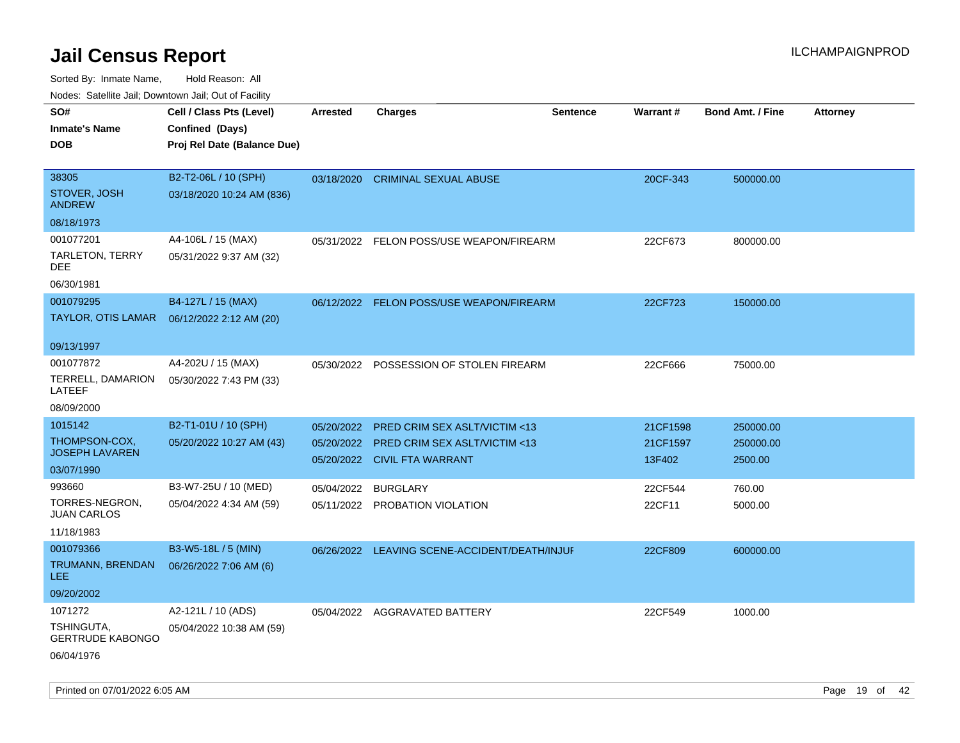Sorted By: Inmate Name, Hold Reason: All Nodes: Satellite Jail; Downtown Jail; Out of Facility

| roaco. Catolino cali, Domntonn cali, Out of Facility |                             |                 |                                               |                 |                 |                         |                 |
|------------------------------------------------------|-----------------------------|-----------------|-----------------------------------------------|-----------------|-----------------|-------------------------|-----------------|
| SO#                                                  | Cell / Class Pts (Level)    | <b>Arrested</b> | Charges                                       | <b>Sentence</b> | <b>Warrant#</b> | <b>Bond Amt. / Fine</b> | <b>Attorney</b> |
| <b>Inmate's Name</b>                                 | Confined (Days)             |                 |                                               |                 |                 |                         |                 |
| <b>DOB</b>                                           | Proj Rel Date (Balance Due) |                 |                                               |                 |                 |                         |                 |
|                                                      |                             |                 |                                               |                 |                 |                         |                 |
| 38305                                                | B2-T2-06L / 10 (SPH)        | 03/18/2020      | <b>CRIMINAL SEXUAL ABUSE</b>                  |                 | 20CF-343        | 500000.00               |                 |
| STOVER, JOSH<br><b>ANDREW</b>                        | 03/18/2020 10:24 AM (836)   |                 |                                               |                 |                 |                         |                 |
| 08/18/1973                                           |                             |                 |                                               |                 |                 |                         |                 |
| 001077201                                            | A4-106L / 15 (MAX)          |                 | 05/31/2022 FELON POSS/USE WEAPON/FIREARM      |                 | 22CF673         | 800000.00               |                 |
| TARLETON, TERRY<br><b>DEE</b>                        | 05/31/2022 9:37 AM (32)     |                 |                                               |                 |                 |                         |                 |
| 06/30/1981                                           |                             |                 |                                               |                 |                 |                         |                 |
| 001079295                                            | B4-127L / 15 (MAX)          |                 | 06/12/2022 FELON POSS/USE WEAPON/FIREARM      |                 | 22CF723         | 150000.00               |                 |
| TAYLOR, OTIS LAMAR  06/12/2022 2:12 AM (20)          |                             |                 |                                               |                 |                 |                         |                 |
|                                                      |                             |                 |                                               |                 |                 |                         |                 |
| 09/13/1997                                           |                             |                 |                                               |                 |                 |                         |                 |
| 001077872                                            | A4-202U / 15 (MAX)          | 05/30/2022      | POSSESSION OF STOLEN FIREARM                  |                 | 22CF666         | 75000.00                |                 |
| TERRELL, DAMARION<br>LATEEF                          | 05/30/2022 7:43 PM (33)     |                 |                                               |                 |                 |                         |                 |
| 08/09/2000                                           |                             |                 |                                               |                 |                 |                         |                 |
| 1015142                                              | B2-T1-01U / 10 (SPH)        | 05/20/2022      | <b>PRED CRIM SEX ASLT/VICTIM &lt;13</b>       |                 | 21CF1598        | 250000.00               |                 |
| THOMPSON-COX,                                        | 05/20/2022 10:27 AM (43)    | 05/20/2022      | <b>PRED CRIM SEX ASLT/VICTIM &lt;13</b>       |                 | 21CF1597        | 250000.00               |                 |
| <b>JOSEPH LAVAREN</b>                                |                             |                 | 05/20/2022 CIVIL FTA WARRANT                  |                 | 13F402          | 2500.00                 |                 |
| 03/07/1990                                           |                             |                 |                                               |                 |                 |                         |                 |
| 993660                                               | B3-W7-25U / 10 (MED)        | 05/04/2022      | <b>BURGLARY</b>                               |                 | 22CF544         | 760.00                  |                 |
| TORRES-NEGRON,<br><b>JUAN CARLOS</b>                 | 05/04/2022 4:34 AM (59)     |                 | 05/11/2022 PROBATION VIOLATION                |                 | 22CF11          | 5000.00                 |                 |
| 11/18/1983                                           |                             |                 |                                               |                 |                 |                         |                 |
| 001079366                                            | B3-W5-18L / 5 (MIN)         |                 | 06/26/2022 LEAVING SCENE-ACCIDENT/DEATH/INJUF |                 | 22CF809         | 600000.00               |                 |
| TRUMANN, BRENDAN<br>LEE.                             | 06/26/2022 7:06 AM (6)      |                 |                                               |                 |                 |                         |                 |
| 09/20/2002                                           |                             |                 |                                               |                 |                 |                         |                 |
| 1071272                                              | A2-121L / 10 (ADS)          |                 | 05/04/2022 AGGRAVATED BATTERY                 |                 | 22CF549         | 1000.00                 |                 |
| TSHINGUTA.<br><b>GERTRUDE KABONGO</b>                | 05/04/2022 10:38 AM (59)    |                 |                                               |                 |                 |                         |                 |
| 06/04/1976                                           |                             |                 |                                               |                 |                 |                         |                 |

Printed on 07/01/2022 6:05 AM Page 19 of 42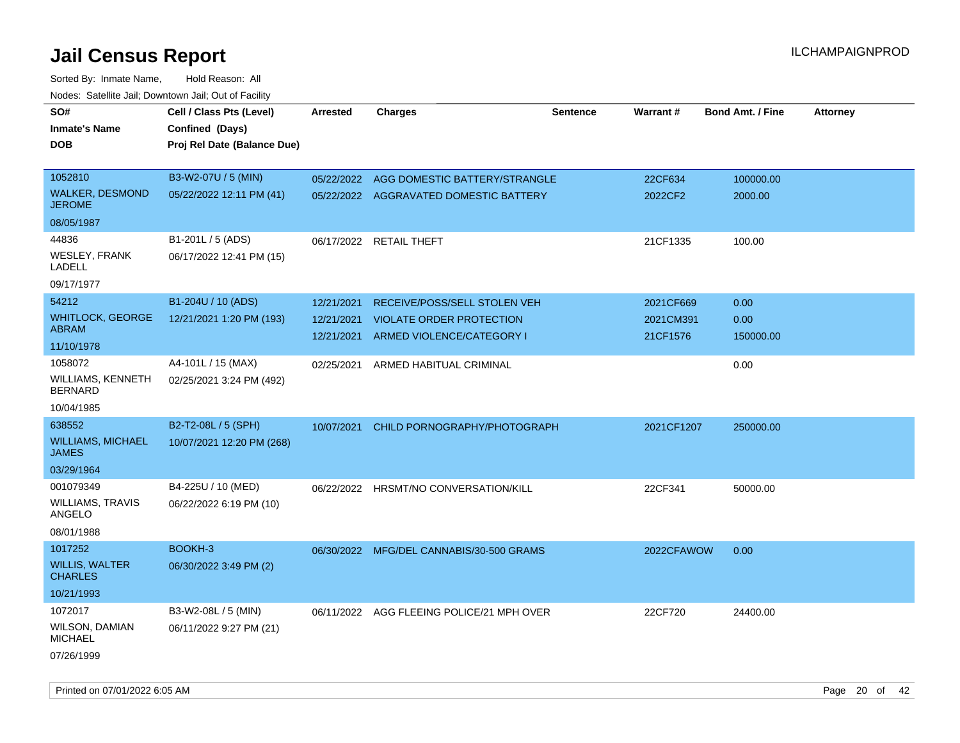| SO#                                      | Cell / Class Pts (Level)    | <b>Arrested</b> | <b>Charges</b>                            | <b>Sentence</b> | Warrant#   | <b>Bond Amt. / Fine</b> | <b>Attorney</b> |
|------------------------------------------|-----------------------------|-----------------|-------------------------------------------|-----------------|------------|-------------------------|-----------------|
| <b>Inmate's Name</b>                     | Confined (Days)             |                 |                                           |                 |            |                         |                 |
| <b>DOB</b>                               | Proj Rel Date (Balance Due) |                 |                                           |                 |            |                         |                 |
|                                          |                             |                 |                                           |                 |            |                         |                 |
| 1052810                                  | B3-W2-07U / 5 (MIN)         | 05/22/2022      | AGG DOMESTIC BATTERY/STRANGLE             |                 | 22CF634    | 100000.00               |                 |
| <b>WALKER, DESMOND</b><br><b>JEROME</b>  | 05/22/2022 12:11 PM (41)    |                 | 05/22/2022 AGGRAVATED DOMESTIC BATTERY    |                 | 2022CF2    | 2000.00                 |                 |
| 08/05/1987                               |                             |                 |                                           |                 |            |                         |                 |
| 44836                                    | B1-201L / 5 (ADS)           | 06/17/2022      | <b>RETAIL THEFT</b>                       |                 | 21CF1335   | 100.00                  |                 |
| WESLEY, FRANK<br>LADELL                  | 06/17/2022 12:41 PM (15)    |                 |                                           |                 |            |                         |                 |
| 09/17/1977                               |                             |                 |                                           |                 |            |                         |                 |
| 54212                                    | B1-204U / 10 (ADS)          | 12/21/2021      | RECEIVE/POSS/SELL STOLEN VEH              |                 | 2021CF669  | 0.00                    |                 |
| <b>WHITLOCK, GEORGE</b>                  | 12/21/2021 1:20 PM (193)    | 12/21/2021      | <b>VIOLATE ORDER PROTECTION</b>           |                 | 2021CM391  | 0.00                    |                 |
| <b>ABRAM</b>                             |                             |                 | 12/21/2021 ARMED VIOLENCE/CATEGORY I      |                 | 21CF1576   | 150000.00               |                 |
| 11/10/1978                               |                             |                 |                                           |                 |            |                         |                 |
| 1058072<br>WILLIAMS, KENNETH             | A4-101L / 15 (MAX)          | 02/25/2021      | ARMED HABITUAL CRIMINAL                   |                 |            | 0.00                    |                 |
| <b>BERNARD</b>                           | 02/25/2021 3:24 PM (492)    |                 |                                           |                 |            |                         |                 |
| 10/04/1985                               |                             |                 |                                           |                 |            |                         |                 |
| 638552                                   | B2-T2-08L / 5 (SPH)         | 10/07/2021      | CHILD PORNOGRAPHY/PHOTOGRAPH              |                 | 2021CF1207 | 250000.00               |                 |
| <b>WILLIAMS, MICHAEL</b><br><b>JAMES</b> | 10/07/2021 12:20 PM (268)   |                 |                                           |                 |            |                         |                 |
| 03/29/1964                               |                             |                 |                                           |                 |            |                         |                 |
| 001079349                                | B4-225U / 10 (MED)          |                 | 06/22/2022 HRSMT/NO CONVERSATION/KILL     |                 | 22CF341    | 50000.00                |                 |
| <b>WILLIAMS, TRAVIS</b><br>ANGELO        | 06/22/2022 6:19 PM (10)     |                 |                                           |                 |            |                         |                 |
| 08/01/1988                               |                             |                 |                                           |                 |            |                         |                 |
| 1017252                                  | BOOKH-3                     |                 | 06/30/2022 MFG/DEL CANNABIS/30-500 GRAMS  |                 | 2022CFAWOW | 0.00                    |                 |
| <b>WILLIS, WALTER</b><br><b>CHARLES</b>  | 06/30/2022 3:49 PM (2)      |                 |                                           |                 |            |                         |                 |
| 10/21/1993                               |                             |                 |                                           |                 |            |                         |                 |
| 1072017                                  | B3-W2-08L / 5 (MIN)         |                 | 06/11/2022 AGG FLEEING POLICE/21 MPH OVER |                 | 22CF720    | 24400.00                |                 |
| WILSON, DAMIAN<br><b>MICHAEL</b>         | 06/11/2022 9:27 PM (21)     |                 |                                           |                 |            |                         |                 |
| 07/26/1999                               |                             |                 |                                           |                 |            |                         |                 |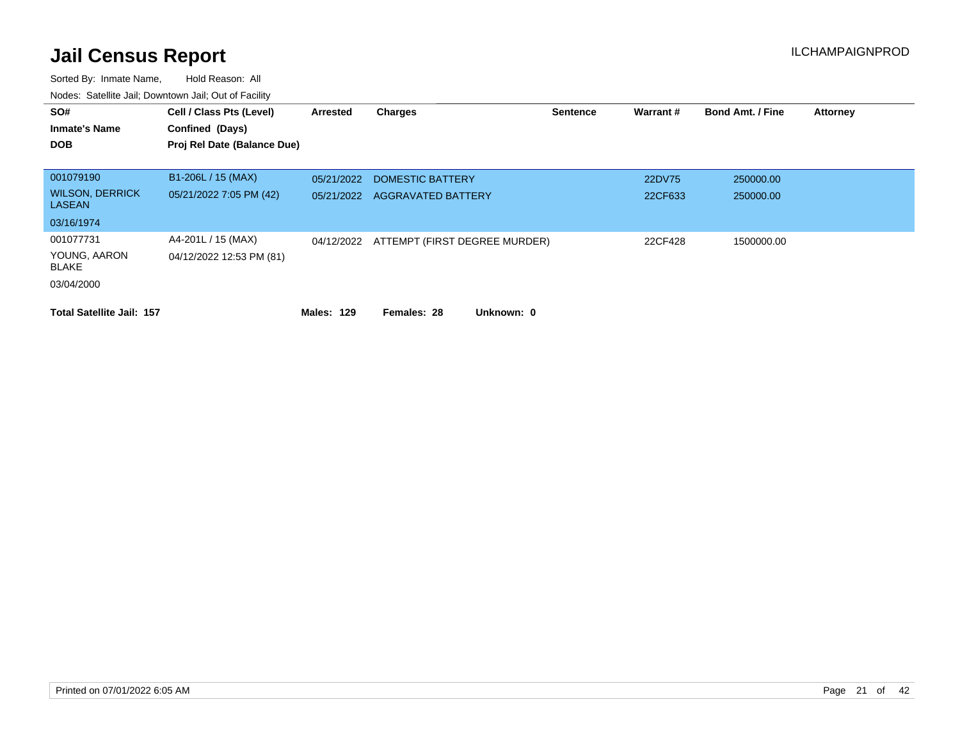| SO#<br><b>Inmate's Name</b><br><b>DOB</b> | Cell / Class Pts (Level)<br>Confined (Days)<br>Proj Rel Date (Balance Due) | <b>Arrested</b> | <b>Charges</b>                | <b>Sentence</b> | Warrant# | <b>Bond Amt. / Fine</b> | <b>Attorney</b> |
|-------------------------------------------|----------------------------------------------------------------------------|-----------------|-------------------------------|-----------------|----------|-------------------------|-----------------|
| 001079190                                 | B1-206L / 15 (MAX)                                                         | 05/21/2022      | DOMESTIC BATTERY              |                 | 22DV75   | 250000.00               |                 |
| <b>WILSON, DERRICK</b><br><b>LASEAN</b>   | 05/21/2022 7:05 PM (42)                                                    | 05/21/2022      | <b>AGGRAVATED BATTERY</b>     |                 | 22CF633  | 250000.00               |                 |
| 03/16/1974                                |                                                                            |                 |                               |                 |          |                         |                 |
| 001077731                                 | A4-201L / 15 (MAX)                                                         | 04/12/2022      | ATTEMPT (FIRST DEGREE MURDER) |                 | 22CF428  | 1500000.00              |                 |
| YOUNG, AARON<br><b>BLAKE</b>              | 04/12/2022 12:53 PM (81)                                                   |                 |                               |                 |          |                         |                 |
| 03/04/2000                                |                                                                            |                 |                               |                 |          |                         |                 |
| <b>Total Satellite Jail: 157</b>          |                                                                            | Males: 129      | Unknown: 0<br>Females: 28     |                 |          |                         |                 |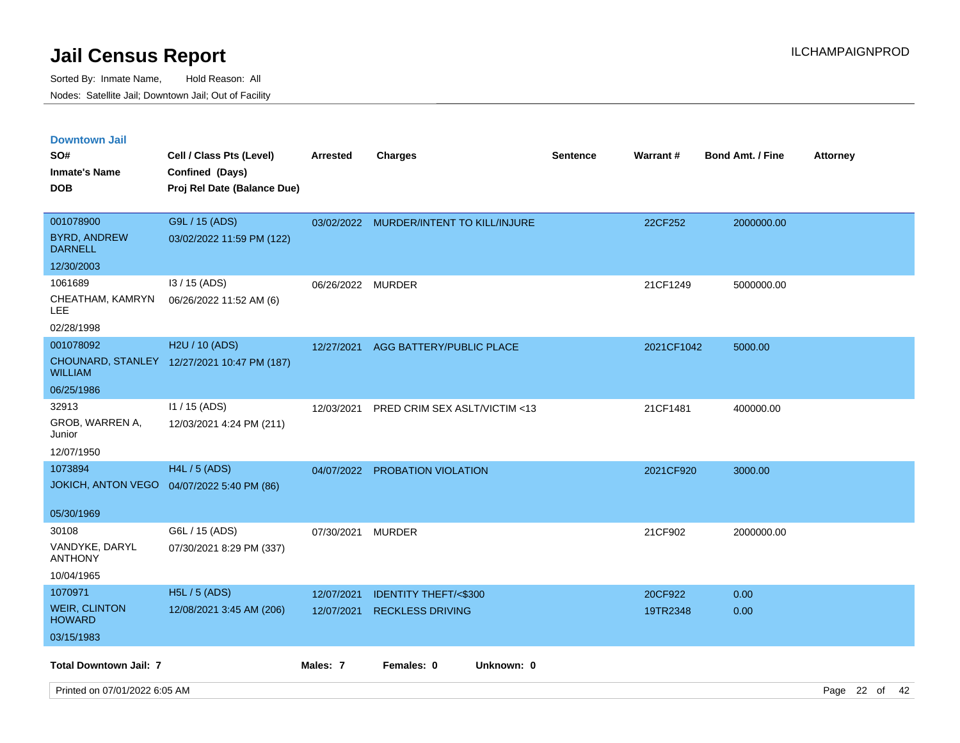Sorted By: Inmate Name, Hold Reason: All Nodes: Satellite Jail; Downtown Jail; Out of Facility

| <b>Downtown Jail</b>                  |                                             |                   |                                         |                 |            |                         |                 |
|---------------------------------------|---------------------------------------------|-------------------|-----------------------------------------|-----------------|------------|-------------------------|-----------------|
| SO#                                   | Cell / Class Pts (Level)                    | <b>Arrested</b>   | <b>Charges</b>                          | <b>Sentence</b> | Warrant#   | <b>Bond Amt. / Fine</b> | <b>Attorney</b> |
| <b>Inmate's Name</b>                  | Confined (Days)                             |                   |                                         |                 |            |                         |                 |
| <b>DOB</b>                            | Proj Rel Date (Balance Due)                 |                   |                                         |                 |            |                         |                 |
|                                       |                                             |                   |                                         |                 |            |                         |                 |
| 001078900                             | G9L / 15 (ADS)                              |                   | 03/02/2022 MURDER/INTENT TO KILL/INJURE |                 | 22CF252    | 2000000.00              |                 |
| <b>BYRD, ANDREW</b><br><b>DARNELL</b> | 03/02/2022 11:59 PM (122)                   |                   |                                         |                 |            |                         |                 |
| 12/30/2003                            |                                             |                   |                                         |                 |            |                         |                 |
| 1061689                               | I3 / 15 (ADS)                               | 06/26/2022 MURDER |                                         |                 | 21CF1249   | 5000000.00              |                 |
| CHEATHAM, KAMRYN<br>LEE               | 06/26/2022 11:52 AM (6)                     |                   |                                         |                 |            |                         |                 |
| 02/28/1998                            |                                             |                   |                                         |                 |            |                         |                 |
| 001078092                             | H2U / 10 (ADS)                              | 12/27/2021        | AGG BATTERY/PUBLIC PLACE                |                 | 2021CF1042 | 5000.00                 |                 |
| <b>WILLIAM</b>                        | CHOUNARD, STANLEY 12/27/2021 10:47 PM (187) |                   |                                         |                 |            |                         |                 |
| 06/25/1986                            |                                             |                   |                                         |                 |            |                         |                 |
| 32913                                 | 11 / 15 (ADS)                               | 12/03/2021        | PRED CRIM SEX ASLT/VICTIM <13           |                 | 21CF1481   | 400000.00               |                 |
| GROB, WARREN A,<br>Junior             | 12/03/2021 4:24 PM (211)                    |                   |                                         |                 |            |                         |                 |
| 12/07/1950                            |                                             |                   |                                         |                 |            |                         |                 |
| 1073894                               | <b>H4L / 5 (ADS)</b>                        | 04/07/2022        | PROBATION VIOLATION                     |                 | 2021CF920  | 3000.00                 |                 |
| <b>JOKICH, ANTON VEGO</b>             | 04/07/2022 5:40 PM (86)                     |                   |                                         |                 |            |                         |                 |
|                                       |                                             |                   |                                         |                 |            |                         |                 |
| 05/30/1969                            |                                             |                   |                                         |                 |            |                         |                 |
| 30108                                 | G6L / 15 (ADS)                              | 07/30/2021        | <b>MURDER</b>                           |                 | 21CF902    | 2000000.00              |                 |
| VANDYKE, DARYL<br><b>ANTHONY</b>      | 07/30/2021 8:29 PM (337)                    |                   |                                         |                 |            |                         |                 |
| 10/04/1965                            |                                             |                   |                                         |                 |            |                         |                 |
| 1070971                               | H5L / 5 (ADS)                               | 12/07/2021        | <b>IDENTITY THEFT/&lt;\$300</b>         |                 | 20CF922    | 0.00                    |                 |
| <b>WEIR, CLINTON</b><br><b>HOWARD</b> | 12/08/2021 3:45 AM (206)                    | 12/07/2021        | <b>RECKLESS DRIVING</b>                 |                 | 19TR2348   | 0.00                    |                 |
| 03/15/1983                            |                                             |                   |                                         |                 |            |                         |                 |
| <b>Total Downtown Jail: 7</b>         |                                             | Males: 7          | Females: 0<br>Unknown: 0                |                 |            |                         |                 |

Printed on 07/01/2022 6:05 AM Page 22 of 42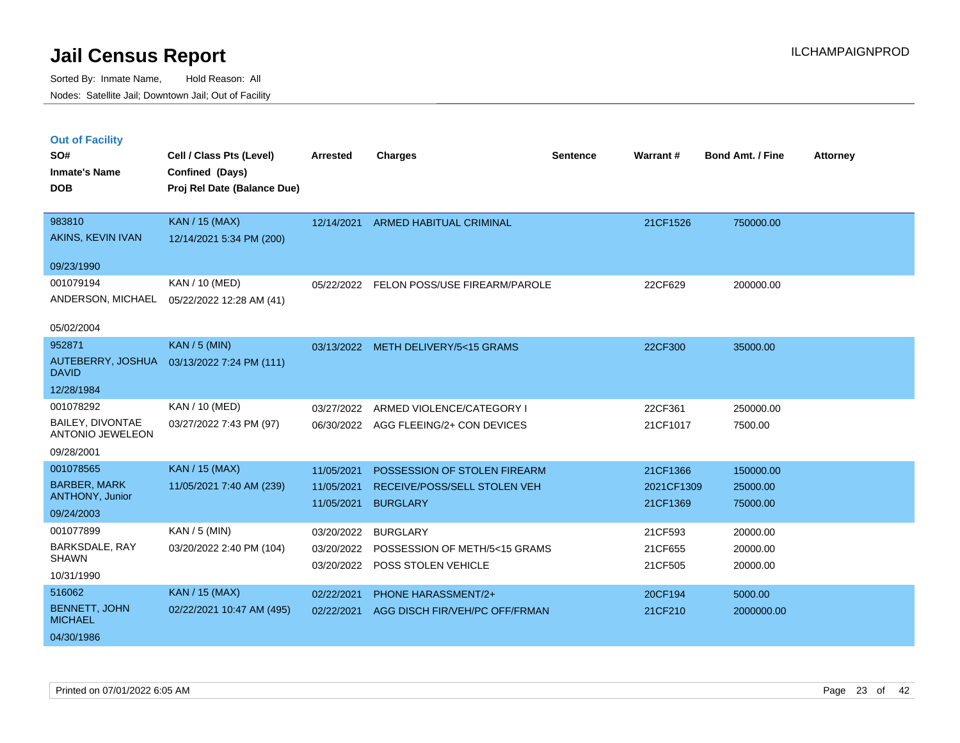|  | <b>Out of Facility</b> |  |
|--|------------------------|--|
|  |                        |  |
|  |                        |  |
|  |                        |  |

| SO#<br><b>Inmate's Name</b><br><b>DOB</b>          | Cell / Class Pts (Level)<br>Confined (Days)<br>Proj Rel Date (Balance Due) | <b>Arrested</b> | <b>Charges</b>                        | <b>Sentence</b> | Warrant#   | <b>Bond Amt. / Fine</b> | <b>Attorney</b> |
|----------------------------------------------------|----------------------------------------------------------------------------|-----------------|---------------------------------------|-----------------|------------|-------------------------|-----------------|
|                                                    |                                                                            |                 |                                       |                 |            |                         |                 |
| 983810                                             | <b>KAN / 15 (MAX)</b>                                                      | 12/14/2021      | <b>ARMED HABITUAL CRIMINAL</b>        |                 | 21CF1526   | 750000.00               |                 |
| AKINS, KEVIN IVAN                                  | 12/14/2021 5:34 PM (200)                                                   |                 |                                       |                 |            |                         |                 |
| 09/23/1990                                         |                                                                            |                 |                                       |                 |            |                         |                 |
| 001079194                                          | KAN / 10 (MED)                                                             | 05/22/2022      | FELON POSS/USE FIREARM/PAROLE         |                 | 22CF629    | 200000.00               |                 |
| ANDERSON, MICHAEL                                  | 05/22/2022 12:28 AM (41)                                                   |                 |                                       |                 |            |                         |                 |
| 05/02/2004                                         |                                                                            |                 |                                       |                 |            |                         |                 |
| 952871                                             | <b>KAN / 5 (MIN)</b>                                                       |                 | 03/13/2022 METH DELIVERY/5<15 GRAMS   |                 | 22CF300    | 35000.00                |                 |
| AUTEBERRY, JOSHUA<br><b>DAVID</b>                  | 03/13/2022 7:24 PM (111)                                                   |                 |                                       |                 |            |                         |                 |
| 12/28/1984                                         |                                                                            |                 |                                       |                 |            |                         |                 |
| 001078292                                          | KAN / 10 (MED)                                                             | 03/27/2022      | ARMED VIOLENCE/CATEGORY I             |                 | 22CF361    | 250000.00               |                 |
| <b>BAILEY, DIVONTAE</b><br><b>ANTONIO JEWELEON</b> | 03/27/2022 7:43 PM (97)                                                    |                 | 06/30/2022 AGG FLEEING/2+ CON DEVICES |                 | 21CF1017   | 7500.00                 |                 |
| 09/28/2001                                         |                                                                            |                 |                                       |                 |            |                         |                 |
| 001078565                                          | <b>KAN / 15 (MAX)</b>                                                      | 11/05/2021      | POSSESSION OF STOLEN FIREARM          |                 | 21CF1366   | 150000.00               |                 |
| <b>BARBER, MARK</b>                                | 11/05/2021 7:40 AM (239)                                                   | 11/05/2021      | <b>RECEIVE/POSS/SELL STOLEN VEH</b>   |                 | 2021CF1309 | 25000.00                |                 |
| ANTHONY, Junior<br>09/24/2003                      |                                                                            | 11/05/2021      | <b>BURGLARY</b>                       |                 | 21CF1369   | 75000.00                |                 |
| 001077899                                          | KAN / 5 (MIN)                                                              | 03/20/2022      | <b>BURGLARY</b>                       |                 | 21CF593    |                         |                 |
| BARKSDALE, RAY                                     | 03/20/2022 2:40 PM (104)                                                   | 03/20/2022      | POSSESSION OF METH/5<15 GRAMS         |                 | 21CF655    | 20000.00<br>20000.00    |                 |
| <b>SHAWN</b>                                       |                                                                            | 03/20/2022      | POSS STOLEN VEHICLE                   |                 | 21CF505    | 20000.00                |                 |
| 10/31/1990                                         |                                                                            |                 |                                       |                 |            |                         |                 |
| 516062                                             | <b>KAN / 15 (MAX)</b>                                                      | 02/22/2021      | PHONE HARASSMENT/2+                   |                 | 20CF194    | 5000.00                 |                 |
| <b>BENNETT, JOHN</b><br><b>MICHAEL</b>             | 02/22/2021 10:47 AM (495)                                                  | 02/22/2021      | AGG DISCH FIR/VEH/PC OFF/FRMAN        |                 | 21CF210    | 2000000.00              |                 |
| 04/30/1986                                         |                                                                            |                 |                                       |                 |            |                         |                 |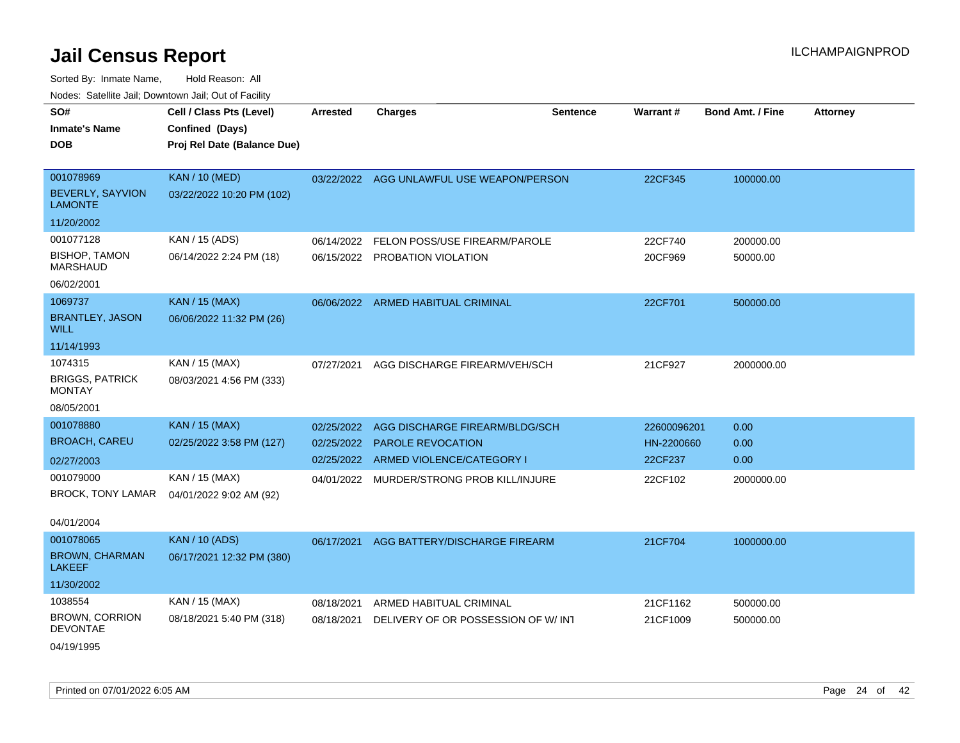Sorted By: Inmate Name, Hold Reason: All

| Nodes: Satellite Jail; Downtown Jail; Out of Facility |                             |                 |                                           |                 |                 |                         |                 |
|-------------------------------------------------------|-----------------------------|-----------------|-------------------------------------------|-----------------|-----------------|-------------------------|-----------------|
| SO#                                                   | Cell / Class Pts (Level)    | <b>Arrested</b> | <b>Charges</b>                            | <b>Sentence</b> | <b>Warrant#</b> | <b>Bond Amt. / Fine</b> | <b>Attorney</b> |
| <b>Inmate's Name</b>                                  | Confined (Days)             |                 |                                           |                 |                 |                         |                 |
| <b>DOB</b>                                            | Proj Rel Date (Balance Due) |                 |                                           |                 |                 |                         |                 |
|                                                       |                             |                 |                                           |                 |                 |                         |                 |
| 001078969                                             | <b>KAN / 10 (MED)</b>       |                 | 03/22/2022 AGG UNLAWFUL USE WEAPON/PERSON |                 | 22CF345         | 100000.00               |                 |
| BEVERLY, SAYVION<br><b>LAMONTE</b>                    | 03/22/2022 10:20 PM (102)   |                 |                                           |                 |                 |                         |                 |
| 11/20/2002                                            |                             |                 |                                           |                 |                 |                         |                 |
| 001077128                                             | KAN / 15 (ADS)              | 06/14/2022      | FELON POSS/USE FIREARM/PAROLE             |                 | 22CF740         | 200000.00               |                 |
| <b>BISHOP, TAMON</b><br><b>MARSHAUD</b>               | 06/14/2022 2:24 PM (18)     |                 | 06/15/2022 PROBATION VIOLATION            |                 | 20CF969         | 50000.00                |                 |
| 06/02/2001                                            |                             |                 |                                           |                 |                 |                         |                 |
| 1069737                                               | <b>KAN / 15 (MAX)</b>       |                 | 06/06/2022 ARMED HABITUAL CRIMINAL        |                 | 22CF701         | 500000.00               |                 |
| <b>BRANTLEY, JASON</b><br><b>WILL</b>                 | 06/06/2022 11:32 PM (26)    |                 |                                           |                 |                 |                         |                 |
| 11/14/1993                                            |                             |                 |                                           |                 |                 |                         |                 |
| 1074315                                               | KAN / 15 (MAX)              | 07/27/2021      | AGG DISCHARGE FIREARM/VEH/SCH             |                 | 21CF927         | 2000000.00              |                 |
| <b>BRIGGS, PATRICK</b><br><b>MONTAY</b>               | 08/03/2021 4:56 PM (333)    |                 |                                           |                 |                 |                         |                 |
| 08/05/2001                                            |                             |                 |                                           |                 |                 |                         |                 |
| 001078880                                             | <b>KAN / 15 (MAX)</b>       | 02/25/2022      | AGG DISCHARGE FIREARM/BLDG/SCH            |                 | 22600096201     | 0.00                    |                 |
| <b>BROACH, CAREU</b>                                  | 02/25/2022 3:58 PM (127)    | 02/25/2022      | <b>PAROLE REVOCATION</b>                  |                 | HN-2200660      | 0.00                    |                 |
| 02/27/2003                                            |                             |                 | 02/25/2022 ARMED VIOLENCE/CATEGORY I      |                 | 22CF237         | 0.00                    |                 |
| 001079000                                             | KAN / 15 (MAX)              | 04/01/2022      | MURDER/STRONG PROB KILL/INJURE            |                 | 22CF102         | 2000000.00              |                 |
| <b>BROCK, TONY LAMAR</b>                              | 04/01/2022 9:02 AM (92)     |                 |                                           |                 |                 |                         |                 |
|                                                       |                             |                 |                                           |                 |                 |                         |                 |
| 04/01/2004                                            |                             |                 |                                           |                 |                 |                         |                 |
| 001078065                                             | <b>KAN / 10 (ADS)</b>       | 06/17/2021      | AGG BATTERY/DISCHARGE FIREARM             |                 | 21CF704         | 1000000.00              |                 |
| <b>BROWN, CHARMAN</b><br><b>LAKEEF</b>                | 06/17/2021 12:32 PM (380)   |                 |                                           |                 |                 |                         |                 |
| 11/30/2002                                            |                             |                 |                                           |                 |                 |                         |                 |
| 1038554                                               | KAN / 15 (MAX)              | 08/18/2021      | ARMED HABITUAL CRIMINAL                   |                 | 21CF1162        | 500000.00               |                 |
| <b>BROWN, CORRION</b><br><b>DEVONTAE</b>              | 08/18/2021 5:40 PM (318)    | 08/18/2021      | DELIVERY OF OR POSSESSION OF W/INT        |                 | 21CF1009        | 500000.00               |                 |
| 04/19/1995                                            |                             |                 |                                           |                 |                 |                         |                 |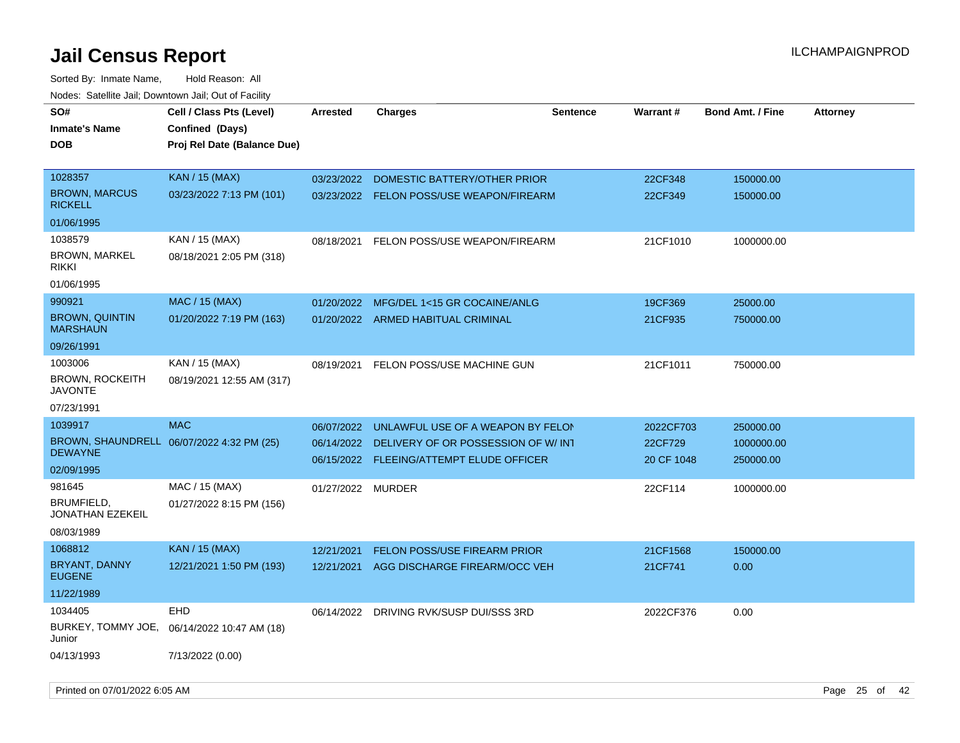Sorted By: Inmate Name, Hold Reason: All Nodes: Satellite Jail; Downtown Jail; Out of Facility

| SO#                                      | Cell / Class Pts (Level)                  | <b>Arrested</b>   | <b>Charges</b>                           | <b>Sentence</b> | <b>Warrant#</b> | <b>Bond Amt. / Fine</b> | <b>Attorney</b> |
|------------------------------------------|-------------------------------------------|-------------------|------------------------------------------|-----------------|-----------------|-------------------------|-----------------|
| <b>Inmate's Name</b>                     | Confined (Days)                           |                   |                                          |                 |                 |                         |                 |
| <b>DOB</b>                               | Proj Rel Date (Balance Due)               |                   |                                          |                 |                 |                         |                 |
|                                          |                                           |                   |                                          |                 |                 |                         |                 |
| 1028357                                  | <b>KAN / 15 (MAX)</b>                     | 03/23/2022        | DOMESTIC BATTERY/OTHER PRIOR             |                 | 22CF348         | 150000.00               |                 |
| <b>BROWN, MARCUS</b><br><b>RICKELL</b>   | 03/23/2022 7:13 PM (101)                  |                   | 03/23/2022 FELON POSS/USE WEAPON/FIREARM |                 | 22CF349         | 150000.00               |                 |
| 01/06/1995                               |                                           |                   |                                          |                 |                 |                         |                 |
| 1038579                                  | KAN / 15 (MAX)                            |                   | 08/18/2021 FELON POSS/USE WEAPON/FIREARM |                 | 21CF1010        | 1000000.00              |                 |
| BROWN, MARKEL<br><b>RIKKI</b>            | 08/18/2021 2:05 PM (318)                  |                   |                                          |                 |                 |                         |                 |
| 01/06/1995                               |                                           |                   |                                          |                 |                 |                         |                 |
| 990921                                   | <b>MAC / 15 (MAX)</b>                     |                   | 01/20/2022 MFG/DEL 1<15 GR COCAINE/ANLG  |                 | 19CF369         | 25000.00                |                 |
| <b>BROWN, QUINTIN</b><br><b>MARSHAUN</b> | 01/20/2022 7:19 PM (163)                  |                   | 01/20/2022 ARMED HABITUAL CRIMINAL       |                 | 21CF935         | 750000.00               |                 |
| 09/26/1991                               |                                           |                   |                                          |                 |                 |                         |                 |
| 1003006                                  | KAN / 15 (MAX)                            |                   | 08/19/2021 FELON POSS/USE MACHINE GUN    |                 | 21CF1011        | 750000.00               |                 |
| <b>BROWN, ROCKEITH</b><br><b>JAVONTE</b> | 08/19/2021 12:55 AM (317)                 |                   |                                          |                 |                 |                         |                 |
| 07/23/1991                               |                                           |                   |                                          |                 |                 |                         |                 |
| 1039917                                  | <b>MAC</b>                                | 06/07/2022        | UNLAWFUL USE OF A WEAPON BY FELON        |                 | 2022CF703       | 250000.00               |                 |
|                                          | BROWN, SHAUNDRELL 06/07/2022 4:32 PM (25) | 06/14/2022        | DELIVERY OF OR POSSESSION OF W/INT       |                 | 22CF729         | 1000000.00              |                 |
| <b>DEWAYNE</b>                           |                                           |                   | 06/15/2022 FLEEING/ATTEMPT ELUDE OFFICER |                 | 20 CF 1048      | 250000.00               |                 |
| 02/09/1995                               |                                           |                   |                                          |                 |                 |                         |                 |
| 981645<br>BRUMFIELD,                     | MAC / 15 (MAX)                            | 01/27/2022 MURDER |                                          |                 | 22CF114         | 1000000.00              |                 |
| <b>JONATHAN EZEKEIL</b>                  | 01/27/2022 8:15 PM (156)                  |                   |                                          |                 |                 |                         |                 |
| 08/03/1989                               |                                           |                   |                                          |                 |                 |                         |                 |
| 1068812                                  | <b>KAN / 15 (MAX)</b>                     | 12/21/2021        | <b>FELON POSS/USE FIREARM PRIOR</b>      |                 | 21CF1568        | 150000.00               |                 |
| BRYANT, DANNY<br><b>EUGENE</b>           | 12/21/2021 1:50 PM (193)                  |                   | 12/21/2021 AGG DISCHARGE FIREARM/OCC VEH |                 | 21CF741         | 0.00                    |                 |
| 11/22/1989                               |                                           |                   |                                          |                 |                 |                         |                 |
| 1034405                                  | <b>EHD</b>                                |                   | 06/14/2022 DRIVING RVK/SUSP DUI/SSS 3RD  |                 | 2022CF376       | 0.00                    |                 |
| BURKEY, TOMMY JOE,<br>Junior             | 06/14/2022 10:47 AM (18)                  |                   |                                          |                 |                 |                         |                 |
| 04/13/1993                               | 7/13/2022 (0.00)                          |                   |                                          |                 |                 |                         |                 |

Printed on 07/01/2022 6:05 AM Page 25 of 42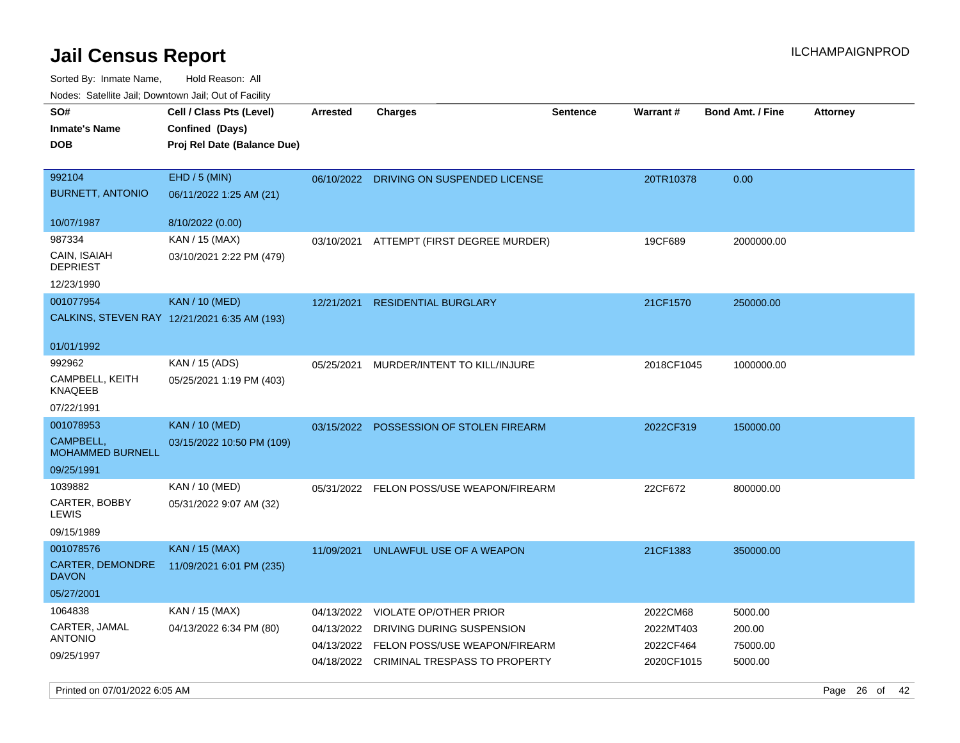Sorted By: Inmate Name, Hold Reason: All Nodes: Satellite Jail; Downtown Jail; Out of Facility

| 110a00. 0atomto 0an, Domntonn 0an, 0at 011 aoint |                                                                            |                 |                                          |                 |            |                         |                 |
|--------------------------------------------------|----------------------------------------------------------------------------|-----------------|------------------------------------------|-----------------|------------|-------------------------|-----------------|
| SO#<br><b>Inmate's Name</b><br><b>DOB</b>        | Cell / Class Pts (Level)<br>Confined (Days)<br>Proj Rel Date (Balance Due) | <b>Arrested</b> | Charges                                  | <b>Sentence</b> | Warrant#   | <b>Bond Amt. / Fine</b> | <b>Attorney</b> |
| 992104<br><b>BURNETT, ANTONIO</b>                | EHD / 5 (MIN)<br>06/11/2022 1:25 AM (21)                                   |                 | 06/10/2022 DRIVING ON SUSPENDED LICENSE  |                 | 20TR10378  | 0.00                    |                 |
| 10/07/1987                                       | 8/10/2022 (0.00)                                                           |                 |                                          |                 |            |                         |                 |
| 987334                                           | KAN / 15 (MAX)                                                             |                 | 03/10/2021 ATTEMPT (FIRST DEGREE MURDER) |                 | 19CF689    | 2000000.00              |                 |
| CAIN, ISAIAH<br><b>DEPRIEST</b>                  | 03/10/2021 2:22 PM (479)                                                   |                 |                                          |                 |            |                         |                 |
| 12/23/1990                                       |                                                                            |                 |                                          |                 |            |                         |                 |
| 001077954                                        | <b>KAN / 10 (MED)</b>                                                      | 12/21/2021      | <b>RESIDENTIAL BURGLARY</b>              |                 | 21CF1570   | 250000.00               |                 |
|                                                  | CALKINS, STEVEN RAY 12/21/2021 6:35 AM (193)                               |                 |                                          |                 |            |                         |                 |
| 01/01/1992                                       |                                                                            |                 |                                          |                 |            |                         |                 |
| 992962                                           | KAN / 15 (ADS)                                                             | 05/25/2021      | MURDER/INTENT TO KILL/INJURE             |                 | 2018CF1045 | 1000000.00              |                 |
| CAMPBELL, KEITH<br>KNAQEEB                       | 05/25/2021 1:19 PM (403)                                                   |                 |                                          |                 |            |                         |                 |
| 07/22/1991                                       |                                                                            |                 |                                          |                 |            |                         |                 |
| 001078953                                        | <b>KAN</b> / 10 (MED)                                                      |                 | 03/15/2022 POSSESSION OF STOLEN FIREARM  |                 | 2022CF319  | 150000.00               |                 |
| CAMPBELL,<br><b>MOHAMMED BURNELL</b>             | 03/15/2022 10:50 PM (109)                                                  |                 |                                          |                 |            |                         |                 |
| 09/25/1991                                       |                                                                            |                 |                                          |                 |            |                         |                 |
| 1039882                                          | KAN / 10 (MED)                                                             |                 | 05/31/2022 FELON POSS/USE WEAPON/FIREARM |                 | 22CF672    | 800000.00               |                 |
| CARTER, BOBBY<br>LEWIS                           | 05/31/2022 9:07 AM (32)                                                    |                 |                                          |                 |            |                         |                 |
| 09/15/1989                                       |                                                                            |                 |                                          |                 |            |                         |                 |
| 001078576                                        | KAN / 15 (MAX)                                                             | 11/09/2021      | UNLAWFUL USE OF A WEAPON                 |                 | 21CF1383   | 350000.00               |                 |
| CARTER, DEMONDRE<br><b>DAVON</b>                 | 11/09/2021 6:01 PM (235)                                                   |                 |                                          |                 |            |                         |                 |
| 05/27/2001                                       |                                                                            |                 |                                          |                 |            |                         |                 |
| 1064838                                          | KAN / 15 (MAX)                                                             | 04/13/2022      | <b>VIOLATE OP/OTHER PRIOR</b>            |                 | 2022CM68   | 5000.00                 |                 |
| CARTER, JAMAL                                    | 04/13/2022 6:34 PM (80)                                                    | 04/13/2022      | DRIVING DURING SUSPENSION                |                 | 2022MT403  | 200.00                  |                 |
| <b>ANTONIO</b>                                   |                                                                            | 04/13/2022      | FELON POSS/USE WEAPON/FIREARM            |                 | 2022CF464  | 75000.00                |                 |
| 09/25/1997                                       |                                                                            |                 | 04/18/2022 CRIMINAL TRESPASS TO PROPERTY |                 | 2020CF1015 | 5000.00                 |                 |

Printed on 07/01/2022 6:05 AM Page 26 of 42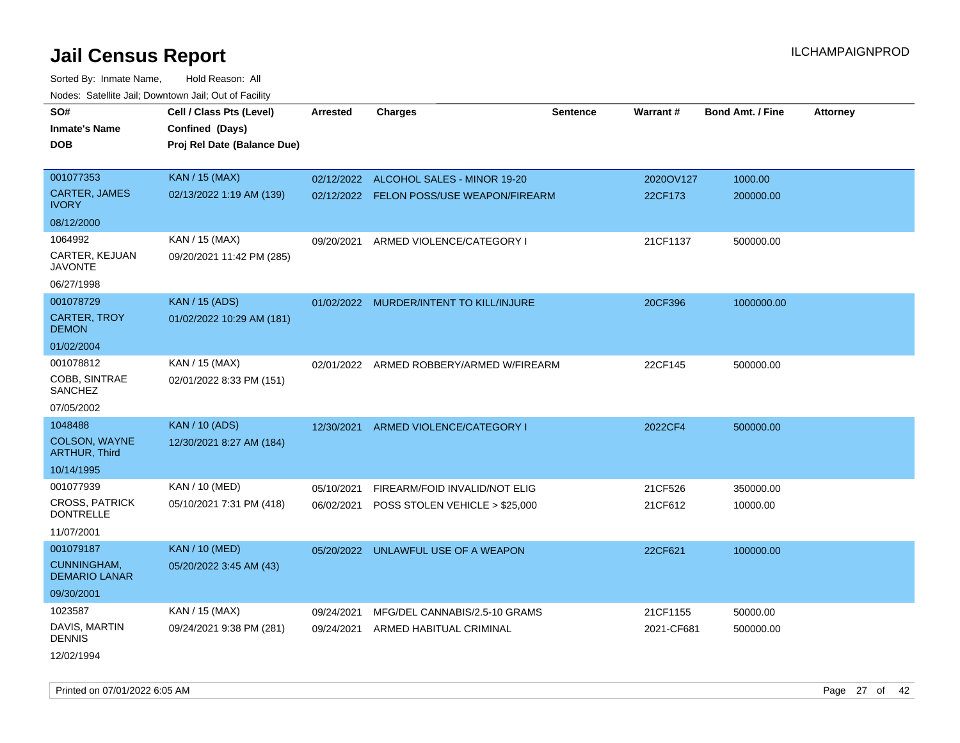Sorted By: Inmate Name, Hold Reason: All Nodes: Satellite Jail; Downtown Jail; Out of Facility

| SO#<br>Inmate's Name<br><b>DOB</b>           | Cell / Class Pts (Level)<br>Confined (Days)<br>Proj Rel Date (Balance Due) | <b>Arrested</b> | <b>Charges</b>                           | <b>Sentence</b> | Warrant#   | <b>Bond Amt. / Fine</b> | <b>Attorney</b> |
|----------------------------------------------|----------------------------------------------------------------------------|-----------------|------------------------------------------|-----------------|------------|-------------------------|-----------------|
| 001077353                                    | <b>KAN / 15 (MAX)</b>                                                      | 02/12/2022      | ALCOHOL SALES - MINOR 19-20              |                 | 2020OV127  | 1000.00                 |                 |
| <b>CARTER, JAMES</b><br><b>IVORY</b>         | 02/13/2022 1:19 AM (139)                                                   |                 | 02/12/2022 FELON POSS/USE WEAPON/FIREARM |                 | 22CF173    | 200000.00               |                 |
| 08/12/2000                                   |                                                                            |                 |                                          |                 |            |                         |                 |
| 1064992                                      | KAN / 15 (MAX)                                                             | 09/20/2021      | ARMED VIOLENCE/CATEGORY I                |                 | 21CF1137   | 500000.00               |                 |
| CARTER, KEJUAN<br><b>JAVONTE</b>             | 09/20/2021 11:42 PM (285)                                                  |                 |                                          |                 |            |                         |                 |
| 06/27/1998                                   |                                                                            |                 |                                          |                 |            |                         |                 |
| 001078729                                    | <b>KAN / 15 (ADS)</b>                                                      | 01/02/2022      | MURDER/INTENT TO KILL/INJURE             |                 | 20CF396    | 1000000.00              |                 |
| <b>CARTER, TROY</b><br><b>DEMON</b>          | 01/02/2022 10:29 AM (181)                                                  |                 |                                          |                 |            |                         |                 |
| 01/02/2004                                   |                                                                            |                 |                                          |                 |            |                         |                 |
| 001078812                                    | KAN / 15 (MAX)                                                             |                 | 02/01/2022 ARMED ROBBERY/ARMED W/FIREARM |                 | 22CF145    | 500000.00               |                 |
| COBB, SINTRAE<br><b>SANCHEZ</b>              | 02/01/2022 8:33 PM (151)                                                   |                 |                                          |                 |            |                         |                 |
| 07/05/2002                                   |                                                                            |                 |                                          |                 |            |                         |                 |
| 1048488                                      | <b>KAN / 10 (ADS)</b>                                                      | 12/30/2021      | ARMED VIOLENCE/CATEGORY I                |                 | 2022CF4    | 500000.00               |                 |
| <b>COLSON, WAYNE</b><br><b>ARTHUR, Third</b> | 12/30/2021 8:27 AM (184)                                                   |                 |                                          |                 |            |                         |                 |
| 10/14/1995                                   |                                                                            |                 |                                          |                 |            |                         |                 |
| 001077939                                    | KAN / 10 (MED)                                                             | 05/10/2021      | FIREARM/FOID INVALID/NOT ELIG            |                 | 21CF526    | 350000.00               |                 |
| <b>CROSS, PATRICK</b><br><b>DONTRELLE</b>    | 05/10/2021 7:31 PM (418)                                                   | 06/02/2021      | POSS STOLEN VEHICLE > \$25,000           |                 | 21CF612    | 10000.00                |                 |
| 11/07/2001                                   |                                                                            |                 |                                          |                 |            |                         |                 |
| 001079187                                    | <b>KAN / 10 (MED)</b>                                                      |                 | 05/20/2022 UNLAWFUL USE OF A WEAPON      |                 | 22CF621    | 100000.00               |                 |
| CUNNINGHAM,<br><b>DEMARIO LANAR</b>          | 05/20/2022 3:45 AM (43)                                                    |                 |                                          |                 |            |                         |                 |
| 09/30/2001                                   |                                                                            |                 |                                          |                 |            |                         |                 |
| 1023587                                      | KAN / 15 (MAX)                                                             | 09/24/2021      | MFG/DEL CANNABIS/2.5-10 GRAMS            |                 | 21CF1155   | 50000.00                |                 |
| DAVIS, MARTIN<br>DENNIS                      | 09/24/2021 9:38 PM (281)                                                   | 09/24/2021      | ARMED HABITUAL CRIMINAL                  |                 | 2021-CF681 | 500000.00               |                 |
|                                              |                                                                            |                 |                                          |                 |            |                         |                 |

12/02/1994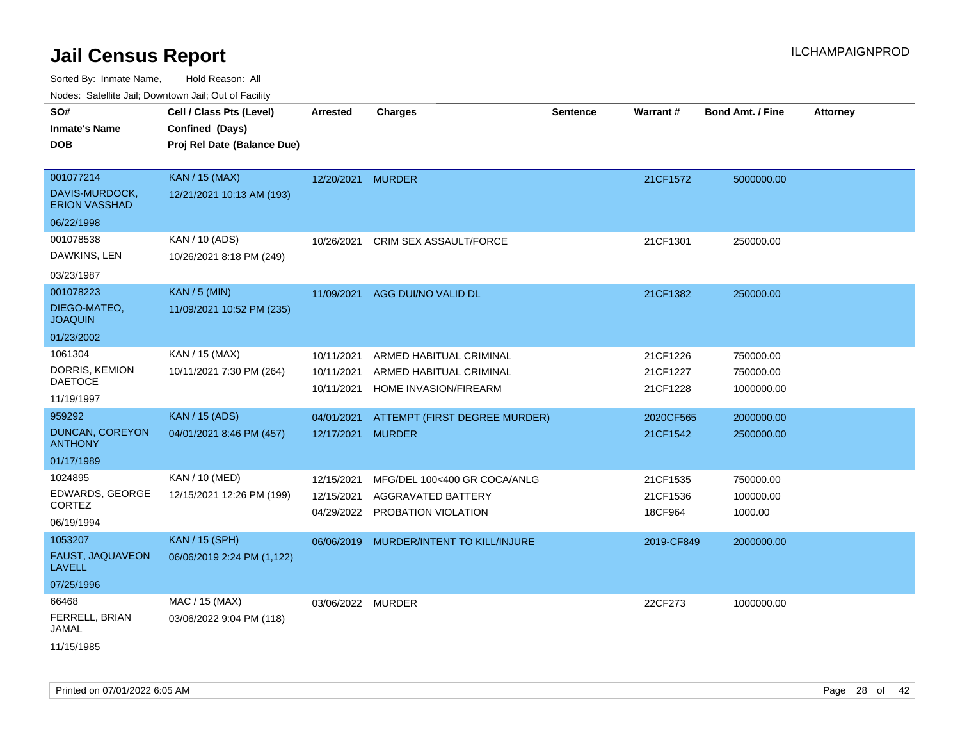Sorted By: Inmate Name, Hold Reason: All Nodes: Satellite Jail; Downtown Jail; Out of Facility

| SO#<br><b>Inmate's Name</b><br>DOB                               | Cell / Class Pts (Level)<br>Confined (Days)<br>Proj Rel Date (Balance Due) | <b>Arrested</b>                        | <b>Charges</b>                                                              | <b>Sentence</b> | Warrant#                         | Bond Amt. / Fine                     | <b>Attorney</b> |
|------------------------------------------------------------------|----------------------------------------------------------------------------|----------------------------------------|-----------------------------------------------------------------------------|-----------------|----------------------------------|--------------------------------------|-----------------|
| 001077214<br>DAVIS-MURDOCK,<br><b>ERION VASSHAD</b>              | <b>KAN / 15 (MAX)</b><br>12/21/2021 10:13 AM (193)                         | 12/20/2021 MURDER                      |                                                                             |                 | 21CF1572                         | 5000000.00                           |                 |
| 06/22/1998<br>001078538<br>DAWKINS, LEN                          | KAN / 10 (ADS)<br>10/26/2021 8:18 PM (249)                                 | 10/26/2021                             | <b>CRIM SEX ASSAULT/FORCE</b>                                               |                 | 21CF1301                         | 250000.00                            |                 |
| 03/23/1987<br>001078223<br>DIEGO-MATEO,<br><b>JOAQUIN</b>        | <b>KAN / 5 (MIN)</b><br>11/09/2021 10:52 PM (235)                          | 11/09/2021                             | AGG DUI/NO VALID DL                                                         |                 | 21CF1382                         | 250000.00                            |                 |
| 01/23/2002<br>1061304<br>DORRIS, KEMION<br>DAETOCE<br>11/19/1997 | KAN / 15 (MAX)<br>10/11/2021 7:30 PM (264)                                 | 10/11/2021<br>10/11/2021<br>10/11/2021 | ARMED HABITUAL CRIMINAL<br>ARMED HABITUAL CRIMINAL<br>HOME INVASION/FIREARM |                 | 21CF1226<br>21CF1227<br>21CF1228 | 750000.00<br>750000.00<br>1000000.00 |                 |
| 959292<br><b>DUNCAN, COREYON</b><br><b>ANTHONY</b><br>01/17/1989 | <b>KAN / 15 (ADS)</b><br>04/01/2021 8:46 PM (457)                          | 04/01/2021<br>12/17/2021               | ATTEMPT (FIRST DEGREE MURDER)<br><b>MURDER</b>                              |                 | 2020CF565<br>21CF1542            | 2000000.00<br>2500000.00             |                 |
| 1024895<br>EDWARDS, GEORGE<br>CORTEZ<br>06/19/1994               | KAN / 10 (MED)<br>12/15/2021 12:26 PM (199)                                | 12/15/2021<br>12/15/2021<br>04/29/2022 | MFG/DEL 100<400 GR COCA/ANLG<br>AGGRAVATED BATTERY<br>PROBATION VIOLATION   |                 | 21CF1535<br>21CF1536<br>18CF964  | 750000.00<br>100000.00<br>1000.00    |                 |
| 1053207<br>FAUST, JAQUAVEON<br><b>LAVELL</b><br>07/25/1996       | <b>KAN / 15 (SPH)</b><br>06/06/2019 2:24 PM (1,122)                        | 06/06/2019                             | MURDER/INTENT TO KILL/INJURE                                                |                 | 2019-CF849                       | 2000000.00                           |                 |
| 66468<br>FERRELL, BRIAN<br>JAMAL                                 | MAC / 15 (MAX)<br>03/06/2022 9:04 PM (118)                                 | 03/06/2022 MURDER                      |                                                                             |                 | 22CF273                          | 1000000.00                           |                 |

11/15/1985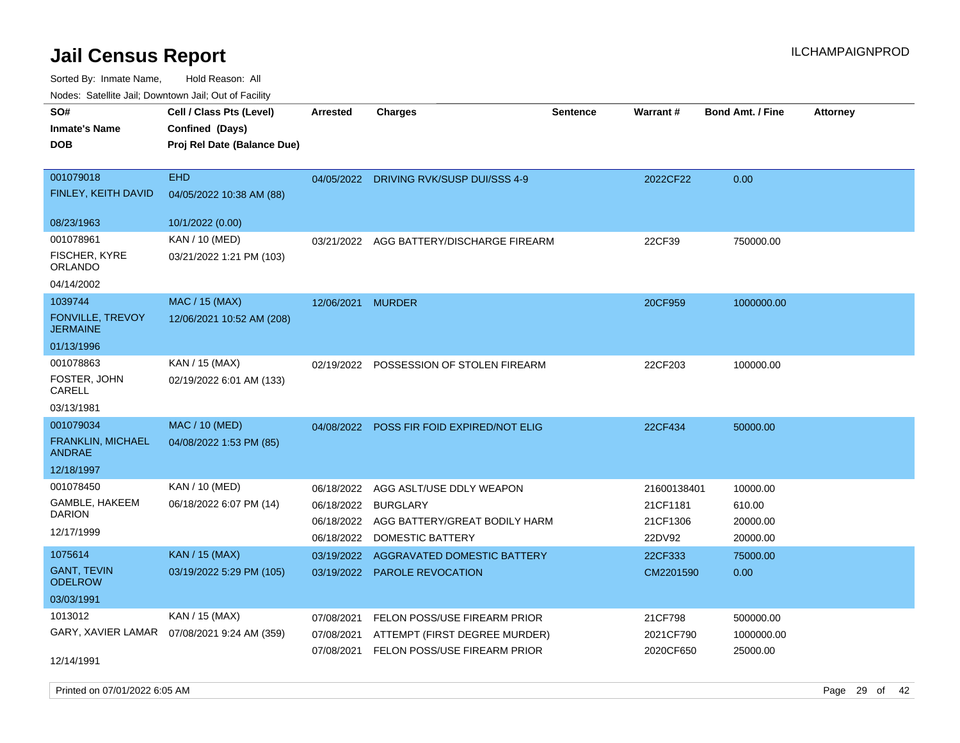Sorted By: Inmate Name, Hold Reason: All

Nodes: Satellite Jail; Downtown Jail; Out of Facility

| SO#<br><b>Inmate's Name</b><br><b>DOB</b>                  | Cell / Class Pts (Level)<br>Confined (Days)<br>Proj Rel Date (Balance Due) | <b>Arrested</b>                                      | <b>Charges</b>                                                                                   | <b>Sentence</b> | Warrant#                                      | <b>Bond Amt. / Fine</b>                    | <b>Attorney</b> |
|------------------------------------------------------------|----------------------------------------------------------------------------|------------------------------------------------------|--------------------------------------------------------------------------------------------------|-----------------|-----------------------------------------------|--------------------------------------------|-----------------|
| 001079018<br>FINLEY, KEITH DAVID                           | <b>EHD</b><br>04/05/2022 10:38 AM (88)                                     | 04/05/2022                                           | DRIVING RVK/SUSP DUI/SSS 4-9                                                                     |                 | 2022CF22                                      | 0.00                                       |                 |
| 08/23/1963                                                 | 10/1/2022 (0.00)                                                           |                                                      |                                                                                                  |                 |                                               |                                            |                 |
| 001078961<br>FISCHER, KYRE<br><b>ORLANDO</b>               | KAN / 10 (MED)<br>03/21/2022 1:21 PM (103)                                 | 03/21/2022                                           | AGG BATTERY/DISCHARGE FIREARM                                                                    |                 | 22CF39                                        | 750000.00                                  |                 |
| 04/14/2002                                                 |                                                                            |                                                      |                                                                                                  |                 |                                               |                                            |                 |
| 1039744<br><b>FONVILLE, TREVOY</b><br><b>JERMAINE</b>      | <b>MAC / 15 (MAX)</b><br>12/06/2021 10:52 AM (208)                         | 12/06/2021                                           | <b>MURDER</b>                                                                                    |                 | 20CF959                                       | 1000000.00                                 |                 |
| 01/13/1996                                                 |                                                                            |                                                      |                                                                                                  |                 |                                               |                                            |                 |
| 001078863<br>FOSTER, JOHN<br>CARELL                        | KAN / 15 (MAX)<br>02/19/2022 6:01 AM (133)                                 | 02/19/2022                                           | POSSESSION OF STOLEN FIREARM                                                                     |                 | 22CF203                                       | 100000.00                                  |                 |
| 03/13/1981                                                 |                                                                            |                                                      |                                                                                                  |                 |                                               |                                            |                 |
| 001079034                                                  | MAC / 10 (MED)                                                             |                                                      | 04/08/2022 POSS FIR FOID EXPIRED/NOT ELIG                                                        |                 | 22CF434                                       | 50000.00                                   |                 |
| FRANKLIN, MICHAEL<br>ANDRAE                                | 04/08/2022 1:53 PM (85)                                                    |                                                      |                                                                                                  |                 |                                               |                                            |                 |
| 12/18/1997                                                 |                                                                            |                                                      |                                                                                                  |                 |                                               |                                            |                 |
| 001078450<br>GAMBLE, HAKEEM<br><b>DARION</b><br>12/17/1999 | KAN / 10 (MED)<br>06/18/2022 6:07 PM (14)                                  | 06/18/2022<br>06/18/2022<br>06/18/2022<br>06/18/2022 | AGG ASLT/USE DDLY WEAPON<br><b>BURGLARY</b><br>AGG BATTERY/GREAT BODILY HARM<br>DOMESTIC BATTERY |                 | 21600138401<br>21CF1181<br>21CF1306<br>22DV92 | 10000.00<br>610.00<br>20000.00<br>20000.00 |                 |
| 1075614                                                    | <b>KAN / 15 (MAX)</b>                                                      |                                                      | 03/19/2022 AGGRAVATED DOMESTIC BATTERY                                                           |                 | 22CF333                                       | 75000.00                                   |                 |
| <b>GANT, TEVIN</b><br><b>ODELROW</b>                       | 03/19/2022 5:29 PM (105)                                                   |                                                      | 03/19/2022 PAROLE REVOCATION                                                                     |                 | CM2201590                                     | 0.00                                       |                 |
| 03/03/1991                                                 |                                                                            |                                                      |                                                                                                  |                 |                                               |                                            |                 |
| 1013012                                                    | KAN / 15 (MAX)                                                             | 07/08/2021                                           | FELON POSS/USE FIREARM PRIOR                                                                     |                 | 21CF798                                       | 500000.00                                  |                 |
|                                                            | GARY, XAVIER LAMAR  07/08/2021 9:24 AM (359)                               | 07/08/2021                                           | ATTEMPT (FIRST DEGREE MURDER)                                                                    |                 | 2021CF790                                     | 1000000.00                                 |                 |
| 12/14/1991                                                 |                                                                            | 07/08/2021                                           | FELON POSS/USE FIREARM PRIOR                                                                     |                 | 2020CF650                                     | 25000.00                                   |                 |

Printed on 07/01/2022 6:05 AM Page 29 of 42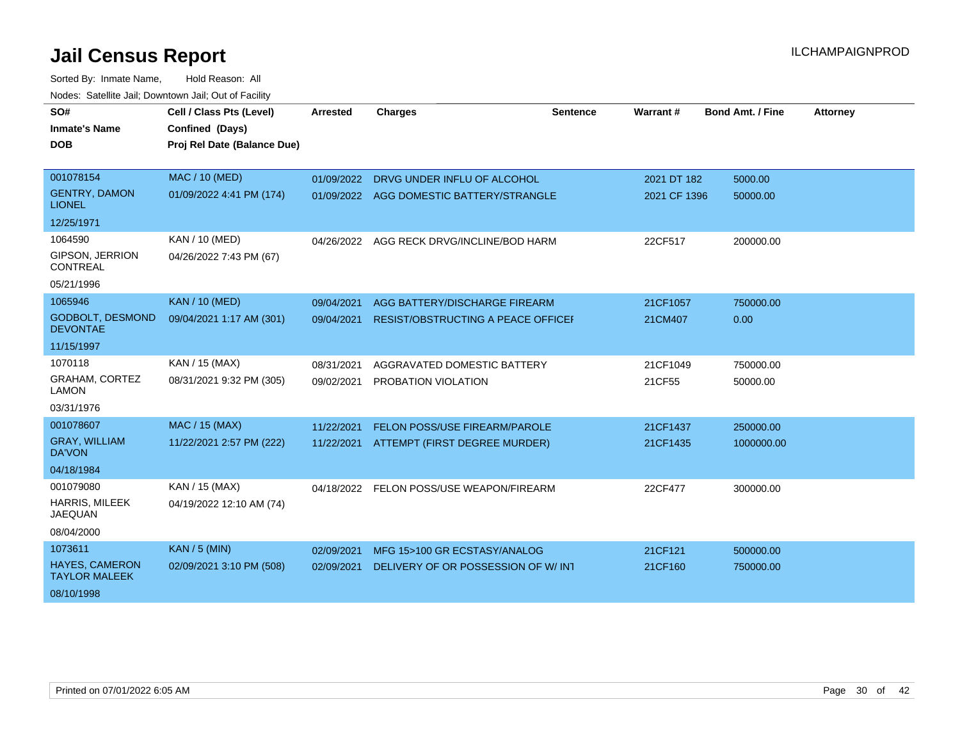| SO#                                           | Cell / Class Pts (Level)    | <b>Arrested</b> | <b>Charges</b>                       | <b>Sentence</b> | Warrant#     | <b>Bond Amt. / Fine</b> | <b>Attorney</b> |
|-----------------------------------------------|-----------------------------|-----------------|--------------------------------------|-----------------|--------------|-------------------------|-----------------|
| <b>Inmate's Name</b>                          | Confined (Days)             |                 |                                      |                 |              |                         |                 |
| <b>DOB</b>                                    | Proj Rel Date (Balance Due) |                 |                                      |                 |              |                         |                 |
|                                               |                             |                 |                                      |                 |              |                         |                 |
| 001078154                                     | <b>MAC / 10 (MED)</b>       | 01/09/2022      | DRVG UNDER INFLU OF ALCOHOL          |                 | 2021 DT 182  | 5000.00                 |                 |
| <b>GENTRY, DAMON</b><br><b>LIONEL</b>         | 01/09/2022 4:41 PM (174)    | 01/09/2022      | AGG DOMESTIC BATTERY/STRANGLE        |                 | 2021 CF 1396 | 50000.00                |                 |
| 12/25/1971                                    |                             |                 |                                      |                 |              |                         |                 |
| 1064590                                       | KAN / 10 (MED)              | 04/26/2022      | AGG RECK DRVG/INCLINE/BOD HARM       |                 | 22CF517      | 200000.00               |                 |
| <b>GIPSON, JERRION</b><br>CONTREAL            | 04/26/2022 7:43 PM (67)     |                 |                                      |                 |              |                         |                 |
| 05/21/1996                                    |                             |                 |                                      |                 |              |                         |                 |
| 1065946                                       | <b>KAN / 10 (MED)</b>       | 09/04/2021      | AGG BATTERY/DISCHARGE FIREARM        |                 | 21CF1057     | 750000.00               |                 |
| <b>GODBOLT, DESMOND</b><br><b>DEVONTAE</b>    | 09/04/2021 1:17 AM (301)    | 09/04/2021      | RESIST/OBSTRUCTING A PEACE OFFICEF   |                 | 21CM407      | 0.00                    |                 |
| 11/15/1997                                    |                             |                 |                                      |                 |              |                         |                 |
| 1070118                                       | KAN / 15 (MAX)              | 08/31/2021      | AGGRAVATED DOMESTIC BATTERY          |                 | 21CF1049     | 750000.00               |                 |
| GRAHAM, CORTEZ<br><b>LAMON</b>                | 08/31/2021 9:32 PM (305)    | 09/02/2021      | PROBATION VIOLATION                  |                 | 21CF55       | 50000.00                |                 |
| 03/31/1976                                    |                             |                 |                                      |                 |              |                         |                 |
| 001078607                                     | <b>MAC / 15 (MAX)</b>       | 11/22/2021      | <b>FELON POSS/USE FIREARM/PAROLE</b> |                 | 21CF1437     | 250000.00               |                 |
| <b>GRAY, WILLIAM</b><br><b>DA'VON</b>         | 11/22/2021 2:57 PM (222)    | 11/22/2021      | ATTEMPT (FIRST DEGREE MURDER)        |                 | 21CF1435     | 1000000.00              |                 |
| 04/18/1984                                    |                             |                 |                                      |                 |              |                         |                 |
| 001079080                                     | KAN / 15 (MAX)              | 04/18/2022      | FELON POSS/USE WEAPON/FIREARM        |                 | 22CF477      | 300000.00               |                 |
| HARRIS, MILEEK<br><b>JAEQUAN</b>              | 04/19/2022 12:10 AM (74)    |                 |                                      |                 |              |                         |                 |
| 08/04/2000                                    |                             |                 |                                      |                 |              |                         |                 |
| 1073611                                       | $KAN / 5$ (MIN)             | 02/09/2021      | MFG 15>100 GR ECSTASY/ANALOG         |                 | 21CF121      | 500000.00               |                 |
| <b>HAYES, CAMERON</b><br><b>TAYLOR MALEEK</b> | 02/09/2021 3:10 PM (508)    | 02/09/2021      | DELIVERY OF OR POSSESSION OF W/INT   |                 | 21CF160      | 750000.00               |                 |
| 08/10/1998                                    |                             |                 |                                      |                 |              |                         |                 |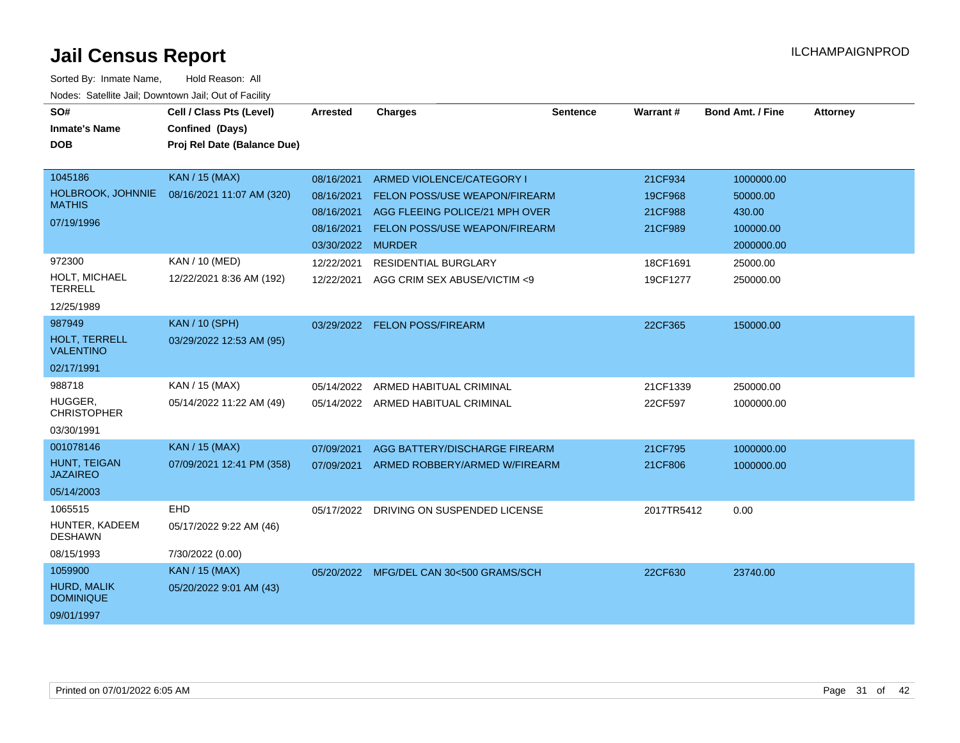| SO#                                | Cell / Class Pts (Level)    | Arrested   | <b>Charges</b>                          | <b>Sentence</b> | Warrant#   | <b>Bond Amt. / Fine</b> | <b>Attorney</b> |
|------------------------------------|-----------------------------|------------|-----------------------------------------|-----------------|------------|-------------------------|-----------------|
| <b>Inmate's Name</b><br><b>DOB</b> | Confined (Days)             |            |                                         |                 |            |                         |                 |
|                                    | Proj Rel Date (Balance Due) |            |                                         |                 |            |                         |                 |
| 1045186                            | KAN / 15 (MAX)              | 08/16/2021 | ARMED VIOLENCE/CATEGORY I               |                 | 21CF934    | 1000000.00              |                 |
| HOLBROOK, JOHNNIE                  | 08/16/2021 11:07 AM (320)   | 08/16/2021 | FELON POSS/USE WEAPON/FIREARM           |                 | 19CF968    | 50000.00                |                 |
| <b>MATHIS</b>                      |                             | 08/16/2021 | AGG FLEEING POLICE/21 MPH OVER          |                 | 21CF988    | 430.00                  |                 |
| 07/19/1996                         |                             | 08/16/2021 | FELON POSS/USE WEAPON/FIREARM           |                 | 21CF989    | 100000.00               |                 |
|                                    |                             | 03/30/2022 | <b>MURDER</b>                           |                 |            | 2000000.00              |                 |
| 972300                             | KAN / 10 (MED)              | 12/22/2021 | <b>RESIDENTIAL BURGLARY</b>             |                 | 18CF1691   | 25000.00                |                 |
| HOLT, MICHAEL<br><b>TERRELL</b>    | 12/22/2021 8:36 AM (192)    | 12/22/2021 | AGG CRIM SEX ABUSE/VICTIM <9            |                 | 19CF1277   | 250000.00               |                 |
| 12/25/1989                         |                             |            |                                         |                 |            |                         |                 |
| 987949                             | <b>KAN / 10 (SPH)</b>       |            | 03/29/2022 FELON POSS/FIREARM           |                 | 22CF365    | 150000.00               |                 |
| HOLT, TERRELL<br><b>VALENTINO</b>  | 03/29/2022 12:53 AM (95)    |            |                                         |                 |            |                         |                 |
| 02/17/1991                         |                             |            |                                         |                 |            |                         |                 |
| 988718                             | KAN / 15 (MAX)              | 05/14/2022 | ARMED HABITUAL CRIMINAL                 |                 | 21CF1339   | 250000.00               |                 |
| HUGGER,<br><b>CHRISTOPHER</b>      | 05/14/2022 11:22 AM (49)    |            | 05/14/2022 ARMED HABITUAL CRIMINAL      |                 | 22CF597    | 1000000.00              |                 |
| 03/30/1991                         |                             |            |                                         |                 |            |                         |                 |
| 001078146                          | <b>KAN / 15 (MAX)</b>       | 07/09/2021 | AGG BATTERY/DISCHARGE FIREARM           |                 | 21CF795    | 1000000.00              |                 |
| HUNT, TEIGAN<br><b>JAZAIREO</b>    | 07/09/2021 12:41 PM (358)   | 07/09/2021 | ARMED ROBBERY/ARMED W/FIREARM           |                 | 21CF806    | 1000000.00              |                 |
| 05/14/2003                         |                             |            |                                         |                 |            |                         |                 |
| 1065515                            | <b>EHD</b>                  | 05/17/2022 | DRIVING ON SUSPENDED LICENSE            |                 | 2017TR5412 | 0.00                    |                 |
| HUNTER, KADEEM<br><b>DESHAWN</b>   | 05/17/2022 9:22 AM (46)     |            |                                         |                 |            |                         |                 |
| 08/15/1993                         | 7/30/2022 (0.00)            |            |                                         |                 |            |                         |                 |
| 1059900                            | <b>KAN / 15 (MAX)</b>       |            | 05/20/2022 MFG/DEL CAN 30<500 GRAMS/SCH |                 | 22CF630    | 23740.00                |                 |
| HURD, MALIK<br><b>DOMINIQUE</b>    | 05/20/2022 9:01 AM (43)     |            |                                         |                 |            |                         |                 |
| 09/01/1997                         |                             |            |                                         |                 |            |                         |                 |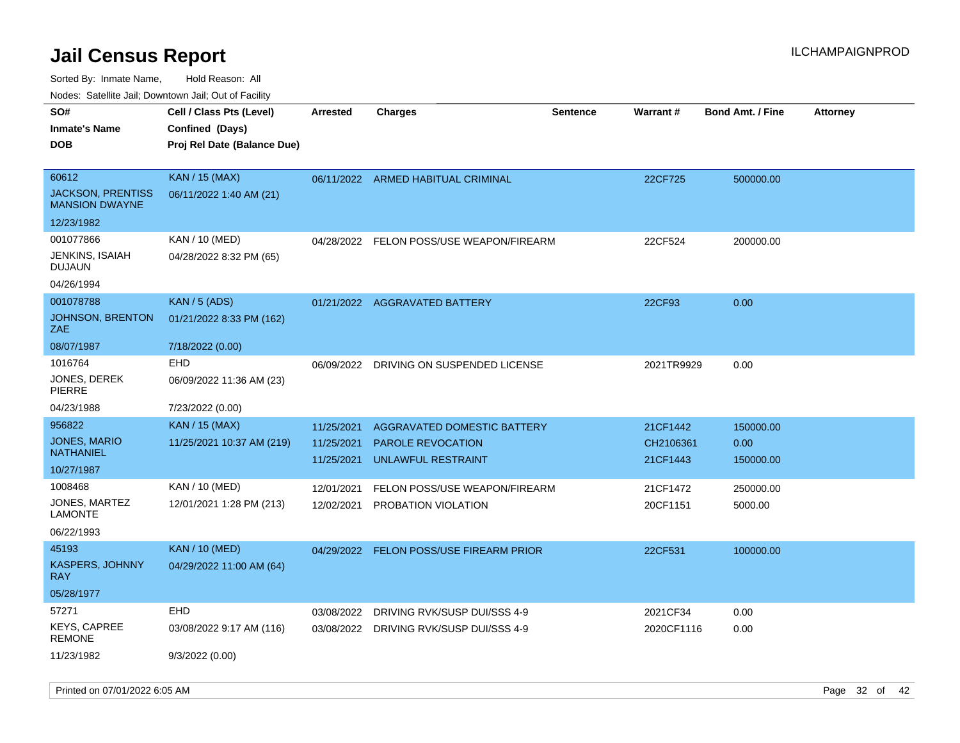Sorted By: Inmate Name, Hold Reason: All

Nodes: Satellite Jail; Downtown Jail; Out of Facility

| SO#                                               | Cell / Class Pts (Level)    | <b>Arrested</b> | <b>Charges</b>                          | <b>Sentence</b> | Warrant #  | <b>Bond Amt. / Fine</b> | <b>Attorney</b> |
|---------------------------------------------------|-----------------------------|-----------------|-----------------------------------------|-----------------|------------|-------------------------|-----------------|
| <b>Inmate's Name</b>                              | Confined (Days)             |                 |                                         |                 |            |                         |                 |
| <b>DOB</b>                                        | Proj Rel Date (Balance Due) |                 |                                         |                 |            |                         |                 |
|                                                   |                             |                 |                                         |                 |            |                         |                 |
| 60612                                             | KAN / 15 (MAX)              |                 | 06/11/2022 ARMED HABITUAL CRIMINAL      |                 | 22CF725    | 500000.00               |                 |
| <b>JACKSON, PRENTISS</b><br><b>MANSION DWAYNE</b> | 06/11/2022 1:40 AM (21)     |                 |                                         |                 |            |                         |                 |
| 12/23/1982                                        |                             |                 |                                         |                 |            |                         |                 |
| 001077866                                         | KAN / 10 (MED)              | 04/28/2022      | FELON POSS/USE WEAPON/FIREARM           |                 | 22CF524    | 200000.00               |                 |
| JENKINS, ISAIAH<br><b>DUJAUN</b>                  | 04/28/2022 8:32 PM (65)     |                 |                                         |                 |            |                         |                 |
| 04/26/1994                                        |                             |                 |                                         |                 |            |                         |                 |
| 001078788                                         | <b>KAN / 5 (ADS)</b>        |                 | 01/21/2022 AGGRAVATED BATTERY           |                 | 22CF93     | 0.00                    |                 |
| JOHNSON, BRENTON<br>ZAE                           | 01/21/2022 8:33 PM (162)    |                 |                                         |                 |            |                         |                 |
| 08/07/1987                                        | 7/18/2022 (0.00)            |                 |                                         |                 |            |                         |                 |
| 1016764                                           | <b>EHD</b>                  | 06/09/2022      | DRIVING ON SUSPENDED LICENSE            |                 | 2021TR9929 | 0.00                    |                 |
| JONES, DEREK<br><b>PIERRE</b>                     | 06/09/2022 11:36 AM (23)    |                 |                                         |                 |            |                         |                 |
| 04/23/1988                                        | 7/23/2022 (0.00)            |                 |                                         |                 |            |                         |                 |
| 956822                                            | <b>KAN / 15 (MAX)</b>       | 11/25/2021      | <b>AGGRAVATED DOMESTIC BATTERY</b>      |                 | 21CF1442   | 150000.00               |                 |
| JONES, MARIO                                      | 11/25/2021 10:37 AM (219)   | 11/25/2021      | <b>PAROLE REVOCATION</b>                |                 | CH2106361  | 0.00                    |                 |
| <b>NATHANIEL</b>                                  |                             | 11/25/2021      | <b>UNLAWFUL RESTRAINT</b>               |                 | 21CF1443   | 150000.00               |                 |
| 10/27/1987                                        |                             |                 |                                         |                 |            |                         |                 |
| 1008468                                           | KAN / 10 (MED)              | 12/01/2021      | FELON POSS/USE WEAPON/FIREARM           |                 | 21CF1472   | 250000.00               |                 |
| JONES, MARTEZ<br><b>LAMONTE</b>                   | 12/01/2021 1:28 PM (213)    | 12/02/2021      | PROBATION VIOLATION                     |                 | 20CF1151   | 5000.00                 |                 |
| 06/22/1993                                        |                             |                 |                                         |                 |            |                         |                 |
| 45193                                             | <b>KAN / 10 (MED)</b>       |                 | 04/29/2022 FELON POSS/USE FIREARM PRIOR |                 | 22CF531    | 100000.00               |                 |
| <b>KASPERS, JOHNNY</b><br><b>RAY</b>              | 04/29/2022 11:00 AM (64)    |                 |                                         |                 |            |                         |                 |
| 05/28/1977                                        |                             |                 |                                         |                 |            |                         |                 |
| 57271                                             | EHD                         | 03/08/2022      | DRIVING RVK/SUSP DUI/SSS 4-9            |                 | 2021CF34   | 0.00                    |                 |
| <b>KEYS, CAPREE</b><br><b>REMONE</b>              | 03/08/2022 9:17 AM (116)    |                 | 03/08/2022 DRIVING RVK/SUSP DUI/SSS 4-9 |                 | 2020CF1116 | 0.00                    |                 |
| 11/23/1982                                        | 9/3/2022 (0.00)             |                 |                                         |                 |            |                         |                 |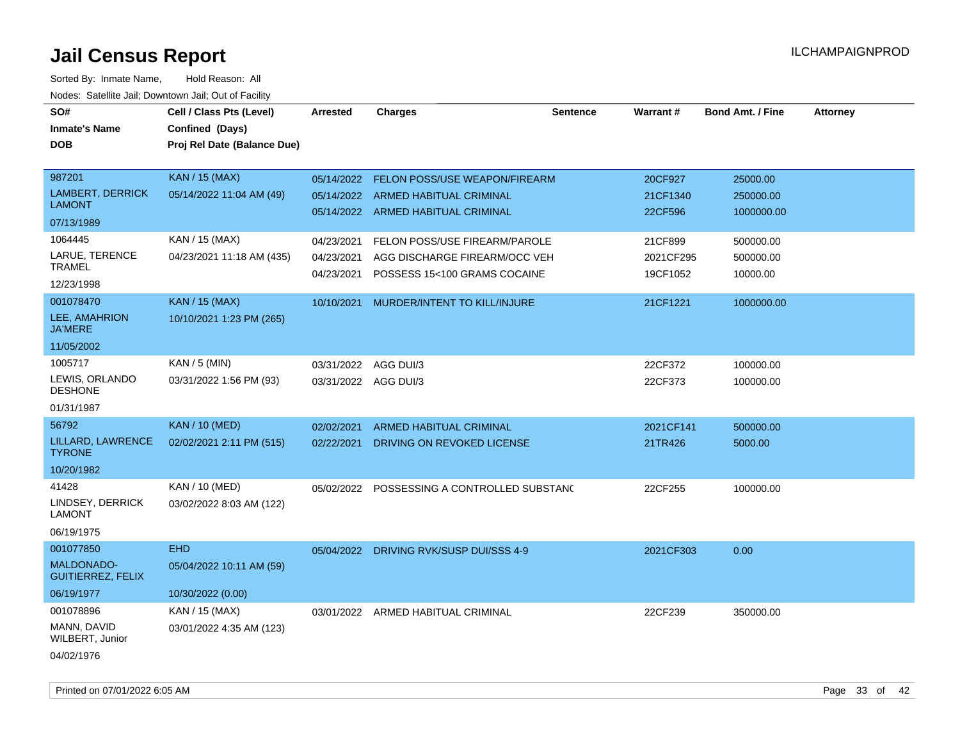| SO#<br><b>Inmate's Name</b>                   | Cell / Class Pts (Level)<br>Confined (Days) | <b>Arrested</b> | <b>Charges</b>                              | <b>Sentence</b> | Warrant#  | <b>Bond Amt. / Fine</b> | <b>Attorney</b> |
|-----------------------------------------------|---------------------------------------------|-----------------|---------------------------------------------|-----------------|-----------|-------------------------|-----------------|
| <b>DOB</b>                                    | Proj Rel Date (Balance Due)                 |                 |                                             |                 |           |                         |                 |
|                                               |                                             |                 |                                             |                 |           |                         |                 |
| 987201                                        | KAN / 15 (MAX)                              | 05/14/2022      | FELON POSS/USE WEAPON/FIREARM               |                 | 20CF927   | 25000.00                |                 |
| <b>LAMBERT, DERRICK</b><br><b>LAMONT</b>      | 05/14/2022 11:04 AM (49)                    |                 | 05/14/2022 ARMED HABITUAL CRIMINAL          |                 | 21CF1340  | 250000.00               |                 |
| 07/13/1989                                    |                                             |                 | 05/14/2022 ARMED HABITUAL CRIMINAL          |                 | 22CF596   | 1000000.00              |                 |
| 1064445                                       | KAN / 15 (MAX)                              | 04/23/2021      | FELON POSS/USE FIREARM/PAROLE               |                 | 21CF899   | 500000.00               |                 |
| LARUE, TERENCE                                | 04/23/2021 11:18 AM (435)                   | 04/23/2021      | AGG DISCHARGE FIREARM/OCC VEH               |                 | 2021CF295 | 500000.00               |                 |
| <b>TRAMEL</b>                                 |                                             | 04/23/2021      | POSSESS 15<100 GRAMS COCAINE                |                 | 19CF1052  | 10000.00                |                 |
| 12/23/1998                                    |                                             |                 |                                             |                 |           |                         |                 |
| 001078470<br>LEE, AMAHRION                    | <b>KAN / 15 (MAX)</b>                       |                 | 10/10/2021 MURDER/INTENT TO KILL/INJURE     |                 | 21CF1221  | 1000000.00              |                 |
| <b>JA'MERE</b>                                | 10/10/2021 1:23 PM (265)                    |                 |                                             |                 |           |                         |                 |
| 11/05/2002                                    |                                             |                 |                                             |                 |           |                         |                 |
| 1005717                                       | KAN / 5 (MIN)                               |                 | 03/31/2022 AGG DUI/3                        |                 | 22CF372   | 100000.00               |                 |
| LEWIS, ORLANDO<br><b>DESHONE</b>              | 03/31/2022 1:56 PM (93)                     |                 | 03/31/2022 AGG DUI/3                        |                 | 22CF373   | 100000.00               |                 |
| 01/31/1987                                    |                                             |                 |                                             |                 |           |                         |                 |
| 56792                                         | <b>KAN / 10 (MED)</b>                       | 02/02/2021      | ARMED HABITUAL CRIMINAL                     |                 | 2021CF141 | 500000.00               |                 |
| LILLARD, LAWRENCE<br><b>TYRONE</b>            | 02/02/2021 2:11 PM (515)                    | 02/22/2021      | DRIVING ON REVOKED LICENSE                  |                 | 21TR426   | 5000.00                 |                 |
| 10/20/1982                                    |                                             |                 |                                             |                 |           |                         |                 |
| 41428                                         | KAN / 10 (MED)                              |                 | 05/02/2022 POSSESSING A CONTROLLED SUBSTANC |                 | 22CF255   | 100000.00               |                 |
| LINDSEY, DERRICK<br><b>LAMONT</b>             | 03/02/2022 8:03 AM (122)                    |                 |                                             |                 |           |                         |                 |
| 06/19/1975                                    |                                             |                 |                                             |                 |           |                         |                 |
| 001077850                                     | <b>EHD</b>                                  |                 | 05/04/2022 DRIVING RVK/SUSP DUI/SSS 4-9     |                 | 2021CF303 | 0.00                    |                 |
| <b>MALDONADO-</b><br><b>GUITIERREZ, FELIX</b> | 05/04/2022 10:11 AM (59)                    |                 |                                             |                 |           |                         |                 |
| 06/19/1977                                    | 10/30/2022 (0.00)                           |                 |                                             |                 |           |                         |                 |
| 001078896                                     | KAN / 15 (MAX)                              |                 | 03/01/2022 ARMED HABITUAL CRIMINAL          |                 | 22CF239   | 350000.00               |                 |
| MANN, DAVID<br>WILBERT, Junior                | 03/01/2022 4:35 AM (123)                    |                 |                                             |                 |           |                         |                 |
| 04/02/1976                                    |                                             |                 |                                             |                 |           |                         |                 |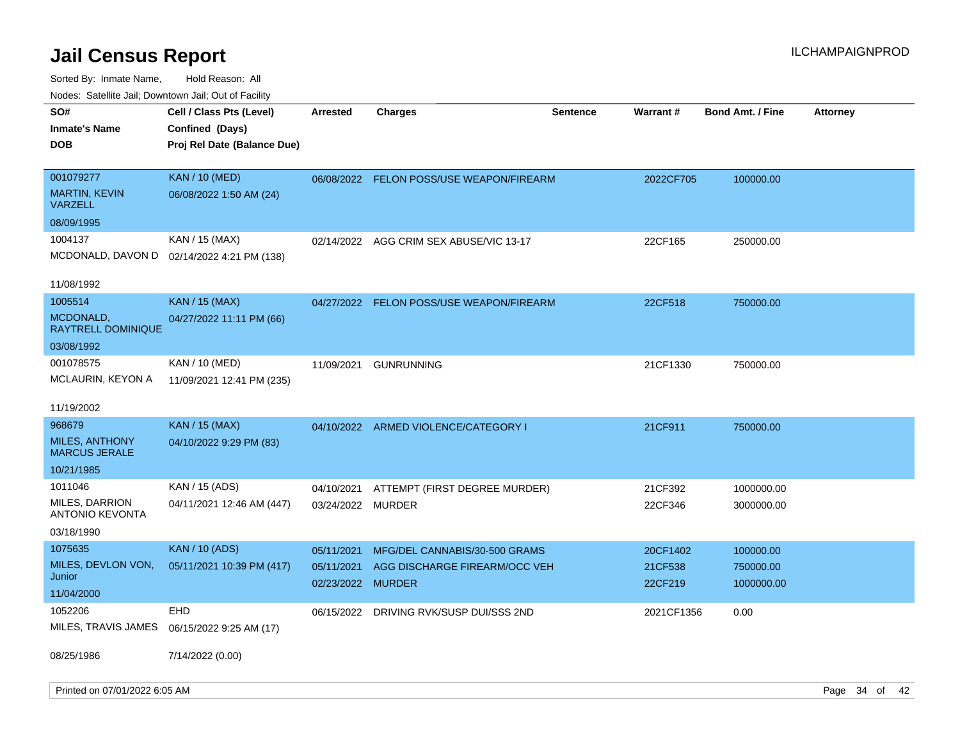| rouco. Calcinic Jan, Downtown Jan, Out of Facility                    |                                                                            |                                        |                                                                                 |                 |                                |                                      |                 |
|-----------------------------------------------------------------------|----------------------------------------------------------------------------|----------------------------------------|---------------------------------------------------------------------------------|-----------------|--------------------------------|--------------------------------------|-----------------|
| SO#<br>Inmate's Name<br><b>DOB</b>                                    | Cell / Class Pts (Level)<br>Confined (Days)<br>Proj Rel Date (Balance Due) | <b>Arrested</b>                        | Charges                                                                         | <b>Sentence</b> | <b>Warrant#</b>                | <b>Bond Amt. / Fine</b>              | <b>Attorney</b> |
| 001079277<br><b>MARTIN, KEVIN</b><br>VARZELL                          | <b>KAN / 10 (MED)</b><br>06/08/2022 1:50 AM (24)                           |                                        | 06/08/2022 FELON POSS/USE WEAPON/FIREARM                                        |                 | 2022CF705                      | 100000.00                            |                 |
| 08/09/1995                                                            |                                                                            |                                        |                                                                                 |                 |                                |                                      |                 |
| 1004137                                                               | KAN / 15 (MAX)<br>MCDONALD, DAVON D 02/14/2022 4:21 PM (138)               |                                        | 02/14/2022 AGG CRIM SEX ABUSE/VIC 13-17                                         |                 | 22CF165                        | 250000.00                            |                 |
| 11/08/1992                                                            |                                                                            |                                        |                                                                                 |                 |                                |                                      |                 |
| 1005514<br><b>MCDONALD</b><br>RAYTRELL DOMINIQUE<br>03/08/1992        | KAN / 15 (MAX)<br>04/27/2022 11:11 PM (66)                                 | 04/27/2022                             | <b>FELON POSS/USE WEAPON/FIREARM</b>                                            |                 | 22CF518                        | 750000.00                            |                 |
| 001078575<br>MCLAURIN, KEYON A                                        | KAN / 10 (MED)<br>11/09/2021 12:41 PM (235)                                | 11/09/2021                             | <b>GUNRUNNING</b>                                                               |                 | 21CF1330                       | 750000.00                            |                 |
| 11/19/2002                                                            |                                                                            |                                        |                                                                                 |                 |                                |                                      |                 |
| 968679<br><b>MILES, ANTHONY</b><br><b>MARCUS JERALE</b><br>10/21/1985 | <b>KAN / 15 (MAX)</b><br>04/10/2022 9:29 PM (83)                           | 04/10/2022                             | ARMED VIOLENCE/CATEGORY I                                                       |                 | 21CF911                        | 750000.00                            |                 |
| 1011046<br>MILES, DARRION<br>ANTONIO KEVONTA<br>03/18/1990            | KAN / 15 (ADS)<br>04/11/2021 12:46 AM (447)                                | 04/10/2021<br>03/24/2022 MURDER        | ATTEMPT (FIRST DEGREE MURDER)                                                   |                 | 21CF392<br>22CF346             | 1000000.00<br>3000000.00             |                 |
| 1075635<br>MILES, DEVLON VON,<br>Junior<br>11/04/2000                 | <b>KAN / 10 (ADS)</b><br>05/11/2021 10:39 PM (417)                         | 05/11/2021<br>05/11/2021<br>02/23/2022 | MFG/DEL CANNABIS/30-500 GRAMS<br>AGG DISCHARGE FIREARM/OCC VEH<br><b>MURDER</b> |                 | 20CF1402<br>21CF538<br>22CF219 | 100000.00<br>750000.00<br>1000000.00 |                 |
| 1052206<br>MILES, TRAVIS JAMES<br>08/25/1986                          | EHD<br>06/15/2022 9:25 AM (17)<br>7/14/2022 (0.00)                         | 06/15/2022                             | DRIVING RVK/SUSP DUI/SSS 2ND                                                    |                 | 2021CF1356                     | 0.00                                 |                 |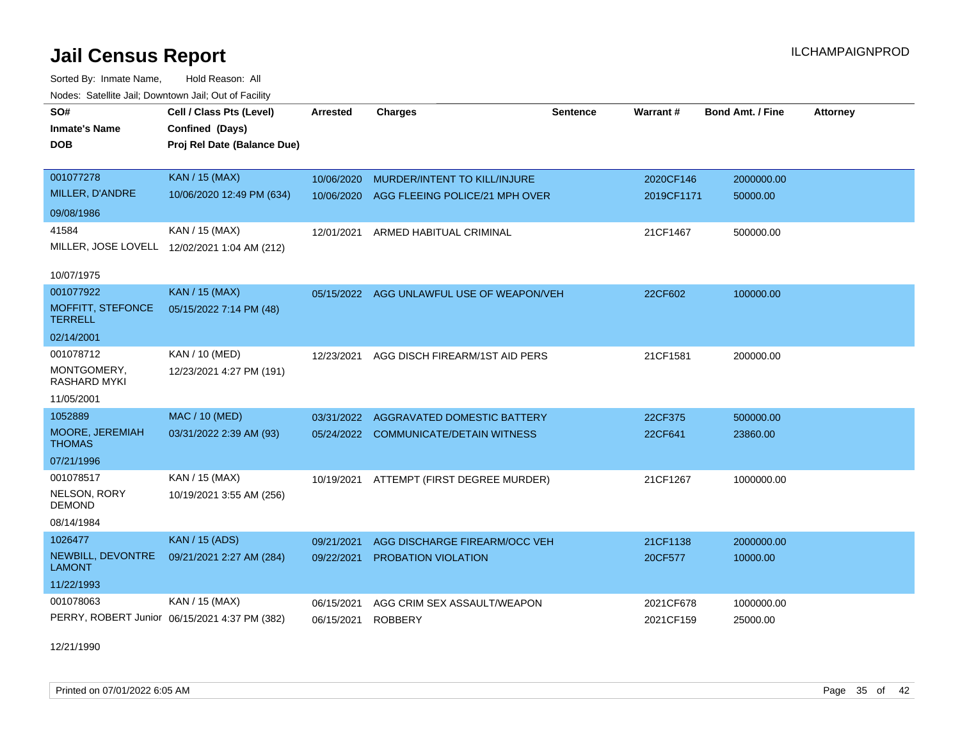Sorted By: Inmate Name, Hold Reason: All Nodes: Satellite Jail; Downtown Jail; Out of Facility

| SO#                                 | Cell / Class Pts (Level)                      | <b>Arrested</b> | <b>Charges</b>                            | <b>Sentence</b> | <b>Warrant#</b> | <b>Bond Amt. / Fine</b> | <b>Attorney</b> |
|-------------------------------------|-----------------------------------------------|-----------------|-------------------------------------------|-----------------|-----------------|-------------------------|-----------------|
| <b>Inmate's Name</b>                | Confined (Days)                               |                 |                                           |                 |                 |                         |                 |
| <b>DOB</b>                          | Proj Rel Date (Balance Due)                   |                 |                                           |                 |                 |                         |                 |
|                                     |                                               |                 |                                           |                 |                 |                         |                 |
| 001077278                           | <b>KAN / 15 (MAX)</b>                         | 10/06/2020      | MURDER/INTENT TO KILL/INJURE              |                 | 2020CF146       | 2000000.00              |                 |
| MILLER, D'ANDRE                     | 10/06/2020 12:49 PM (634)                     | 10/06/2020      | AGG FLEEING POLICE/21 MPH OVER            |                 | 2019CF1171      | 50000.00                |                 |
| 09/08/1986                          |                                               |                 |                                           |                 |                 |                         |                 |
| 41584                               | KAN / 15 (MAX)                                | 12/01/2021      | ARMED HABITUAL CRIMINAL                   |                 | 21CF1467        | 500000.00               |                 |
|                                     | MILLER, JOSE LOVELL 12/02/2021 1:04 AM (212)  |                 |                                           |                 |                 |                         |                 |
|                                     |                                               |                 |                                           |                 |                 |                         |                 |
| 10/07/1975                          |                                               |                 |                                           |                 |                 |                         |                 |
| 001077922                           | <b>KAN / 15 (MAX)</b>                         |                 | 05/15/2022 AGG UNLAWFUL USE OF WEAPON/VEH |                 | 22CF602         | 100000.00               |                 |
| MOFFITT, STEFONCE<br><b>TERRELL</b> | 05/15/2022 7:14 PM (48)                       |                 |                                           |                 |                 |                         |                 |
| 02/14/2001                          |                                               |                 |                                           |                 |                 |                         |                 |
| 001078712                           | KAN / 10 (MED)                                | 12/23/2021      | AGG DISCH FIREARM/1ST AID PERS            |                 | 21CF1581        | 200000.00               |                 |
| MONTGOMERY,<br><b>RASHARD MYKI</b>  | 12/23/2021 4:27 PM (191)                      |                 |                                           |                 |                 |                         |                 |
| 11/05/2001                          |                                               |                 |                                           |                 |                 |                         |                 |
| 1052889                             | <b>MAC / 10 (MED)</b>                         | 03/31/2022      | AGGRAVATED DOMESTIC BATTERY               |                 | 22CF375         | 500000.00               |                 |
| MOORE, JEREMIAH<br><b>THOMAS</b>    | 03/31/2022 2:39 AM (93)                       |                 | 05/24/2022 COMMUNICATE/DETAIN WITNESS     |                 | 22CF641         | 23860.00                |                 |
| 07/21/1996                          |                                               |                 |                                           |                 |                 |                         |                 |
| 001078517                           | KAN / 15 (MAX)                                | 10/19/2021      | ATTEMPT (FIRST DEGREE MURDER)             |                 | 21CF1267        | 1000000.00              |                 |
| NELSON, RORY<br><b>DEMOND</b>       | 10/19/2021 3:55 AM (256)                      |                 |                                           |                 |                 |                         |                 |
| 08/14/1984                          |                                               |                 |                                           |                 |                 |                         |                 |
| 1026477                             | <b>KAN / 15 (ADS)</b>                         | 09/21/2021      | AGG DISCHARGE FIREARM/OCC VEH             |                 | 21CF1138        | 2000000.00              |                 |
| NEWBILL, DEVONTRE<br><b>LAMONT</b>  | 09/21/2021 2:27 AM (284)                      | 09/22/2021      | PROBATION VIOLATION                       |                 | 20CF577         | 10000.00                |                 |
| 11/22/1993                          |                                               |                 |                                           |                 |                 |                         |                 |
| 001078063                           | KAN / 15 (MAX)                                | 06/15/2021      | AGG CRIM SEX ASSAULT/WEAPON               |                 | 2021CF678       | 1000000.00              |                 |
|                                     | PERRY, ROBERT Junior 06/15/2021 4:37 PM (382) | 06/15/2021      | <b>ROBBERY</b>                            |                 | 2021CF159       | 25000.00                |                 |

12/21/1990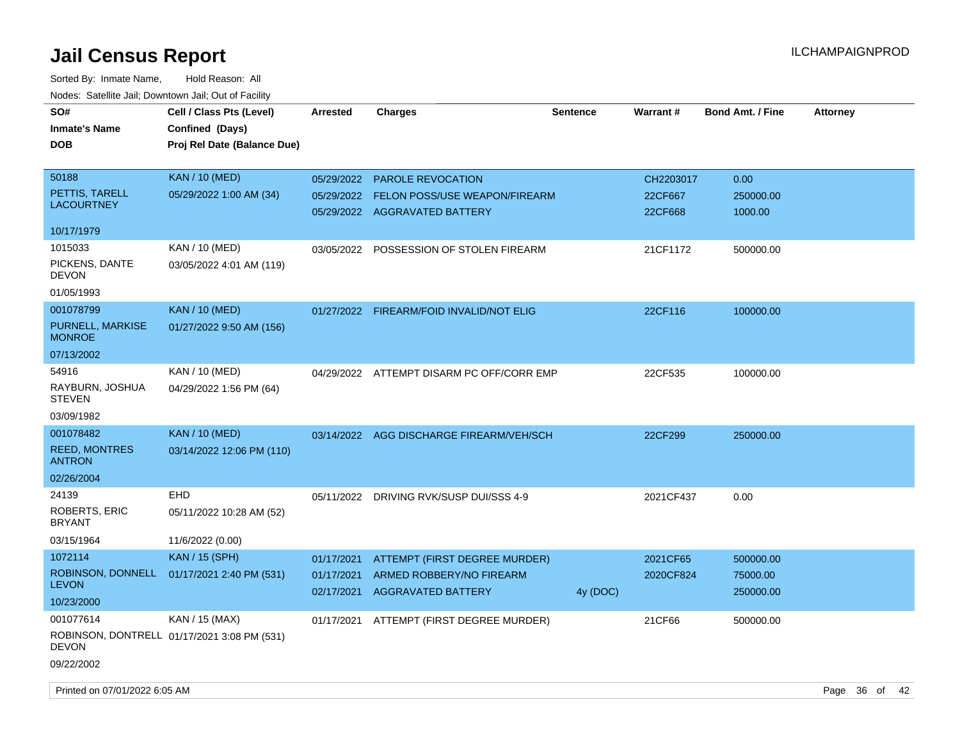| SO#<br><b>Inmate's Name</b><br><b>DOB</b>                             | Cell / Class Pts (Level)<br>Confined (Days)<br>Proj Rel Date (Balance Due) | <b>Arrested</b>                        | <b>Charges</b>                                                                                 | <b>Sentence</b> | <b>Warrant#</b>                 | <b>Bond Amt. / Fine</b>            | <b>Attorney</b> |
|-----------------------------------------------------------------------|----------------------------------------------------------------------------|----------------------------------------|------------------------------------------------------------------------------------------------|-----------------|---------------------------------|------------------------------------|-----------------|
| 50188<br>PETTIS, TARELL<br><b>LACOURTNEY</b>                          | <b>KAN / 10 (MED)</b><br>05/29/2022 1:00 AM (34)                           | 05/29/2022                             | 05/29/2022 PAROLE REVOCATION<br>FELON POSS/USE WEAPON/FIREARM<br>05/29/2022 AGGRAVATED BATTERY |                 | CH2203017<br>22CF667<br>22CF668 | 0.00<br>250000.00<br>1000.00       |                 |
| 10/17/1979<br>1015033<br>PICKENS, DANTE<br>DEVON<br>01/05/1993        | KAN / 10 (MED)<br>03/05/2022 4:01 AM (119)                                 |                                        | 03/05/2022 POSSESSION OF STOLEN FIREARM                                                        |                 | 21CF1172                        | 500000.00                          |                 |
| 001078799<br>PURNELL, MARKISE<br><b>MONROE</b>                        | <b>KAN / 10 (MED)</b><br>01/27/2022 9:50 AM (156)                          |                                        | 01/27/2022 FIREARM/FOID INVALID/NOT ELIG                                                       |                 | 22CF116                         | 100000.00                          |                 |
| 07/13/2002<br>54916<br>RAYBURN, JOSHUA<br><b>STEVEN</b><br>03/09/1982 | KAN / 10 (MED)<br>04/29/2022 1:56 PM (64)                                  |                                        | 04/29/2022 ATTEMPT DISARM PC OFF/CORR EMP                                                      |                 | 22CF535                         | 100000.00                          |                 |
| 001078482<br><b>REED, MONTRES</b><br><b>ANTRON</b><br>02/26/2004      | <b>KAN / 10 (MED)</b><br>03/14/2022 12:06 PM (110)                         |                                        | 03/14/2022 AGG DISCHARGE FIREARM/VEH/SCH                                                       |                 | 22CF299                         | 250000.00                          |                 |
| 24139<br>ROBERTS, ERIC<br><b>BRYANT</b><br>03/15/1964                 | EHD<br>05/11/2022 10:28 AM (52)<br>11/6/2022 (0.00)                        | 05/11/2022                             | DRIVING RVK/SUSP DUI/SSS 4-9                                                                   |                 | 2021CF437                       | 0.00                               |                 |
| 1072114<br>ROBINSON, DONNELL<br><b>LEVON</b><br>10/23/2000            | <b>KAN / 15 (SPH)</b><br>01/17/2021 2:40 PM (531)                          | 01/17/2021<br>01/17/2021<br>02/17/2021 | ATTEMPT (FIRST DEGREE MURDER)<br>ARMED ROBBERY/NO FIREARM<br><b>AGGRAVATED BATTERY</b>         | 4y (DOC)        | 2021CF65<br>2020CF824           | 500000.00<br>75000.00<br>250000.00 |                 |
| 001077614<br><b>DEVON</b><br>09/22/2002                               | KAN / 15 (MAX)<br>ROBINSON, DONTRELL 01/17/2021 3:08 PM (531)              | 01/17/2021                             | ATTEMPT (FIRST DEGREE MURDER)                                                                  |                 | 21CF66                          | 500000.00                          |                 |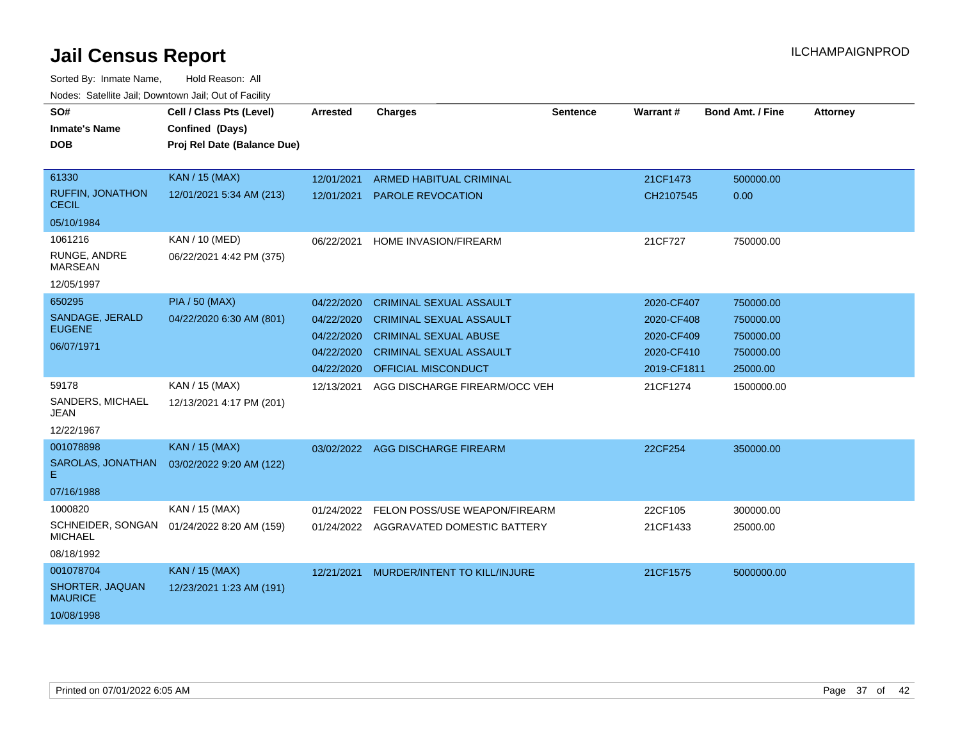| SO#<br><b>Inmate's Name</b><br>DOB      | Cell / Class Pts (Level)<br>Confined (Days)<br>Proj Rel Date (Balance Due) | <b>Arrested</b> | <b>Charges</b>                         | <b>Sentence</b> | <b>Warrant#</b> | <b>Bond Amt. / Fine</b> | <b>Attorney</b> |
|-----------------------------------------|----------------------------------------------------------------------------|-----------------|----------------------------------------|-----------------|-----------------|-------------------------|-----------------|
| 61330                                   | <b>KAN / 15 (MAX)</b>                                                      | 12/01/2021      | <b>ARMED HABITUAL CRIMINAL</b>         |                 | 21CF1473        | 500000.00               |                 |
| <b>RUFFIN, JONATHON</b><br><b>CECIL</b> | 12/01/2021 5:34 AM (213)                                                   | 12/01/2021      | <b>PAROLE REVOCATION</b>               |                 | CH2107545       | 0.00                    |                 |
| 05/10/1984                              |                                                                            |                 |                                        |                 |                 |                         |                 |
| 1061216                                 | KAN / 10 (MED)                                                             | 06/22/2021      | <b>HOME INVASION/FIREARM</b>           |                 | 21CF727         | 750000.00               |                 |
| RUNGE, ANDRE<br><b>MARSEAN</b>          | 06/22/2021 4:42 PM (375)                                                   |                 |                                        |                 |                 |                         |                 |
| 12/05/1997                              |                                                                            |                 |                                        |                 |                 |                         |                 |
| 650295                                  | <b>PIA / 50 (MAX)</b>                                                      | 04/22/2020      | <b>CRIMINAL SEXUAL ASSAULT</b>         |                 | 2020-CF407      | 750000.00               |                 |
| SANDAGE, JERALD                         | 04/22/2020 6:30 AM (801)                                                   | 04/22/2020      | <b>CRIMINAL SEXUAL ASSAULT</b>         |                 | 2020-CF408      | 750000.00               |                 |
| <b>EUGENE</b>                           |                                                                            | 04/22/2020      | <b>CRIMINAL SEXUAL ABUSE</b>           |                 | 2020-CF409      | 750000.00               |                 |
| 06/07/1971                              |                                                                            | 04/22/2020      | <b>CRIMINAL SEXUAL ASSAULT</b>         |                 | 2020-CF410      | 750000.00               |                 |
|                                         |                                                                            | 04/22/2020      | OFFICIAL MISCONDUCT                    |                 | 2019-CF1811     | 25000.00                |                 |
| 59178<br>SANDERS, MICHAEL               | KAN / 15 (MAX)<br>12/13/2021 4:17 PM (201)                                 | 12/13/2021      | AGG DISCHARGE FIREARM/OCC VEH          |                 | 21CF1274        | 1500000.00              |                 |
| JEAN                                    |                                                                            |                 |                                        |                 |                 |                         |                 |
| 12/22/1967                              |                                                                            |                 |                                        |                 |                 |                         |                 |
| 001078898                               | <b>KAN / 15 (MAX)</b>                                                      |                 | 03/02/2022 AGG DISCHARGE FIREARM       |                 | 22CF254         | 350000.00               |                 |
| SAROLAS, JONATHAN<br>E.                 | 03/02/2022 9:20 AM (122)                                                   |                 |                                        |                 |                 |                         |                 |
| 07/16/1988                              |                                                                            |                 |                                        |                 |                 |                         |                 |
| 1000820                                 | KAN / 15 (MAX)                                                             | 01/24/2022      | FELON POSS/USE WEAPON/FIREARM          |                 | 22CF105         | 300000.00               |                 |
| SCHNEIDER, SONGAN<br><b>MICHAEL</b>     | 01/24/2022 8:20 AM (159)                                                   |                 | 01/24/2022 AGGRAVATED DOMESTIC BATTERY |                 | 21CF1433        | 25000.00                |                 |
| 08/18/1992                              |                                                                            |                 |                                        |                 |                 |                         |                 |
| 001078704                               | KAN / 15 (MAX)                                                             | 12/21/2021      | MURDER/INTENT TO KILL/INJURE           |                 | 21CF1575        | 5000000.00              |                 |
| SHORTER, JAQUAN<br><b>MAURICE</b>       | 12/23/2021 1:23 AM (191)                                                   |                 |                                        |                 |                 |                         |                 |
| 10/08/1998                              |                                                                            |                 |                                        |                 |                 |                         |                 |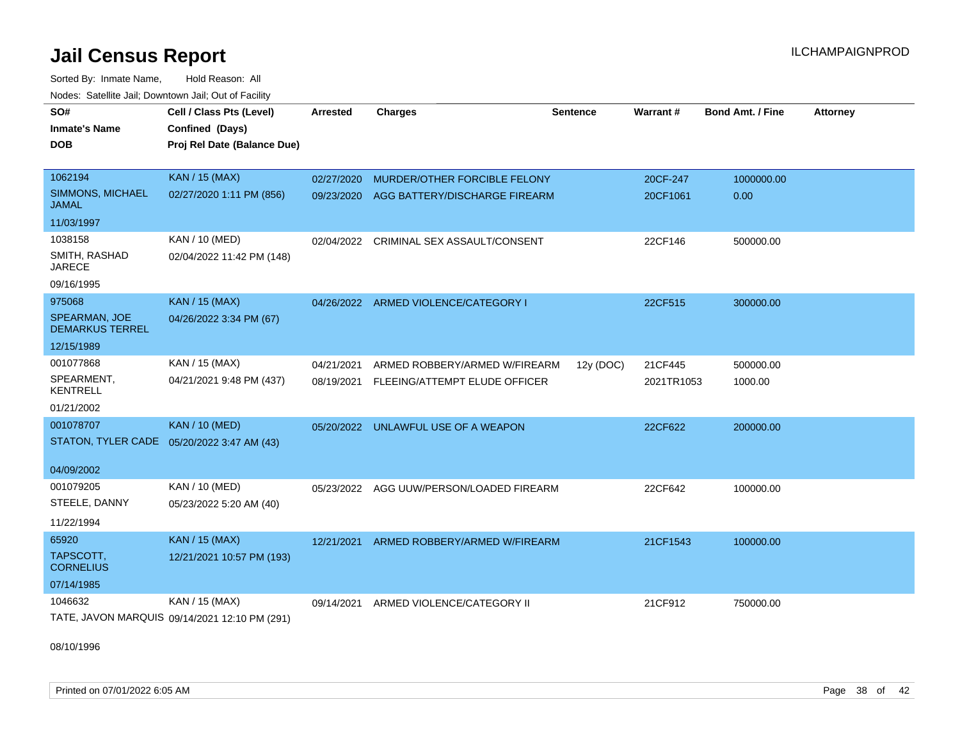Sorted By: Inmate Name, Hold Reason: All Nodes: Satellite Jail; Downtown Jail; Out of Facility

| SO#<br><b>Inmate's Name</b><br><b>DOB</b> | Cell / Class Pts (Level)<br>Confined (Days)<br>Proj Rel Date (Balance Due) | Arrested   | <b>Charges</b>                           | <b>Sentence</b> | Warrant#   | <b>Bond Amt. / Fine</b> | <b>Attorney</b> |
|-------------------------------------------|----------------------------------------------------------------------------|------------|------------------------------------------|-----------------|------------|-------------------------|-----------------|
| 1062194                                   | <b>KAN / 15 (MAX)</b>                                                      | 02/27/2020 | MURDER/OTHER FORCIBLE FELONY             |                 | 20CF-247   | 1000000.00              |                 |
| SIMMONS, MICHAEL<br><b>JAMAL</b>          | 02/27/2020 1:11 PM (856)                                                   |            | 09/23/2020 AGG BATTERY/DISCHARGE FIREARM |                 | 20CF1061   | 0.00                    |                 |
| 11/03/1997                                |                                                                            |            |                                          |                 |            |                         |                 |
| 1038158                                   | KAN / 10 (MED)                                                             | 02/04/2022 | CRIMINAL SEX ASSAULT/CONSENT             |                 | 22CF146    | 500000.00               |                 |
| SMITH, RASHAD<br><b>JARECE</b>            | 02/04/2022 11:42 PM (148)                                                  |            |                                          |                 |            |                         |                 |
| 09/16/1995                                |                                                                            |            |                                          |                 |            |                         |                 |
| 975068                                    | <b>KAN / 15 (MAX)</b>                                                      | 04/26/2022 | ARMED VIOLENCE/CATEGORY I                |                 | 22CF515    | 300000.00               |                 |
| SPEARMAN, JOE<br><b>DEMARKUS TERREL</b>   | 04/26/2022 3:34 PM (67)                                                    |            |                                          |                 |            |                         |                 |
| 12/15/1989                                |                                                                            |            |                                          |                 |            |                         |                 |
| 001077868                                 | KAN / 15 (MAX)                                                             | 04/21/2021 | ARMED ROBBERY/ARMED W/FIREARM            | 12y (DOC)       | 21CF445    | 500000.00               |                 |
| SPEARMENT,<br><b>KENTRELL</b>             | 04/21/2021 9:48 PM (437)                                                   | 08/19/2021 | FLEEING/ATTEMPT ELUDE OFFICER            |                 | 2021TR1053 | 1000.00                 |                 |
| 01/21/2002                                |                                                                            |            |                                          |                 |            |                         |                 |
| 001078707                                 | <b>KAN / 10 (MED)</b>                                                      | 05/20/2022 | UNLAWFUL USE OF A WEAPON                 |                 | 22CF622    | 200000.00               |                 |
| STATON, TYLER CADE                        | 05/20/2022 3:47 AM (43)                                                    |            |                                          |                 |            |                         |                 |
| 04/09/2002                                |                                                                            |            |                                          |                 |            |                         |                 |
| 001079205                                 | KAN / 10 (MED)                                                             | 05/23/2022 | AGG UUW/PERSON/LOADED FIREARM            |                 | 22CF642    | 100000.00               |                 |
| STEELE, DANNY                             | 05/23/2022 5:20 AM (40)                                                    |            |                                          |                 |            |                         |                 |
| 11/22/1994                                |                                                                            |            |                                          |                 |            |                         |                 |
| 65920                                     | <b>KAN / 15 (MAX)</b>                                                      | 12/21/2021 | ARMED ROBBERY/ARMED W/FIREARM            |                 | 21CF1543   | 100000.00               |                 |
| TAPSCOTT,<br><b>CORNELIUS</b>             | 12/21/2021 10:57 PM (193)                                                  |            |                                          |                 |            |                         |                 |
| 07/14/1985                                |                                                                            |            |                                          |                 |            |                         |                 |
| 1046632                                   | KAN / 15 (MAX)                                                             | 09/14/2021 | ARMED VIOLENCE/CATEGORY II               |                 | 21CF912    | 750000.00               |                 |
|                                           | TATE, JAVON MARQUIS 09/14/2021 12:10 PM (291)                              |            |                                          |                 |            |                         |                 |

08/10/1996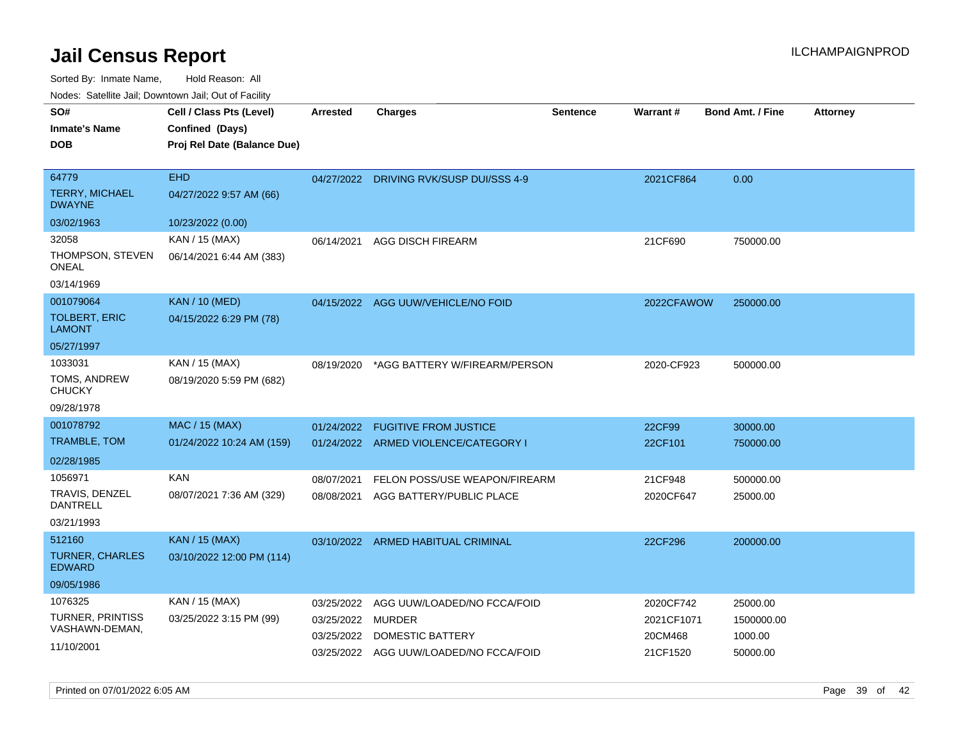Sorted By: Inmate Name, Hold Reason: All

| Nodes: Satellite Jail; Downtown Jail; Out of Facility |                             |                 |                               |                 |            |                         |                 |  |  |
|-------------------------------------------------------|-----------------------------|-----------------|-------------------------------|-----------------|------------|-------------------------|-----------------|--|--|
| SO#                                                   | Cell / Class Pts (Level)    | <b>Arrested</b> | <b>Charges</b>                | <b>Sentence</b> | Warrant#   | <b>Bond Amt. / Fine</b> | <b>Attorney</b> |  |  |
| <b>Inmate's Name</b>                                  | Confined (Days)             |                 |                               |                 |            |                         |                 |  |  |
| <b>DOB</b>                                            | Proj Rel Date (Balance Due) |                 |                               |                 |            |                         |                 |  |  |
|                                                       |                             |                 |                               |                 |            |                         |                 |  |  |
| 64779                                                 | <b>EHD</b>                  | 04/27/2022      | DRIVING RVK/SUSP DUI/SSS 4-9  |                 | 2021CF864  | 0.00                    |                 |  |  |
| <b>TERRY, MICHAEL</b><br><b>DWAYNE</b>                | 04/27/2022 9:57 AM (66)     |                 |                               |                 |            |                         |                 |  |  |
| 03/02/1963                                            | 10/23/2022 (0.00)           |                 |                               |                 |            |                         |                 |  |  |
| 32058                                                 | KAN / 15 (MAX)              | 06/14/2021      | <b>AGG DISCH FIREARM</b>      |                 | 21CF690    | 750000.00               |                 |  |  |
| THOMPSON, STEVEN<br><b>ONEAL</b>                      | 06/14/2021 6:44 AM (383)    |                 |                               |                 |            |                         |                 |  |  |
| 03/14/1969                                            |                             |                 |                               |                 |            |                         |                 |  |  |
| 001079064                                             | KAN / 10 (MED)              | 04/15/2022      | AGG UUW/VEHICLE/NO FOID       |                 | 2022CFAWOW | 250000.00               |                 |  |  |
| <b>TOLBERT, ERIC</b><br><b>LAMONT</b>                 | 04/15/2022 6:29 PM (78)     |                 |                               |                 |            |                         |                 |  |  |
| 05/27/1997                                            |                             |                 |                               |                 |            |                         |                 |  |  |
| 1033031                                               | KAN / 15 (MAX)              | 08/19/2020      | *AGG BATTERY W/FIREARM/PERSON |                 | 2020-CF923 | 500000.00               |                 |  |  |
| TOMS, ANDREW<br><b>CHUCKY</b>                         | 08/19/2020 5:59 PM (682)    |                 |                               |                 |            |                         |                 |  |  |
| 09/28/1978                                            |                             |                 |                               |                 |            |                         |                 |  |  |
| 001078792                                             | MAC / 15 (MAX)              | 01/24/2022      | <b>FUGITIVE FROM JUSTICE</b>  |                 | 22CF99     | 30000.00                |                 |  |  |

| TRAMBLE, TOM                     | 01/24/2022 10:24 AM (159)                   |            | 01/24/2022 ARMED VIOLENCE/CATEGORY I | 22CF101   | 750000.00 |
|----------------------------------|---------------------------------------------|------------|--------------------------------------|-----------|-----------|
| 02/28/1985                       |                                             |            |                                      |           |           |
| 1056971                          | <b>KAN</b>                                  | 08/07/2021 | FELON POSS/USE WEAPON/FIREARM        | 21CF948   | 500000.00 |
| TRAVIS, DENZEL<br>DANTRELL       | 08/07/2021 7:36 AM (329)                    | 08/08/2021 | AGG BATTERY/PUBLIC PLACE             | 2020CF647 | 25000.00  |
| 03/21/1993                       |                                             |            |                                      |           |           |
| 512160<br><b>TURNER, CHARLES</b> | KAN / 15 (MAX)<br>03/10/2022 12:00 PM (114) | 03/10/2022 | ARMED HABITUAL CRIMINAL              | 22CF296   | 200000.00 |

| <b>EDWARD</b>    |                         |            |                                        |            |            |
|------------------|-------------------------|------------|----------------------------------------|------------|------------|
| 09/05/1986       |                         |            |                                        |            |            |
| 1076325          | KAN / 15 (MAX)          |            | 03/25/2022 AGG UUW/LOADED/NO FCCA/FOID | 2020CF742  | 25000.00   |
| TURNER, PRINTISS | 03/25/2022 3:15 PM (99) | 03/25/2022 | MURDER                                 | 2021CF1071 | 1500000.00 |
| VASHAWN-DEMAN,   |                         | 03/25/2022 | DOMESTIC BATTERY                       | 20CM468    | 1000.00    |
| 11/10/2001       |                         |            | 03/25/2022 AGG UUW/LOADED/NO FCCA/FOID | 21CF1520   | 50000.00   |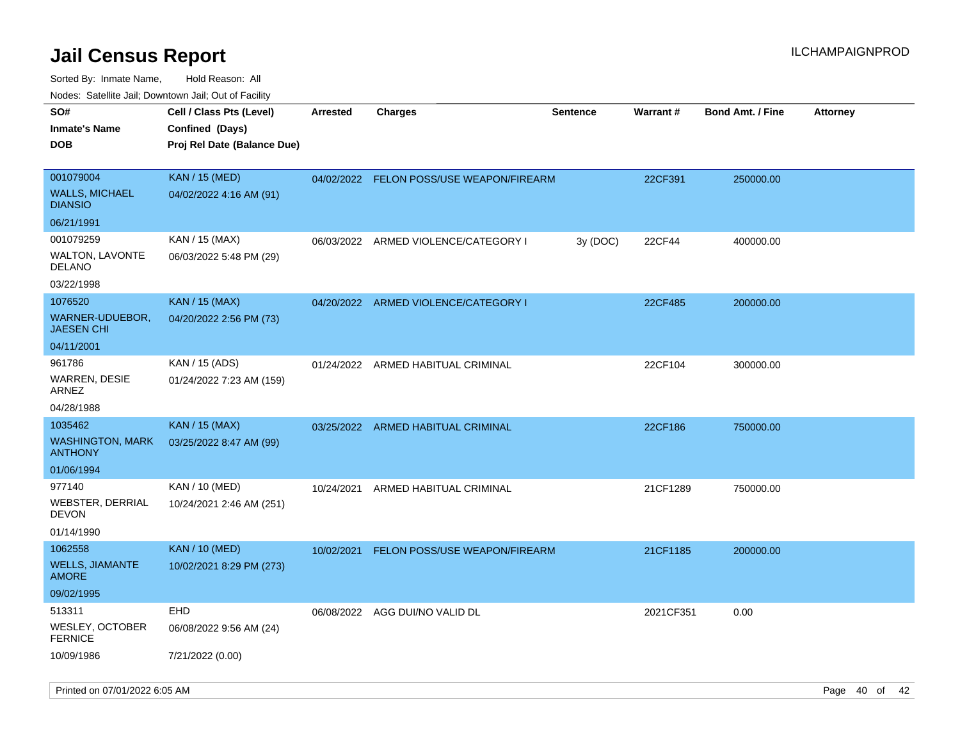| rouco. Calcillo Jali, Downtown Jali, Out of Facility      |                                                                            |                 |                                          |                 |                 |                         |                 |
|-----------------------------------------------------------|----------------------------------------------------------------------------|-----------------|------------------------------------------|-----------------|-----------------|-------------------------|-----------------|
| SO#<br>Inmate's Name<br><b>DOB</b>                        | Cell / Class Pts (Level)<br>Confined (Days)<br>Proj Rel Date (Balance Due) | <b>Arrested</b> | Charges                                  | <b>Sentence</b> | <b>Warrant#</b> | <b>Bond Amt. / Fine</b> | <b>Attorney</b> |
| 001079004<br>WALLS, MICHAEL<br><b>DIANSIO</b>             | <b>KAN / 15 (MED)</b><br>04/02/2022 4:16 AM (91)                           |                 | 04/02/2022 FELON POSS/USE WEAPON/FIREARM |                 | 22CF391         | 250000.00               |                 |
| 06/21/1991                                                |                                                                            |                 |                                          |                 |                 |                         |                 |
| 001079259<br>WALTON, LAVONTE<br>DELANO                    | KAN / 15 (MAX)<br>06/03/2022 5:48 PM (29)                                  |                 | 06/03/2022 ARMED VIOLENCE/CATEGORY I     | 3y (DOC)        | 22CF44          | 400000.00               |                 |
| 03/22/1998                                                |                                                                            |                 |                                          |                 |                 |                         |                 |
| 1076520<br>WARNER-UDUEBOR,<br>JAESEN CHI                  | <b>KAN / 15 (MAX)</b><br>04/20/2022 2:56 PM (73)                           | 04/20/2022      | ARMED VIOLENCE/CATEGORY I                |                 | 22CF485         | 200000.00               |                 |
| 04/11/2001                                                |                                                                            |                 |                                          |                 |                 |                         |                 |
| 961786<br>WARREN, DESIE<br>ARNEZ                          | KAN / 15 (ADS)<br>01/24/2022 7:23 AM (159)                                 |                 | 01/24/2022 ARMED HABITUAL CRIMINAL       |                 | 22CF104         | 300000.00               |                 |
| 04/28/1988                                                |                                                                            |                 |                                          |                 |                 |                         |                 |
| 1035462<br>WASHINGTON, MARK<br>ANTHONY<br>01/06/1994      | <b>KAN</b> / 15 (MAX)<br>03/25/2022 8:47 AM (99)                           |                 | 03/25/2022 ARMED HABITUAL CRIMINAL       |                 | 22CF186         | 750000.00               |                 |
| 977140<br>WEBSTER, DERRIAL<br>DEVON<br>01/14/1990         | KAN / 10 (MED)<br>10/24/2021 2:46 AM (251)                                 | 10/24/2021      | ARMED HABITUAL CRIMINAL                  |                 | 21CF1289        | 750000.00               |                 |
| 1062558<br>WELLS, JIAMANTE<br>AMORE<br>09/02/1995         | <b>KAN / 10 (MED)</b><br>10/02/2021 8:29 PM (273)                          | 10/02/2021      | FELON POSS/USE WEAPON/FIREARM            |                 | 21CF1185        | 200000.00               |                 |
| 513311<br>WESLEY, OCTOBER<br><b>FERNICE</b><br>10/09/1986 | EHD<br>06/08/2022 9:56 AM (24)<br>7/21/2022 (0.00)                         |                 | 06/08/2022 AGG DUI/NO VALID DL           |                 | 2021CF351       | 0.00                    |                 |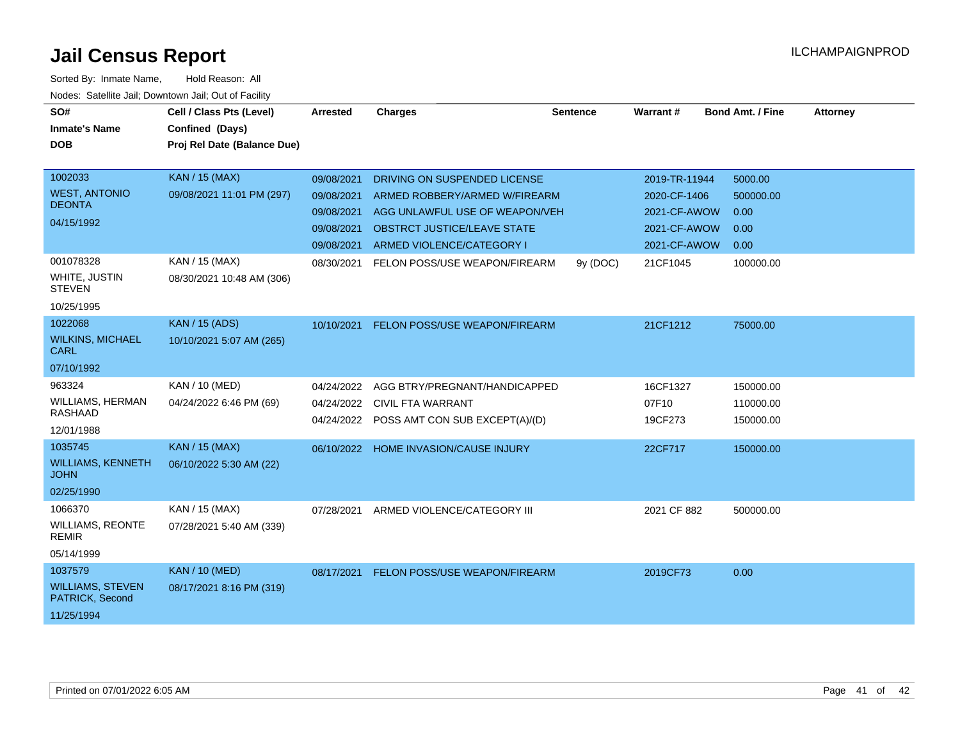| SO#<br><b>Inmate's Name</b>                                         | Cell / Class Pts (Level)<br>Confined (Days)        | Arrested                                                           | <b>Charges</b>                                                                                                                                              | <b>Sentence</b> | Warrant#                                                                      | <b>Bond Amt. / Fine</b>                      | <b>Attorney</b> |
|---------------------------------------------------------------------|----------------------------------------------------|--------------------------------------------------------------------|-------------------------------------------------------------------------------------------------------------------------------------------------------------|-----------------|-------------------------------------------------------------------------------|----------------------------------------------|-----------------|
| <b>DOB</b>                                                          | Proj Rel Date (Balance Due)                        |                                                                    |                                                                                                                                                             |                 |                                                                               |                                              |                 |
| 1002033<br><b>WEST, ANTONIO</b><br><b>DEONTA</b><br>04/15/1992      | <b>KAN / 15 (MAX)</b><br>09/08/2021 11:01 PM (297) | 09/08/2021<br>09/08/2021<br>09/08/2021<br>09/08/2021<br>09/08/2021 | DRIVING ON SUSPENDED LICENSE<br>ARMED ROBBERY/ARMED W/FIREARM<br>AGG UNLAWFUL USE OF WEAPON/VEH<br>OBSTRCT JUSTICE/LEAVE STATE<br>ARMED VIOLENCE/CATEGORY I |                 | 2019-TR-11944<br>2020-CF-1406<br>2021-CF-AWOW<br>2021-CF-AWOW<br>2021-CF-AWOW | 5000.00<br>500000.00<br>0.00<br>0.00<br>0.00 |                 |
| 001078328<br><b>WHITE, JUSTIN</b><br><b>STEVEN</b><br>10/25/1995    | KAN / 15 (MAX)<br>08/30/2021 10:48 AM (306)        | 08/30/2021                                                         | FELON POSS/USE WEAPON/FIREARM                                                                                                                               | 9y (DOC)        | 21CF1045                                                                      | 100000.00                                    |                 |
| 1022068<br><b>WILKINS, MICHAEL</b><br><b>CARL</b><br>07/10/1992     | <b>KAN / 15 (ADS)</b><br>10/10/2021 5:07 AM (265)  | 10/10/2021                                                         | FELON POSS/USE WEAPON/FIREARM                                                                                                                               |                 | 21CF1212                                                                      | 75000.00                                     |                 |
| 963324<br><b>WILLIAMS, HERMAN</b><br><b>RASHAAD</b><br>12/01/1988   | <b>KAN / 10 (MED)</b><br>04/24/2022 6:46 PM (69)   | 04/24/2022<br>04/24/2022                                           | AGG BTRY/PREGNANT/HANDICAPPED<br>CIVIL FTA WARRANT<br>04/24/2022 POSS AMT CON SUB EXCEPT(A)/(D)                                                             |                 | 16CF1327<br>07F10<br>19CF273                                                  | 150000.00<br>110000.00<br>150000.00          |                 |
| 1035745<br><b>WILLIAMS, KENNETH</b><br><b>JOHN</b><br>02/25/1990    | <b>KAN / 15 (MAX)</b><br>06/10/2022 5:30 AM (22)   |                                                                    | 06/10/2022 HOME INVASION/CAUSE INJURY                                                                                                                       |                 | 22CF717                                                                       | 150000.00                                    |                 |
| 1066370<br><b>WILLIAMS, REONTE</b><br><b>REMIR</b><br>05/14/1999    | KAN / 15 (MAX)<br>07/28/2021 5:40 AM (339)         | 07/28/2021                                                         | ARMED VIOLENCE/CATEGORY III                                                                                                                                 |                 | 2021 CF 882                                                                   | 500000.00                                    |                 |
| 1037579<br><b>WILLIAMS, STEVEN</b><br>PATRICK, Second<br>11/25/1994 | <b>KAN / 10 (MED)</b><br>08/17/2021 8:16 PM (319)  | 08/17/2021                                                         | <b>FELON POSS/USE WEAPON/FIREARM</b>                                                                                                                        |                 | 2019CF73                                                                      | 0.00                                         |                 |